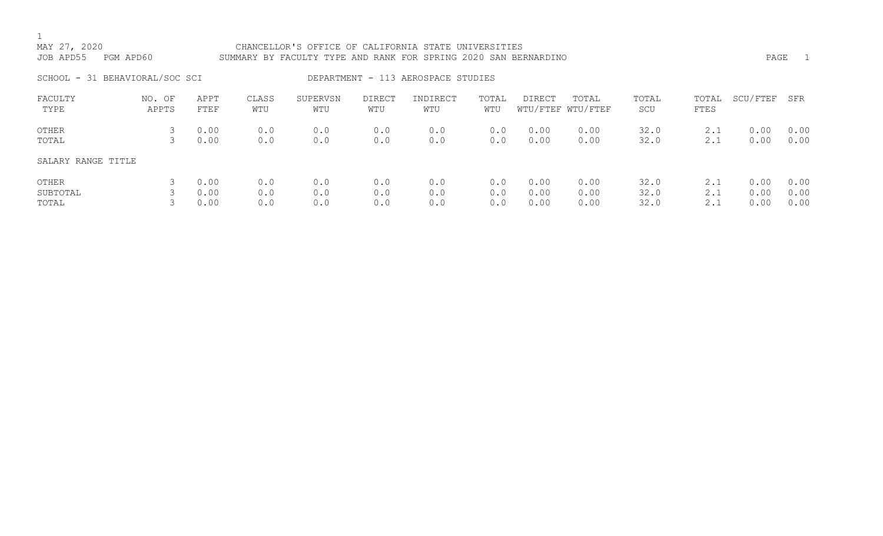## 1<br>MAY 27, 2020 CHANCELLOR'S OFFICE OF CALIFORNIA STATE UNIVERSITIES JOB APD55 PGM APD60 SUMMARY BY FACULTY TYPE AND RANK FOR SPRING 2020 SAN BERNARDINO PAGE 1 SCHOOL - 31 BEHAVIORAL/SOC SCI DEPARTMENT - 113 AEROSPACE STUDIES FACULTY NO. OF APPT CLASS SUPERVSN DIRECT INDIRECT TOTAL DIRECT TOTAL TOTAL TOTAL SCU/FTEF SFR WTU/FTEF WTU/FTEF OTHER 3 0.00 0.0 0.0 0.0 0.0 0.0 0.00 0.00 32.0 2.1 0.00 0.00 TOTAL 3 0.00 0.0 0.0 0.0 0.0 0.0 0.00 0.00 32.0 2.1 0.00 0.00 SALARY RANGE TITLE

| OTHER    | 0.00   | 0.0 | 0.0 | 0.0 | 0.0 | $0.0$ $0.00$        | 0.00 | 32.0 | 2.1 | 1 0.00 0.00     |  |
|----------|--------|-----|-----|-----|-----|---------------------|------|------|-----|-----------------|--|
| SUBTOTAL | 3 0.00 | 0.0 | 0.0 | 0.0 | 0.0 | $0.0$ $0.00$ $0.00$ |      | 32.0 |     | $2.1$ 0.00 0.00 |  |
| TOTAL    | 3 0.00 | 0.0 | 0.0 | 0.0 | 0.0 | 0.0 0.00            | 0.00 | 32.0 | 2.1 | 0.00 0.00       |  |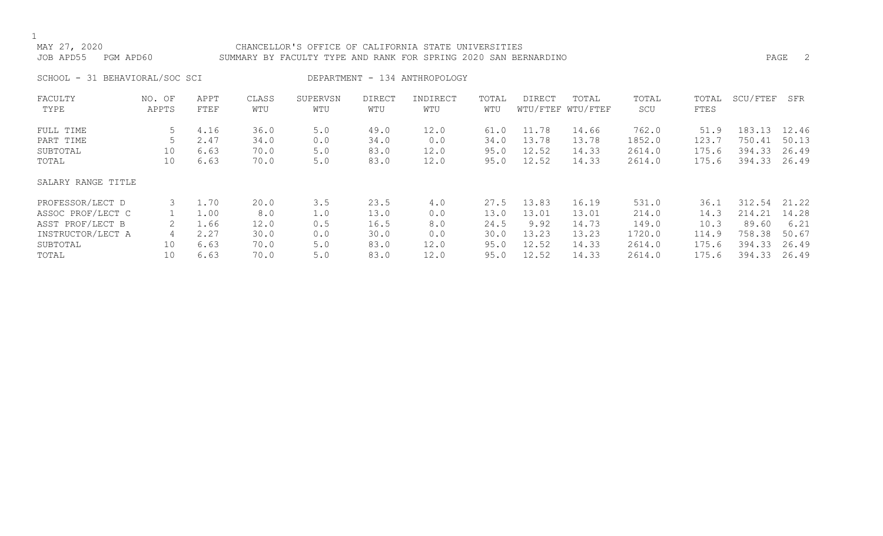### MAY 27, 2020 CHANCELLOR'S OFFICE OF CALIFORNIA STATE UNIVERSITIES JOB APD55 PGM APD60 SUMMARY BY FACULTY TYPE AND RANK FOR SPRING 2020 SAN BERNARDINO PAGE 2

SCHOOL - 31 BEHAVIORAL/SOC SCI DEPARTMENT - 134 ANTHROPOLOGY

| FACULTY            | NO. OF | APPT | CLASS | SUPERVSN | <b>DIRECT</b> | INDIRECT | TOTAL | DIRECT | TOTAL             | TOTAL  | TOTAL | SCU/FTEF | SFR   |
|--------------------|--------|------|-------|----------|---------------|----------|-------|--------|-------------------|--------|-------|----------|-------|
| TYPE               | APPTS  | FTEF | WTU   | WTU      | WTU           | WTU      | WTU   |        | WTU/FTEF WTU/FTEF | SCU    | FTES  |          |       |
| FULL TIME          | 5      | 4.16 | 36.0  | 5.0      | 49.0          | 12.0     | 61.0  | 11.78  | 14.66             | 762.0  | 51.9  | 183.13   | 12.46 |
| PART TIME          |        | 2.47 | 34.0  | 0.0      | 34.0          | 0.0      | 34.0  | 13.78  | 13.78             | 1852.0 | 123.7 | 750.41   | 50.13 |
| SUBTOTAL           | 10     | 6.63 | 70.0  | 5.0      | 83.0          | 12.0     | 95.0  | 12.52  | 14.33             | 2614.0 | 175.6 | 394.33   | 26.49 |
| TOTAL              | 10     | 6.63 | 70.0  | 5.0      | 83.0          | 12.0     | 95.0  | 12.52  | 14.33             | 2614.0 | 175.6 | 394.33   | 26.49 |
| SALARY RANGE TITLE |        |      |       |          |               |          |       |        |                   |        |       |          |       |
| PROFESSOR/LECT D   | 3      | 1.70 | 20.0  | 3.5      | 23.5          | 4.0      | 27.5  | 13.83  | 16.19             | 531.0  | 36.1  | 312.54   | 21.22 |
| ASSOC PROF/LECT C  |        | 1.00 | 8.0   | 1.0      | 13.0          | 0.0      | 13.0  | 13.01  | 13.01             | 214.0  | 14.3  | 214.21   | 14.28 |
| ASST PROF/LECT B   |        | 1.66 | 12.0  | 0.5      | 16.5          | 8.0      | 24.5  | 9.92   | 14.73             | 149.0  | 10.3  | 89.60    | 6.21  |
| INSTRUCTOR/LECT A  |        | 2.27 | 30.0  | 0.0      | 30.0          | 0.0      | 30.0  | 13.23  | 13.23             | 1720.0 | 114.9 | 758.38   | 50.67 |
| SUBTOTAL           | 10     | 6.63 | 70.0  | 5.0      | 83.0          | 12.0     | 95.0  | 12.52  | 14.33             | 2614.0 | 175.6 | 394.33   | 26.49 |
| TOTAL              | 10     | 6.63 | 70.0  | 5.0      | 83.0          | 12.0     | 95.0  | 12.52  | 14.33             | 2614.0 | 175.6 | 394.33   | 26.49 |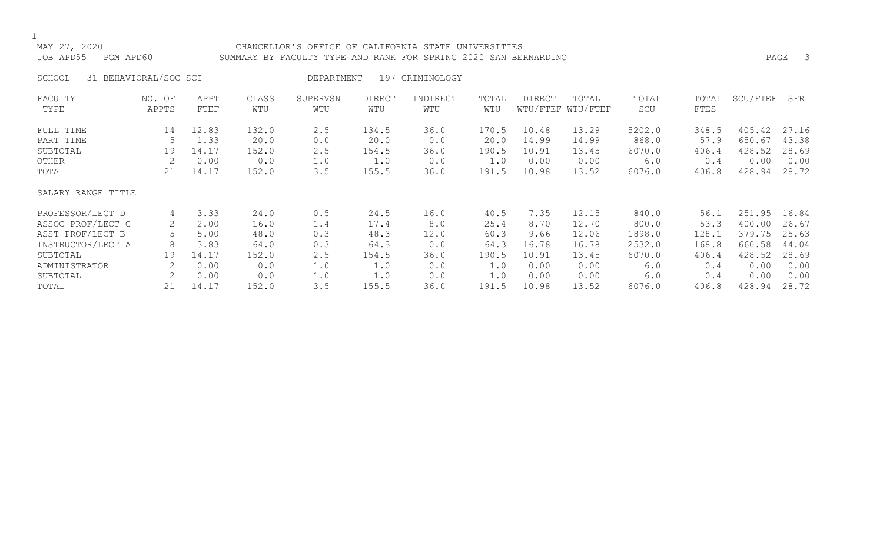MAY 27, 2020 CHANCELLOR'S OFFICE OF CALIFORNIA STATE UNIVERSITIES JOB APD55 PGM APD60 SUMMARY BY FACULTY TYPE AND RANK FOR SPRING 2020 SAN BERNARDINO PAGE 3

SCHOOL - 31 BEHAVIORAL/SOC SCI DEPARTMENT - 197 CRIMINOLOGY

| FACULTY            | NO. OF | APPT  | CLASS | SUPERVSN | <b>DIRECT</b> | INDIRECT | TOTAL | DIRECT | TOTAL             | TOTAL  | TOTAL       | SCU/FTEF | SFR   |
|--------------------|--------|-------|-------|----------|---------------|----------|-------|--------|-------------------|--------|-------------|----------|-------|
| TYPE               | APPTS  | FTEF  | WTU   | WTU      | WTU           | WTU      | WTU   |        | WTU/FTEF WTU/FTEF | SCU    | <b>FTES</b> |          |       |
| FULL TIME          | 14     | 12.83 | 132.0 | 2.5      | 134.5         | 36.0     | 170.5 | 10.48  | 13.29             | 5202.0 | 348.5       | 405.42   | 27.16 |
| PART TIME          |        | 1.33  | 20.0  | 0.0      | 20.0          | 0.0      | 20.0  | 14.99  | 14.99             | 868.0  | 57.9        | 650.67   | 43.38 |
| SUBTOTAL           | 19     | 14.17 | 152.0 | 2.5      | 154.5         | 36.0     | 190.5 | 10.91  | 13.45             | 6070.0 | 406.4       | 428.52   | 28.69 |
| OTHER              | 2      | 0.00  | 0.0   | 1.0      | 1.0           | 0.0      | 1.0   | 0.00   | 0.00              | 6.0    | 0.4         | 0.00     | 0.00  |
| TOTAL              | 21     | 14.17 | 152.0 | 3.5      | 155.5         | 36.0     | 191.5 | 10.98  | 13.52             | 6076.0 | 406.8       | 428.94   | 28.72 |
| SALARY RANGE TITLE |        |       |       |          |               |          |       |        |                   |        |             |          |       |
| PROFESSOR/LECT D   | 4      | 3.33  | 24.0  | 0.5      | 24.5          | 16.0     | 40.5  | 7.35   | 12.15             | 840.0  | 56.1        | 251.95   | 16.84 |
| ASSOC PROF/LECT C  | 2      | 2.00  | 16.0  | 1.4      | 17.4          | 8.0      | 25.4  | 8.70   | 12.70             | 800.0  | 53.3        | 400.00   | 26.67 |
| ASST PROF/LECT B   |        | 5.00  | 48.0  | 0.3      | 48.3          | 12.0     | 60.3  | 9.66   | 12.06             | 1898.0 | 128.1       | 379.75   | 25.63 |
| INSTRUCTOR/LECT A  | 8      | 3.83  | 64.0  | 0.3      | 64.3          | 0.0      | 64.3  | 16.78  | 16.78             | 2532.0 | 168.8       | 660.58   | 44.04 |
| SUBTOTAL           | 19     | 14.17 | 152.0 | 2.5      | 154.5         | 36.0     | 190.5 | 10.91  | 13.45             | 6070.0 | 406.4       | 428.52   | 28.69 |
| ADMINISTRATOR      |        | 0.00  | 0.0   | 1.0      | 1.0           | 0.0      | 1.0   | 0.00   | 0.00              | 6.0    | 0.4         | 0.00     | 0.00  |
| SUBTOTAL           | 2      | 0.00  | 0.0   | 1.0      | 1.0           | 0.0      | 1.0   | 0.00   | 0.00              | 6.0    | 0.4         | 0.00     | 0.00  |
| TOTAL              | 21     | 14.17 | 152.0 | 3.5      | 155.5         | 36.0     | 191.5 | 10.98  | 13.52             | 6076.0 | 406.8       | 428.94   | 28.72 |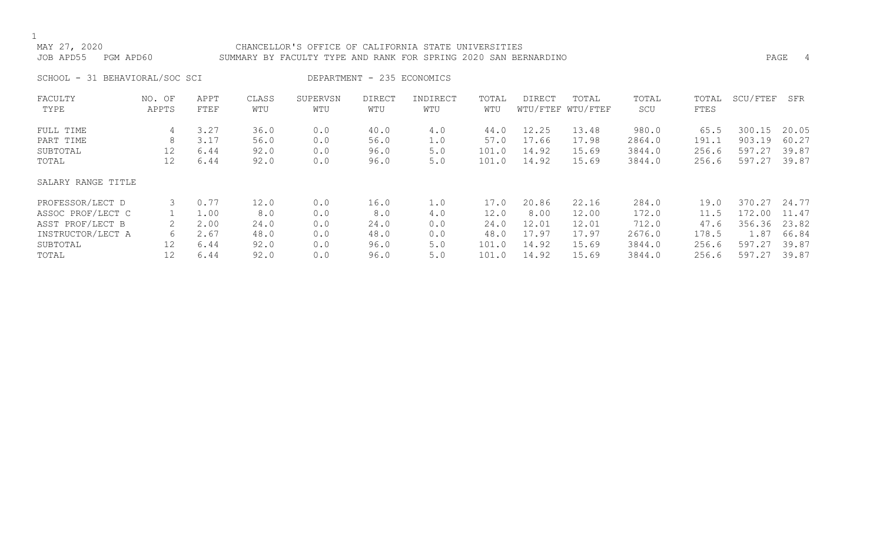### MAY 27, 2020 CHANCELLOR'S OFFICE OF CALIFORNIA STATE UNIVERSITIES JOB APD55 PGM APD60 SUMMARY BY FACULTY TYPE AND RANK FOR SPRING 2020 SAN BERNARDINO PAGE 4

SCHOOL - 31 BEHAVIORAL/SOC SCI DEPARTMENT - 235 ECONOMICS

| FACULTY            | NO. OF | APPT | CLASS | SUPERVSN | DIRECT | INDIRECT | TOTAL | DIRECT | TOTAL             | TOTAL  | TOTAL | SCU/FTEF | SFR   |
|--------------------|--------|------|-------|----------|--------|----------|-------|--------|-------------------|--------|-------|----------|-------|
| TYPE               | APPTS  | FTEF | WTU   | WTU      | WTU    | WTU      | WTU   |        | WTU/FTEF WTU/FTEF | SCU    | FTES  |          |       |
| FULL TIME          | 4      | 3.27 | 36.0  | 0.0      | 40.0   | 4.0      | 44.0  | 12.25  | 13.48             | 980.0  | 65.5  | 300.15   | 20.05 |
| PART TIME          | 8      | 3.17 | 56.0  | 0.0      | 56.0   | 1.0      | 57.0  | 17.66  | 17.98             | 2864.0 | 191.1 | 903.19   | 60.27 |
| SUBTOTAL           | 12     | 6.44 | 92.0  | 0.0      | 96.0   | 5.0      | 101.0 | 14.92  | 15.69             | 3844.0 | 256.6 | 597.27   | 39.87 |
| TOTAL              | 12     | 6.44 | 92.0  | 0.0      | 96.0   | 5.0      | 101.0 | 14.92  | 15.69             | 3844.0 | 256.6 | 597.27   | 39.87 |
| SALARY RANGE TITLE |        |      |       |          |        |          |       |        |                   |        |       |          |       |
| PROFESSOR/LECT D   | 3      | 0.77 | 12.0  | 0.0      | 16.0   | 1.0      | 17.0  | 20.86  | 22.16             | 284.0  | 19.0  | 370.27   | 24.77 |
| ASSOC PROF/LECT C  |        | 1.00 | 8.0   | 0.0      | 8.0    | 4.0      | 12.0  | 8.00   | 12.00             | 172.0  | 11.5  | 172.00   | 11.47 |
| ASST PROF/LECT B   |        | 2.00 | 24.0  | 0.0      | 24.0   | 0.0      | 24.0  | 12.01  | 12.01             | 712.0  | 47.6  | 356.36   | 23.82 |
| INSTRUCTOR/LECT A  | 6      | 2.67 | 48.0  | 0.0      | 48.0   | 0.0      | 48.0  | 17.97  | 17.97             | 2676.0 | 178.5 | 1.87     | 66.84 |
| SUBTOTAL           | 12     | 6.44 | 92.0  | 0.0      | 96.0   | 5.0      | 101.0 | 14.92  | 15.69             | 3844.0 | 256.6 | 597.27   | 39.87 |
| TOTAL              | 12     | 6.44 | 92.0  | 0.0      | 96.0   | 5.0      | 101.0 | 14.92  | 15.69             | 3844.0 | 256.6 | 597.27   | 39.87 |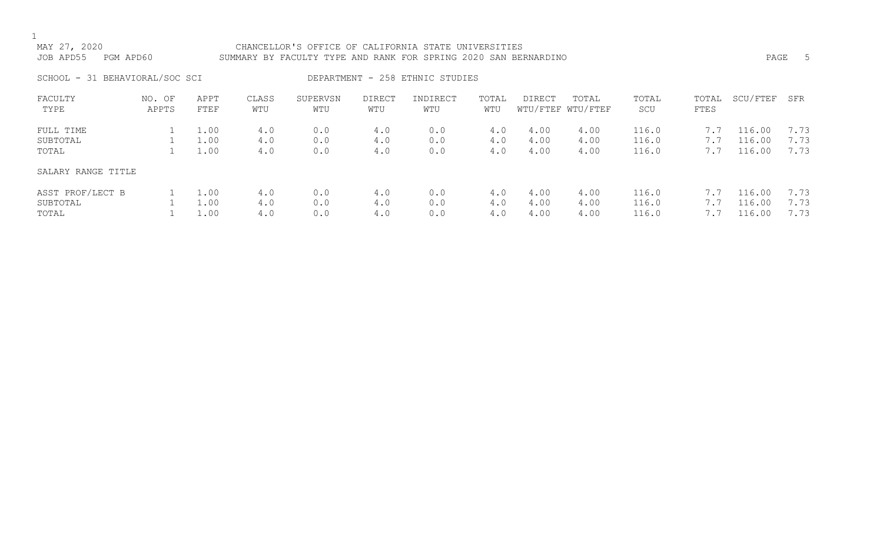## MAY 27, 2020 CHANCELLOR'S OFFICE OF CALIFORNIA STATE UNIVERSITIES JOB APD55 PGM APD60 SUMMARY BY FACULTY TYPE AND RANK FOR SPRING 2020 SAN BERNARDINO PAGE 5

SCHOOL - 31 BEHAVIORAL/SOC SCI DEPARTMENT - 258 ETHNIC STUDIES

| FACULTY<br>TYPE    | NO. OF<br>APPTS | APPT<br>FTEF | CLASS<br>WTU | SUPERVSN<br>WTU | <b>DIRECT</b><br>WTU | INDIRECT<br>WTU | TOTAL<br>WTU | <b>DIRECT</b> | TOTAL<br>WTU/FTEF WTU/FTEF | TOTAL<br>SCU | TOTAL<br>FTES        | SCU/FTEF | SFR  |
|--------------------|-----------------|--------------|--------------|-----------------|----------------------|-----------------|--------------|---------------|----------------------------|--------------|----------------------|----------|------|
| FULL TIME          |                 | 1.00         | 4.0          | 0.0             | 4.0                  | 0.0             | 4.0          | 4.00          | 4.00                       | 116.0        | $\sqrt{2}$           | 116.00   | 7.73 |
| SUBTOTAL           |                 | 1.00         | 4.0          | 0.0             | 4.0                  | 0.0             | 4.0          | 4.00          | 4.00                       | 116.0        | $\frac{1}{\sqrt{2}}$ | 116.00   | 7.73 |
| TOTAL              |                 | 1.00         | 4.0          | 0.0             | 4.0                  | 0.0             | 4.0          | 4.00          | 4.00                       | 116.0        | 7.7                  | 116.00   | 7.73 |
| SALARY RANGE TITLE |                 |              |              |                 |                      |                 |              |               |                            |              |                      |          |      |
| ASST PROF/LECT B   |                 | 1.00         | 4.0          | 0.0             | 4.0                  | 0.0             | 4.0          | 4.00          | 4.00                       | 116.0        | 7.7                  | 116.00   | 7.73 |
| SUBTOTAL           |                 | 1.00         | 4.0          | 0.0             | 4.0                  | 0.0             | 4.0          | 4.00          | 4.00                       | 116.0        | 7.7                  | 116.00   | 7.73 |
| TOTAL              |                 | 1.00         | 4.0          | 0.0             | 4.0                  | 0.0             | 4.0          | 4.00          | 4.00                       | 116.0        |                      | 116.00   | 7.73 |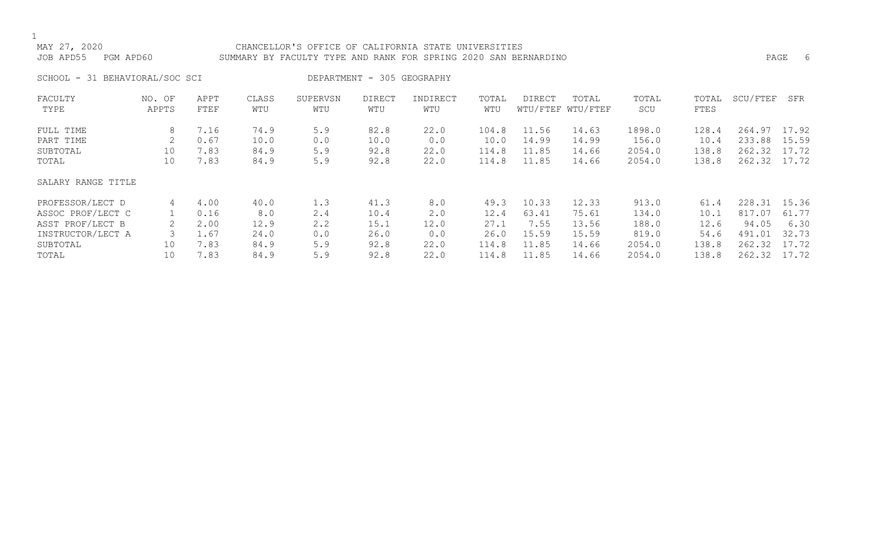### MAY 27, 2020 CHANCELLOR'S OFFICE OF CALIFORNIA STATE UNIVERSITIES JOB APD55 PGM APD60 SUMMARY BY FACULTY TYPE AND RANK FOR SPRING 2020 SAN BERNARDINO PAGE 6

SCHOOL - 31 BEHAVIORAL/SOC SCI DEPARTMENT - 305 GEOGRAPHY

| FACULTY            | NO. OF | APPT | CLASS | SUPERVSN | <b>DIRECT</b> | INDIRECT | TOTAL | <b>DIRECT</b> | TOTAL             | TOTAL  | TOTAL | SCU/FTEF | SFR   |
|--------------------|--------|------|-------|----------|---------------|----------|-------|---------------|-------------------|--------|-------|----------|-------|
| TYPE               | APPTS  | FTEF | WTU   | WTU      | WTU           | WTU      | WTU   |               | WTU/FTEF WTU/FTEF | SCU    | FTES  |          |       |
| FULL TIME          | 8      | 7.16 | 74.9  | 5.9      | 82.8          | 22.0     | 104.8 | 11.56         | 14.63             | 1898.0 | 128.4 | 264.97   | 17.92 |
| PART TIME          |        | 0.67 | 10.0  | 0.0      | 10.0          | 0.0      | 10.0  | 14.99         | 14.99             | 156.0  | 10.4  | 233.88   | 15.59 |
| SUBTOTAL           | 10     | 7.83 | 84.9  | 5.9      | 92.8          | 22.0     | 114.8 | 11.85         | 14.66             | 2054.0 | 138.8 | 262.32   | 17.72 |
| TOTAL              | 10     | 7.83 | 84.9  | 5.9      | 92.8          | 22.0     | 114.8 | 11.85         | 14.66             | 2054.0 | 138.8 | 262.32   | 17.72 |
| SALARY RANGE TITLE |        |      |       |          |               |          |       |               |                   |        |       |          |       |
| PROFESSOR/LECT D   | 4      | 4.00 | 40.0  | 1.3      | 41.3          | 8.0      | 49.3  | 10.33         | 12.33             | 913.0  | 61.4  | 228.31   | 15.36 |
| ASSOC PROF/LECT C  |        | 0.16 | 8.0   | 2.4      | 10.4          | 2.0      | 12.4  | 63.41         | 75.61             | 134.0  | 10.1  | 817.07   | 61.77 |
| ASST PROF/LECT B   |        | 2.00 | 12.9  | 2.2      | 15.1          | 12.0     | 27.1  | 7.55          | 13.56             | 188.0  | 12.6  | 94.05    | 6.30  |
| INSTRUCTOR/LECT A  |        | 1.67 | 24.0  | 0.0      | 26.0          | 0.0      | 26.0  | 15.59         | 15.59             | 819.0  | 54.6  | 491.01   | 32.73 |
| SUBTOTAL           | 10     | 7.83 | 84.9  | 5.9      | 92.8          | 22.0     | 114.8 | 11.85         | 14.66             | 2054.0 | 138.8 | 262.32   | 17.72 |
| TOTAL              | 10     | 7.83 | 84.9  | 5.9      | 92.8          | 22.0     | 114.8 | 11.85         | 14.66             | 2054.0 | 138.8 | 262.32   | 17.72 |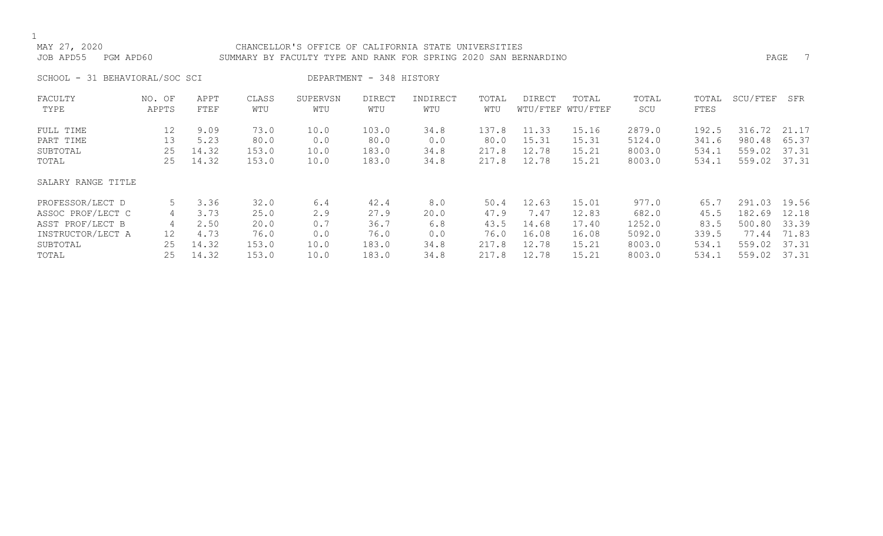### MAY 27, 2020 CHANCELLOR'S OFFICE OF CALIFORNIA STATE UNIVERSITIES JOB APD55 PGM APD60 SUMMARY BY FACULTY TYPE AND RANK FOR SPRING 2020 SAN BERNARDINO PAGE 7

SCHOOL - 31 BEHAVIORAL/SOC SCI DEPARTMENT - 348 HISTORY

| FACULTY            | NO. OF | APPT  | CLASS | SUPERVSN | <b>DIRECT</b> | INDIRECT | TOTAL | DIRECT | TOTAL             | TOTAL  | TOTAL       | SCU/FTEF | SFR   |
|--------------------|--------|-------|-------|----------|---------------|----------|-------|--------|-------------------|--------|-------------|----------|-------|
| TYPE               | APPTS  | FTEF  | WTU   | WTU      | WTU           | WTU      | WTU   |        | WTU/FTEF WTU/FTEF | SCU    | <b>FTES</b> |          |       |
| FULL TIME          | 12     | 9.09  | 73.0  | 10.0     | 103.0         | 34.8     | 137.8 | 11.33  | 15.16             | 2879.0 | 192.5       | 316.72   | 21.17 |
| PART TIME          | 13     | 5.23  | 80.0  | 0.0      | 80.0          | 0.0      | 80.0  | 15.31  | 15.31             | 5124.0 | 341.6       | 980.48   | 65.37 |
| SUBTOTAL           | 25     | 14.32 | 153.0 | 10.0     | 183.0         | 34.8     | 217.8 | 12.78  | 15.21             | 8003.0 | 534.1       | 559.02   | 37.31 |
| TOTAL              | 25     | 14.32 | 153.0 | 10.0     | 183.0         | 34.8     | 217.8 | 12.78  | 15.21             | 8003.0 | 534.1       | 559.02   | 37.31 |
| SALARY RANGE TITLE |        |       |       |          |               |          |       |        |                   |        |             |          |       |
| PROFESSOR/LECT D   | 5      | 3.36  | 32.0  | 6.4      | 42.4          | 8.0      | 50.4  | 12.63  | 15.01             | 977.0  | 65.7        | 291.03   | 19.56 |
| ASSOC PROF/LECT C  | 4      | 3.73  | 25.0  | 2.9      | 27.9          | 20.0     | 47.9  | 7.47   | 12.83             | 682.0  | 45.5        | 182.69   | 12.18 |
| ASST PROF/LECT B   | 4      | 2.50  | 20.0  | 0.7      | 36.7          | 6.8      | 43.5  | 14.68  | 17.40             | 1252.0 | 83.5        | 500.80   | 33.39 |
| INSTRUCTOR/LECT A  | 12     | 4.73  | 76.0  | 0.0      | 76.0          | 0.0      | 76.0  | 16.08  | 16.08             | 5092.0 | 339.5       | 77.44    | 71.83 |
| SUBTOTAL           | 25     | 14.32 | 153.0 | 10.0     | 183.0         | 34.8     | 217.8 | 12.78  | 15.21             | 8003.0 | 534.1       | 559.02   | 37.31 |
| TOTAL              | 25     | 14.32 | 153.0 | 10.0     | 183.0         | 34.8     | 217.8 | 12.78  | 15.21             | 8003.0 | 534.1       | 559.02   | 37.31 |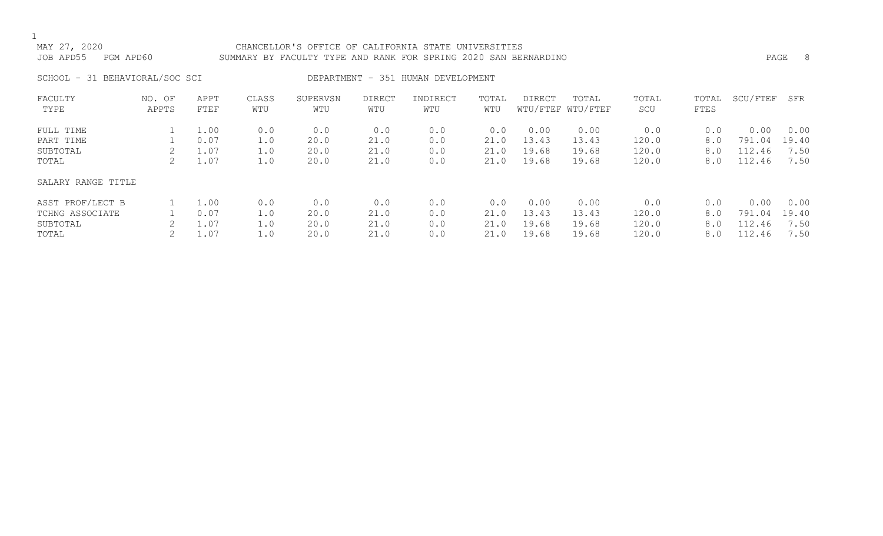### MAY 27, 2020 CHANCELLOR'S OFFICE OF CALIFORNIA STATE UNIVERSITIES JOB APD55 PGM APD60 SUMMARY BY FACULTY TYPE AND RANK FOR SPRING 2020 SAN BERNARDINO PAGE 8

SCHOOL - 31 BEHAVIORAL/SOC SCI DEPARTMENT - 351 HUMAN DEVELOPMENT

| FACULTY<br>TYPE    | NO. OF<br>APPTS | APPT<br>FTEF | CLASS<br>WTU | SUPERVSN<br>WTU | <b>DIRECT</b><br>WTU | INDIRECT<br>WTU | TOTAL<br>WTU | DIRECT | TOTAL<br>WTU/FTEF WTU/FTEF | TOTAL<br>SCU | TOTAL<br>FTES | SCU/FTEF | SFR   |
|--------------------|-----------------|--------------|--------------|-----------------|----------------------|-----------------|--------------|--------|----------------------------|--------------|---------------|----------|-------|
| FULL TIME          |                 | 1.00         | 0.0          | 0.0             | 0.0                  | 0.0             | 0.0          | 0.00   | 0.00                       | 0.0          | 0.0           | 0.00     | 0.00  |
| PART TIME          |                 | 0.07         | 1.0          | 20.0            | 21.0                 | 0.0             | 21.0         | 13.43  | 13.43                      | 120.0        | 8.0           | 791.04   | 19.40 |
| SUBTOTAL           |                 | 1.07         | 1.0          | 20.0            | 21.0                 | 0.0             | 21.0         | 19.68  | 19.68                      | 120.0        | 8.0           | 112.46   | 7.50  |
| TOTAL              |                 | $\perp$ .07  | 1.0          | 20.0            | 21.0                 | 0.0             | 21.0         | 19.68  | 19.68                      | 120.0        | 8.0           | 112.46   | 7.50  |
| SALARY RANGE TITLE |                 |              |              |                 |                      |                 |              |        |                            |              |               |          |       |
| ASST PROF/LECT B   |                 | 1.00         | 0.0          | 0.0             | 0.0                  | 0.0             | 0.0          | 0.00   | 0.00                       | 0.0          | 0.0           | 0.00     | 0.00  |
| TCHNG ASSOCIATE    |                 | 0.07         | 1.0          | 20.0            | 21.0                 | 0.0             | 21.0         | 13.43  | 13.43                      | 120.0        | 8.0           | 791.04   | 19.40 |
| SUBTOTAL           |                 | 07           | 1.0          | 20.0            | 21.0                 | 0.0             | 21.0         | 19.68  | 19.68                      | 120.0        | 8.0           | 112.46   | 7.50  |
| TOTAL              |                 | $\perp$ .07  | 1.0          | 20.0            | 21.0                 | 0.0             | 21.0         | 19.68  | 19.68                      | 120.0        | 8.0           | 112.46   | 7.50  |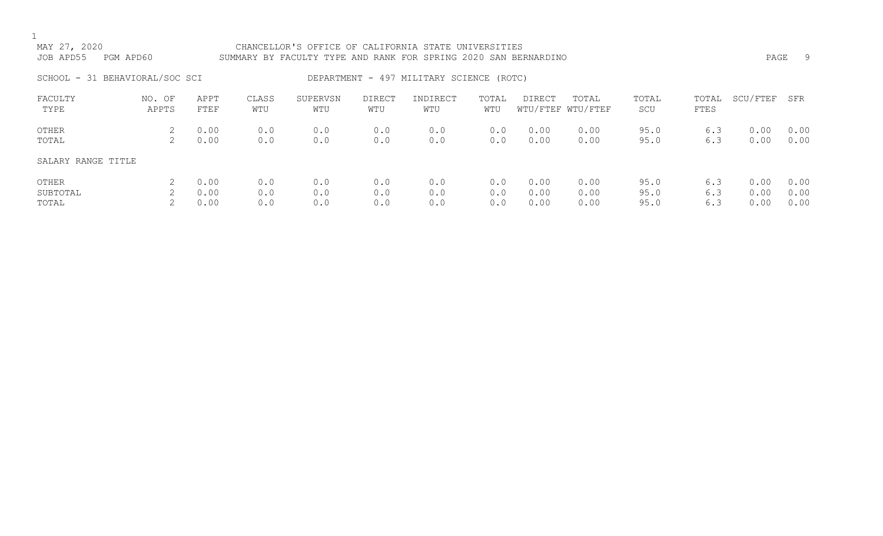| MAY 27, 2020<br>JOB APD55<br>PGM APD60 |                 |                      |                   | CHANCELLOR'S OFFICE OF CALIFORNIA STATE UNIVERSITIES<br>SUMMARY BY FACULTY TYPE AND RANK FOR SPRING 2020 SAN BERNARDINO |                      |                                          |                   |                      |                            |                      |                   | PAGE                 | -9                   |  |
|----------------------------------------|-----------------|----------------------|-------------------|-------------------------------------------------------------------------------------------------------------------------|----------------------|------------------------------------------|-------------------|----------------------|----------------------------|----------------------|-------------------|----------------------|----------------------|--|
| SCHOOL - 31 BEHAVIORAL/SOC SCI         |                 |                      |                   |                                                                                                                         |                      | DEPARTMENT - 497 MILITARY SCIENCE (ROTC) |                   |                      |                            |                      |                   |                      |                      |  |
| FACULTY<br>TYPE                        | NO. OF<br>APPTS | APPT<br><b>FTEF</b>  | CLASS<br>WTU      | SUPERVSN<br>WTU                                                                                                         | <b>DIRECT</b><br>WTU | INDIRECT<br>WTU                          | TOTAL<br>WTU      | DIRECT               | TOTAL<br>WTU/FTEF WTU/FTEF | TOTAL<br>SCU         | TOTAL<br>FTES     | SCU/FTEF             | SFR                  |  |
| OTHER<br>TOTAL                         | 2               | 0.00<br>0.00         | 0.0<br>0.0        | 0.0<br>0.0                                                                                                              | 0.0<br>0.0           | 0.0<br>0.0                               | 0.0<br>0.0        | 0.00<br>0.00         | 0.00<br>0.00               | 95.0<br>95.0         | 6.3<br>6.3        | 0.00<br>0.00         | 0.00<br>0.00         |  |
| SALARY RANGE TITLE                     |                 |                      |                   |                                                                                                                         |                      |                                          |                   |                      |                            |                      |                   |                      |                      |  |
| OTHER<br>SUBTOTAL<br>TOTAL             | 2               | 0.00<br>0.00<br>0.00 | 0.0<br>0.0<br>0.0 | 0.0<br>0.0<br>0.0                                                                                                       | 0.0<br>0.0<br>0.0    | 0.0<br>0.0<br>0.0                        | 0.0<br>0.0<br>0.0 | 0.00<br>0.00<br>0.00 | 0.00<br>0.00<br>0.00       | 95.0<br>95.0<br>95.0 | 6.3<br>6.3<br>6.3 | 0.00<br>0.00<br>0.00 | 0.00<br>0.00<br>0.00 |  |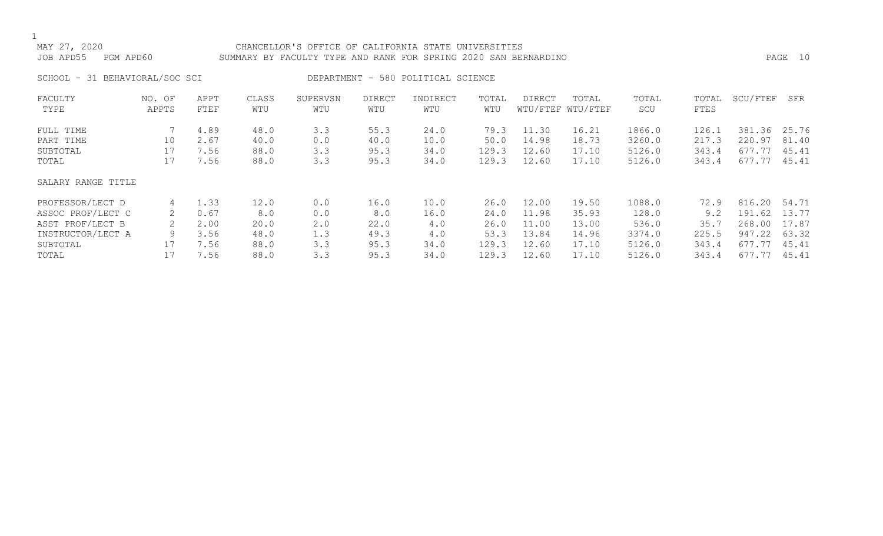### MAY 27, 2020 CHANCELLOR'S OFFICE OF CALIFORNIA STATE UNIVERSITIES JOB APD55 PGM APD60 SUMMARY BY FACULTY TYPE AND RANK FOR SPRING 2020 SAN BERNARDINO PAGE 10

SCHOOL - 31 BEHAVIORAL/SOC SCI DEPARTMENT - 580 POLITICAL SCIENCE

| FACULTY<br>TYPE                                                                            | NO. OF<br>APPTS   | APPT<br>FTEF                         | CLASS<br>WTU                        | SUPERVSN<br>WTU                 | <b>DIRECT</b><br>WTU                | INDIRECT<br>WTU                    | TOTAL<br>WTU                          | <b>DIRECT</b>                             | TOTAL<br>WTU/FTEF WTU/FTEF                | TOTAL<br>SCU                                 | TOTAL<br>FTES                         | SCU/FTEF                                       | SFR                                       |
|--------------------------------------------------------------------------------------------|-------------------|--------------------------------------|-------------------------------------|---------------------------------|-------------------------------------|------------------------------------|---------------------------------------|-------------------------------------------|-------------------------------------------|----------------------------------------------|---------------------------------------|------------------------------------------------|-------------------------------------------|
| FULL TIME<br>PART TIME<br>SUBTOTAL<br>TOTAL                                                | 10<br>17<br>17    | 4.89<br>2.67<br>7.56<br>7.56         | 48.0<br>40.0<br>88.0<br>88.0        | 3.3<br>0.0<br>3.3<br>3.3        | 55.3<br>40.0<br>95.3<br>95.3        | 24.0<br>10.0<br>34.0<br>34.0       | 79.3<br>50.0<br>129.3<br>129.3        | 11.30<br>14.98<br>12.60<br>12.60          | 16.21<br>18.73<br>17.10<br>17.10          | 1866.0<br>3260.0<br>5126.0<br>5126.0         | 126.1<br>217.3<br>343.4<br>343.4      | 381.36<br>220.97<br>677.77<br>677.77           | 25.76<br>81.40<br>45.41<br>45.41          |
| SALARY RANGE TITLE                                                                         |                   |                                      |                                     |                                 |                                     |                                    |                                       |                                           |                                           |                                              |                                       |                                                |                                           |
| PROFESSOR/LECT D<br>ASSOC PROF/LECT C<br>ASST PROF/LECT B<br>INSTRUCTOR/LECT A<br>SUBTOTAL | 4<br>2<br>9<br>17 | 1.33<br>0.67<br>2.00<br>3.56<br>7.56 | 12.0<br>8.0<br>20.0<br>48.0<br>88.0 | 0.0<br>0.0<br>2.0<br>1.3<br>3.3 | 16.0<br>8.0<br>22.0<br>49.3<br>95.3 | 10.0<br>16.0<br>4.0<br>4.0<br>34.0 | 26.0<br>24.0<br>26.0<br>53.3<br>129.3 | 12.00<br>11.98<br>11.00<br>13.84<br>12.60 | 19.50<br>35.93<br>13.00<br>14.96<br>17.10 | 1088.0<br>128.0<br>536.0<br>3374.0<br>5126.0 | 72.9<br>9.2<br>35.7<br>225.5<br>343.4 | 816.20<br>191.62<br>268.00<br>947.22<br>677.77 | 54.71<br>13.77<br>17.87<br>63.32<br>45.41 |
| TOTAL                                                                                      |                   | 7.56                                 | 88.0                                | 3.3                             | 95.3                                | 34.0                               | 129.3                                 | 12.60                                     | 17.10                                     | 5126.0                                       | 343.4                                 | 677.77                                         | 45.41                                     |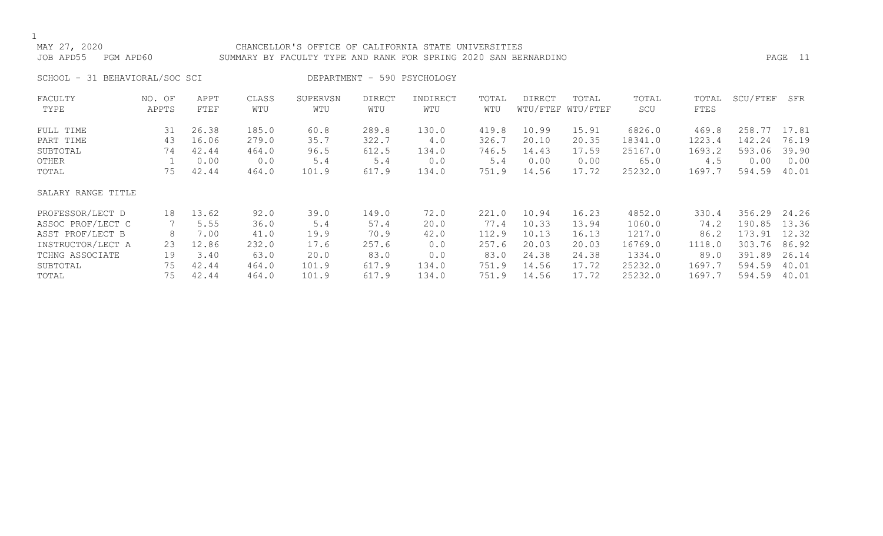### CHANCELLOR'S OFFICE OF CALIFORNIA STATE UNIVERSITIES JOB APD55 PGM APD60 SUMMARY BY FACULTY TYPE AND RANK FOR SPRING 2020 SAN BERNARDINO PAGE 11

SCHOOL - 31 BEHAVIORAL/SOC SCI DEPARTMENT - 590 PSYCHOLOGY

| FACULTY            | NO. OF | APPT  | CLASS | SUPERVSN | <b>DIRECT</b> | INDIRECT | TOTAL | DIRECT | TOTAL             | TOTAL   | TOTAL  | SCU/FTEF | SFR   |
|--------------------|--------|-------|-------|----------|---------------|----------|-------|--------|-------------------|---------|--------|----------|-------|
| TYPE               | APPTS  | FTEF  | WTU   | WTU      | WTU           | WTU      | WTU   |        | WTU/FTEF WTU/FTEF | SCU     | FTES   |          |       |
| FULL TIME          | 31     | 26.38 | 185.0 | 60.8     | 289.8         | 130.0    | 419.8 | 10.99  | 15.91             | 6826.0  | 469.8  | 258.77   | 17.81 |
| PART TIME          | 43     | 16.06 | 279.0 | 35.7     | 322.7         | 4.0      | 326.7 | 20.10  | 20.35             | 18341.0 | 1223.4 | 142.24   | 76.19 |
| SUBTOTAL           | 74     | 42.44 | 464.0 | 96.5     | 612.5         | 134.0    | 746.5 | 14.43  | 17.59             | 25167.0 | 1693.2 | 593.06   | 39.90 |
| OTHER              |        | 0.00  | 0.0   | 5.4      | 5.4           | 0.0      | 5.4   | 0.00   | 0.00              | 65.0    | 4.5    | 0.00     | 0.00  |
| TOTAL              | 75     | 42.44 | 464.0 | 101.9    | 617.9         | 134.0    | 751.9 | 14.56  | 17.72             | 25232.0 | 1697.7 | 594.59   | 40.01 |
| SALARY RANGE TITLE |        |       |       |          |               |          |       |        |                   |         |        |          |       |
| PROFESSOR/LECT D   | 18     | 13.62 | 92.0  | 39.0     | 149.0         | 72.0     | 221.0 | 10.94  | 16.23             | 4852.0  | 330.4  | 356.29   | 24.26 |
| ASSOC PROF/LECT C  | 7      | 5.55  | 36.0  | 5.4      | 57.4          | 20.0     | 77.4  | 10.33  | 13.94             | 1060.0  | 74.2   | 190.85   | 13.36 |
| ASST PROF/LECT B   | 8      | 7.00  | 41.0  | 19.9     | 70.9          | 42.0     | 112.9 | 10.13  | 16.13             | 1217.0  | 86.2   | 173.91   | 12.32 |
| INSTRUCTOR/LECT A  | 23     | 12.86 | 232.0 | 17.6     | 257.6         | 0.0      | 257.6 | 20.03  | 20.03             | 16769.0 | 1118.0 | 303.76   | 86.92 |
| TCHNG ASSOCIATE    | 19     | 3.40  | 63.0  | 20.0     | 83.0          | 0.0      | 83.0  | 24.38  | 24.38             | 1334.0  | 89.0   | 391.89   | 26.14 |
| SUBTOTAL           | 75     | 42.44 | 464.0 | 101.9    | 617.9         | 134.0    | 751.9 | 14.56  | 17.72             | 25232.0 | 1697.7 | 594.59   | 40.01 |
| TOTAL              | 75     | 42.44 | 464.0 | 101.9    | 617.9         | 134.0    | 751.9 | 14.56  | 17.72             | 25232.0 | 1697.7 | 594.59   | 40.01 |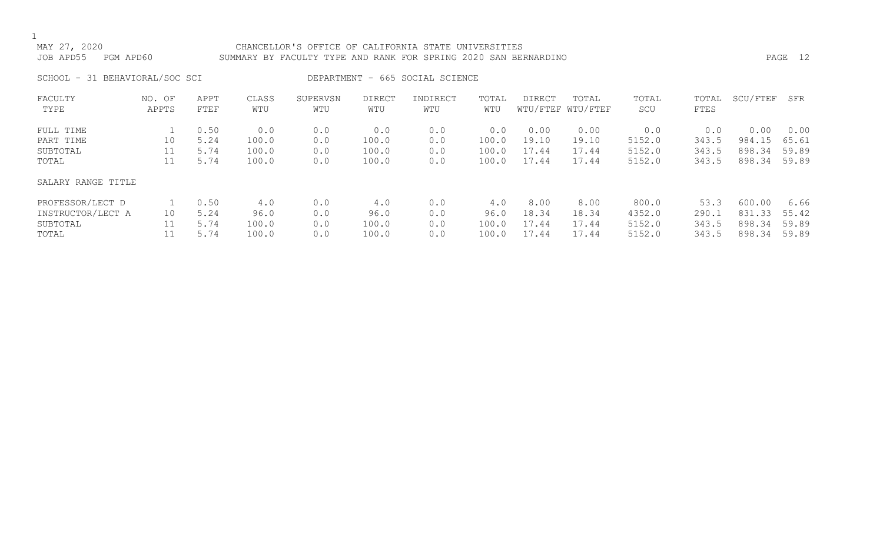### MAY 27, 2020 CHANCELLOR'S OFFICE OF CALIFORNIA STATE UNIVERSITIES JOB APD55 PGM APD60 SUMMARY BY FACULTY TYPE AND RANK FOR SPRING 2020 SAN BERNARDINO PAGE 12

SCHOOL - 31 BEHAVIORAL/SOC SCI DEPARTMENT - 665 SOCIAL SCIENCE

| FACULTY<br>TYPE    | NO. OF<br>APPTS | APPT<br>FTEF | CLASS<br>WTU | SUPERVSN<br>WTU | <b>DIRECT</b><br>WTU | INDIRECT<br>WTU | TOTAL<br>WTU | DIRECT | TOTAL<br>WTU/FTEF WTU/FTEF | TOTAL<br>SCU | TOTAL<br>FTES | SCU/FTEF | SFR   |
|--------------------|-----------------|--------------|--------------|-----------------|----------------------|-----------------|--------------|--------|----------------------------|--------------|---------------|----------|-------|
| FULL TIME          |                 | 0.50         | 0.0          | 0.0             | 0.0                  | 0.0             | 0.0          | 0.00   | 0.00                       | 0.0          | 0.0           | 0.00     | 0.00  |
| PART TIME          | 10              | 5.24         | 100.0        | 0.0             | 100.0                | 0.0             | 100.0        | 19.10  | 19.10                      | 5152.0       | 343.5         | 984.15   | 65.61 |
| SUBTOTAL           | 11              | 5.74         | 100.0        | 0.0             | 100.0                | 0.0             | 100.0        | 17.44  | 17.44                      | 5152.0       | 343.5         | 898.34   | 59.89 |
| TOTAL              | 11              | 5.74         | 100.0        | 0.0             | 100.0                | 0.0             | 100.0        | 17.44  | 17.44                      | 5152.0       | 343.5         | 898.34   | 59.89 |
| SALARY RANGE TITLE |                 |              |              |                 |                      |                 |              |        |                            |              |               |          |       |
| PROFESSOR/LECT D   |                 | 0.50         | 4.0          | 0.0             | 4.0                  | 0.0             | 4.0          | 8.00   | 8.00                       | 800.0        | 53.3          | 600.00   | 6.66  |
| INSTRUCTOR/LECT A  | 10              | 5.24         | 96.0         | 0.0             | 96.0                 | 0.0             | 96.0         | 18.34  | 18.34                      | 4352.0       | 290.1         | 831.33   | 55.42 |
| SUBTOTAL           | 11              | 5.74         | 100.0        | 0.0             | 100.0                | 0.0             | 100.0        | 17.44  | 17.44                      | 5152.0       | 343.5         | 898.34   | 59.89 |
| TOTAL              |                 | 5.74         | 100.0        | 0.0             | 100.0                | 0.0             | 100.0        | 17.44  | 17.44                      | 5152.0       | 343.5         | 898.34   | 59.89 |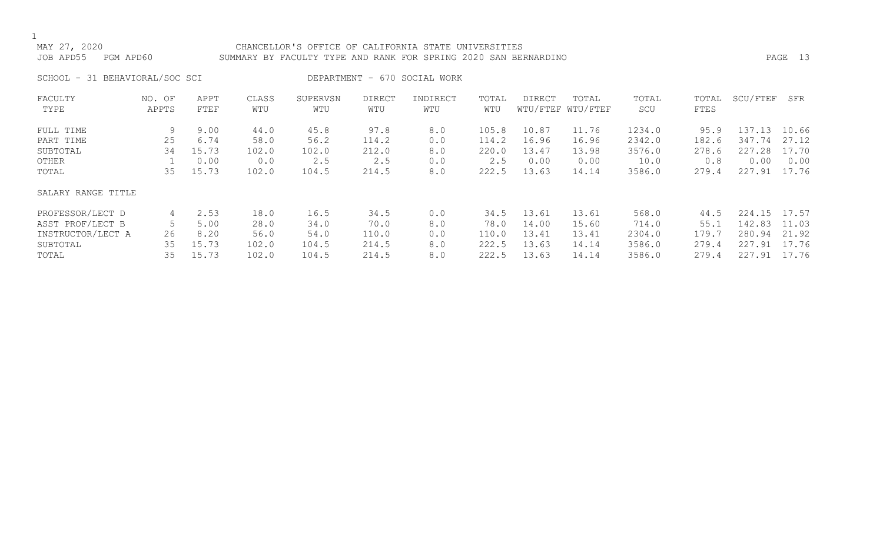### MAY 27, 2020 CHANCELLOR'S OFFICE OF CALIFORNIA STATE UNIVERSITIES JOB APD55 PGM APD60 SUMMARY BY FACULTY TYPE AND RANK FOR SPRING 2020 SAN BERNARDINO PAGE 13

SCHOOL - 31 BEHAVIORAL/SOC SCI DEPARTMENT - 670 SOCIAL WORK

| FACULTY            | NO. OF | APPT  | CLASS | SUPERVSN | <b>DIRECT</b> | INDIRECT | TOTAL | DIRECT | TOTAL             | TOTAL  | TOTAL | SCU/FTEF | SFR   |
|--------------------|--------|-------|-------|----------|---------------|----------|-------|--------|-------------------|--------|-------|----------|-------|
| TYPE               | APPTS  | FTEF  | WTU   | WTU      | WTU           | WTU      | WTU   |        | WTU/FTEF WTU/FTEF | SCU    | FTES  |          |       |
| FULL TIME          | 9      | 9.00  | 44.0  | 45.8     | 97.8          | 8.0      | 105.8 | 10.87  | 11.76             | 1234.0 | 95.9  | 137.13   | 10.66 |
| PART TIME          | 25     | 6.74  | 58.0  | 56.2     | 114.2         | 0.0      | 114.2 | 16.96  | 16.96             | 2342.0 | 182.6 | 347.74   | 27.12 |
| SUBTOTAL           | 34     | 15.73 | 102.0 | 102.0    | 212.0         | 8.0      | 220.0 | 13.47  | 13.98             | 3576.0 | 278.6 | 227.28   | 17.70 |
| OTHER              |        | 0.00  | 0.0   | 2.5      | 2.5           | 0.0      | 2.5   | 0.00   | 0.00              | 10.0   | 0.8   | 0.00     | 0.00  |
| TOTAL              | 35     | 15.73 | 102.0 | 104.5    | 214.5         | 8.0      | 222.5 | 13.63  | 14.14             | 3586.0 | 279.4 | 227.91   | 17.76 |
| SALARY RANGE TITLE |        |       |       |          |               |          |       |        |                   |        |       |          |       |
| PROFESSOR/LECT D   | 4      | 2.53  | 18.0  | 16.5     | 34.5          | 0.0      | 34.5  | 13.61  | 13.61             | 568.0  | 44.5  | 224.15   | 17.57 |
| ASST PROF/LECT B   |        | 5.00  | 28.0  | 34.0     | 70.0          | 8.0      | 78.0  | 14.00  | 15.60             | 714.0  | 55.1  | 142.83   | 11.03 |
| INSTRUCTOR/LECT A  | 26     | 8.20  | 56.0  | 54.0     | 110.0         | 0.0      | 110.0 | 13.41  | 13.41             | 2304.0 | 179.7 | 280.94   | 21.92 |
| SUBTOTAL           | 35     | 15.73 | 102.0 | 104.5    | 214.5         | 8.0      | 222.5 | 13.63  | 14.14             | 3586.0 | 279.4 | 227.91   | 17.76 |
| TOTAL              | 35     | 15.73 | 102.0 | 104.5    | 214.5         | 8.0      | 222.5 | 13.63  | 14.14             | 3586.0 | 279.4 | 227.91   | 17.76 |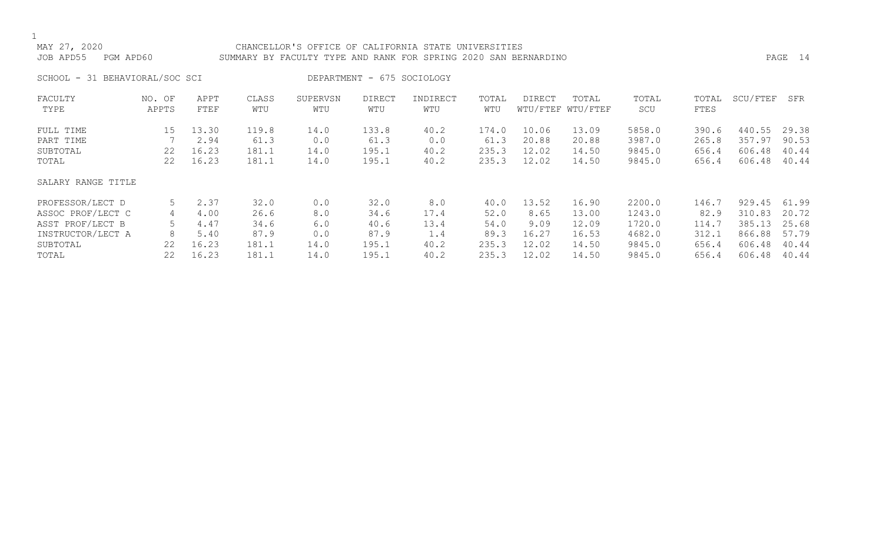### MAY 27, 2020 CHANCELLOR'S OFFICE OF CALIFORNIA STATE UNIVERSITIES JOB APD55 PGM APD60 SUMMARY BY FACULTY TYPE AND RANK FOR SPRING 2020 SAN BERNARDINO PAGE 14

SCHOOL - 31 BEHAVIORAL/SOC SCI DEPARTMENT - 675 SOCIOLOGY

| FACULTY<br>TYPE                                                                                     | NO. OF<br>APPTS               | APPT<br>FTEF                                   | CLASS<br>WTU                                   | SUPERVSN<br>WTU                          | <b>DIRECT</b><br>WTU                           | INDIRECT<br>WTU                            | TOTAL<br>WTU                                   | DIRECT                                           | TOTAL<br>WTU/FTEF WTU/FTEF                         | TOTAL<br>SCU                                             | TOTAL<br>FTES                                     | SCU/FTEF                                                 | SFR                                                |
|-----------------------------------------------------------------------------------------------------|-------------------------------|------------------------------------------------|------------------------------------------------|------------------------------------------|------------------------------------------------|--------------------------------------------|------------------------------------------------|--------------------------------------------------|----------------------------------------------------|----------------------------------------------------------|---------------------------------------------------|----------------------------------------------------------|----------------------------------------------------|
| FULL TIME<br>PART TIME<br>SUBTOTAL<br>TOTAL                                                         | 15<br>22<br>22                | 13.30<br>2.94<br>16.23<br>16.23                | 119.8<br>61.3<br>181.1<br>181.1                | 14.0<br>0.0<br>14.0<br>14.0              | 133.8<br>61.3<br>195.1<br>195.1                | 40.2<br>0.0<br>40.2<br>40.2                | 174.0<br>61.3<br>235.3<br>235.3                | 10.06<br>20.88<br>12.02<br>12.02                 | 13.09<br>20.88<br>14.50<br>14.50                   | 5858.0<br>3987.0<br>9845.0<br>9845.0                     | 390.6<br>265.8<br>656.4<br>656.4                  | 440.55<br>357.97<br>606.48<br>606.48                     | 29.38<br>90.53<br>40.44<br>40.44                   |
| SALARY RANGE TITLE                                                                                  |                               |                                                |                                                |                                          |                                                |                                            |                                                |                                                  |                                                    |                                                          |                                                   |                                                          |                                                    |
| PROFESSOR/LECT D<br>ASSOC PROF/LECT C<br>ASST PROF/LECT B<br>INSTRUCTOR/LECT A<br>SUBTOTAL<br>TOTAL | 5<br>4<br>5.<br>8<br>22<br>22 | 2.37<br>4.00<br>4.47<br>5.40<br>16.23<br>16.23 | 32.0<br>26.6<br>34.6<br>87.9<br>181.1<br>181.1 | 0.0<br>8.0<br>6.0<br>0.0<br>14.0<br>14.0 | 32.0<br>34.6<br>40.6<br>87.9<br>195.1<br>195.1 | 8.0<br>17.4<br>13.4<br>1.4<br>40.2<br>40.2 | 40.0<br>52.0<br>54.0<br>89.3<br>235.3<br>235.3 | 13.52<br>8.65<br>9.09<br>16.27<br>12.02<br>12.02 | 16.90<br>13.00<br>12.09<br>16.53<br>14.50<br>14.50 | 2200.0<br>1243.0<br>1720.0<br>4682.0<br>9845.0<br>9845.0 | 146.7<br>82.9<br>114.7<br>312.1<br>656.4<br>656.4 | 929.45<br>310.83<br>385.13<br>866.88<br>606.48<br>606.48 | 61.99<br>20.72<br>25.68<br>57.79<br>40.44<br>40.44 |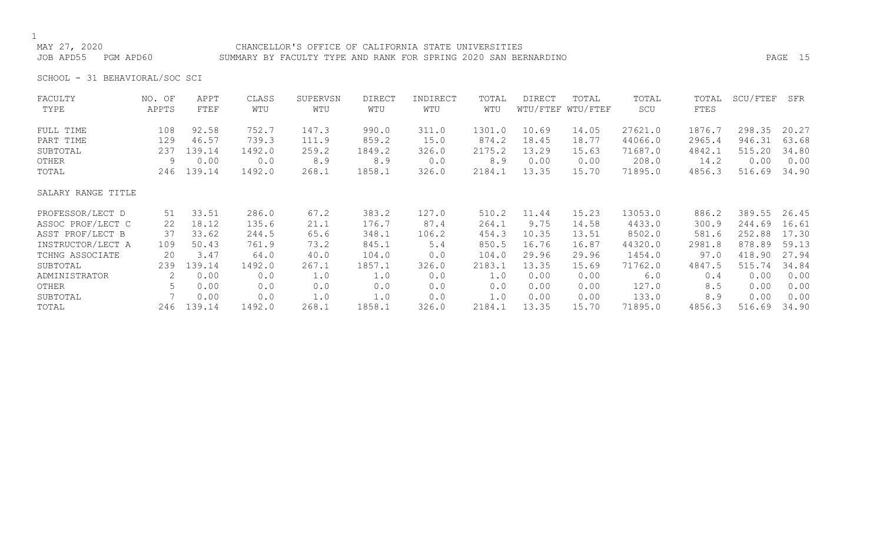### MAY 27, 2020 CHANCELLOR'S OFFICE OF CALIFORNIA STATE UNIVERSITIES JOB APD55 PGM APD60 SUMMARY BY FACULTY TYPE AND RANK FOR SPRING 2020 SAN BERNARDINO PAGE 15

SCHOOL - 31 BEHAVIORAL/SOC SCI

| WTU/FTEF WTU/FTEF<br>TYPE<br>APPTS<br>FTEF<br>WTU<br>WTU<br>WTU<br>WTU<br>SCU<br>FTES<br>WTU<br>27621.0<br>108<br>92.58<br>752.7<br>147.3<br>990.0<br>311.0<br>10.69<br>1876.7<br>298.35<br>FULL TIME<br>1301.0<br>14.05<br>18.45<br>2965.4<br>946.31<br>129<br>739.3<br>111.9<br>859.2<br>874.2<br>44066.0<br>PART TIME<br>46.57<br>15.0<br>18.77<br>2175.2<br>13.29<br>71687.0<br>4842.1<br>515.20<br>139.14<br>1492.0<br>259.2<br>1849.2<br>326.0<br>SUBTOTAL<br>237<br>15.63<br>8.9<br>8.9<br>208.0<br>14.2<br>0.00<br>9<br>0.00<br>0.0<br>8.9<br>0.0<br>0.00<br>0.00<br>OTHER<br>139.14<br>1492.0<br>268.1<br>1858.1<br>326.0<br>2184.1<br>13.35<br>15.70<br>71895.0<br>4856.3<br>516.69<br>246<br>TOTAL<br>SALARY RANGE TITLE | SCU/FTEF<br>SFR |
|-------------------------------------------------------------------------------------------------------------------------------------------------------------------------------------------------------------------------------------------------------------------------------------------------------------------------------------------------------------------------------------------------------------------------------------------------------------------------------------------------------------------------------------------------------------------------------------------------------------------------------------------------------------------------------------------------------------------------------------|-----------------|
|                                                                                                                                                                                                                                                                                                                                                                                                                                                                                                                                                                                                                                                                                                                                     |                 |
|                                                                                                                                                                                                                                                                                                                                                                                                                                                                                                                                                                                                                                                                                                                                     | 20.27           |
|                                                                                                                                                                                                                                                                                                                                                                                                                                                                                                                                                                                                                                                                                                                                     | 63.68           |
|                                                                                                                                                                                                                                                                                                                                                                                                                                                                                                                                                                                                                                                                                                                                     | 34.80           |
|                                                                                                                                                                                                                                                                                                                                                                                                                                                                                                                                                                                                                                                                                                                                     | 0.00            |
|                                                                                                                                                                                                                                                                                                                                                                                                                                                                                                                                                                                                                                                                                                                                     | 34.90           |
|                                                                                                                                                                                                                                                                                                                                                                                                                                                                                                                                                                                                                                                                                                                                     |                 |
| 33.51<br>67.2<br>13053.0<br>389.55<br>286.0<br>383.2<br>127.0<br>510.2<br>11.44<br>15.23<br>886.2<br>PROFESSOR/LECT D<br>51                                                                                                                                                                                                                                                                                                                                                                                                                                                                                                                                                                                                         | 26.45           |
| 18.12<br>176.7<br>87.4<br>264.1<br>9.75<br>ASSOC PROF/LECT C<br>135.6<br>21.1<br>14.58<br>4433.0<br>300.9<br>244.69<br>22                                                                                                                                                                                                                                                                                                                                                                                                                                                                                                                                                                                                           | 16.61           |
| 10.35<br>8502.0<br>252.88<br>ASST PROF/LECT B<br>37<br>33.62<br>348.1<br>106.2<br>454.3<br>13.51<br>581.6<br>244.5<br>65.6                                                                                                                                                                                                                                                                                                                                                                                                                                                                                                                                                                                                          | 17.30           |
| 761.9<br>850.5<br>16.76<br>44320.0<br>2981.8<br>878.89<br>INSTRUCTOR/LECT A<br>109<br>73.2<br>845.1<br>5.4<br>16.87<br>50.43                                                                                                                                                                                                                                                                                                                                                                                                                                                                                                                                                                                                        | 59.13           |
| 97.0<br>418.90<br>20<br>3.47<br>40.0<br>104.0<br>29.96<br>29.96<br>1454.0<br>TCHNG ASSOCIATE<br>64.0<br>104.0<br>0.0                                                                                                                                                                                                                                                                                                                                                                                                                                                                                                                                                                                                                | 27.94           |
| 2183.1<br>13.35<br>515.74<br>139.14<br>1492.0<br>267.1<br>1857.1<br>71762.0<br>4847.5<br>239<br>326.0<br>15.69<br>SUBTOTAL                                                                                                                                                                                                                                                                                                                                                                                                                                                                                                                                                                                                          | 34.84           |
| 0.00<br>0.00<br>1.0<br>0.0<br>1.0<br>6.0<br>2<br>0.0<br>1.0<br>0.00<br>0.00<br>0.4<br>ADMINISTRATOR                                                                                                                                                                                                                                                                                                                                                                                                                                                                                                                                                                                                                                 | 0.00            |
| 5<br>0.0<br>127.0<br>0.00<br>OTHER<br>0.00<br>0.0<br>0.0<br>0.0<br>0.0<br>0.00<br>0.00<br>8.5                                                                                                                                                                                                                                                                                                                                                                                                                                                                                                                                                                                                                                       | 0.00            |
| 133.0<br>0.00<br>0.00<br>1.0<br>1.0<br>0.0<br>0.00<br>8.9<br>SUBTOTAL<br>0.0<br>1.0<br>0.00                                                                                                                                                                                                                                                                                                                                                                                                                                                                                                                                                                                                                                         | 0.00            |
| 13.35<br>516.69<br>139.14<br>1492.0<br>268.1<br>326.0<br>2184.1<br>15.70<br>71895.0<br>4856.3<br>246<br>1858.1<br>TOTAL                                                                                                                                                                                                                                                                                                                                                                                                                                                                                                                                                                                                             | 34.90           |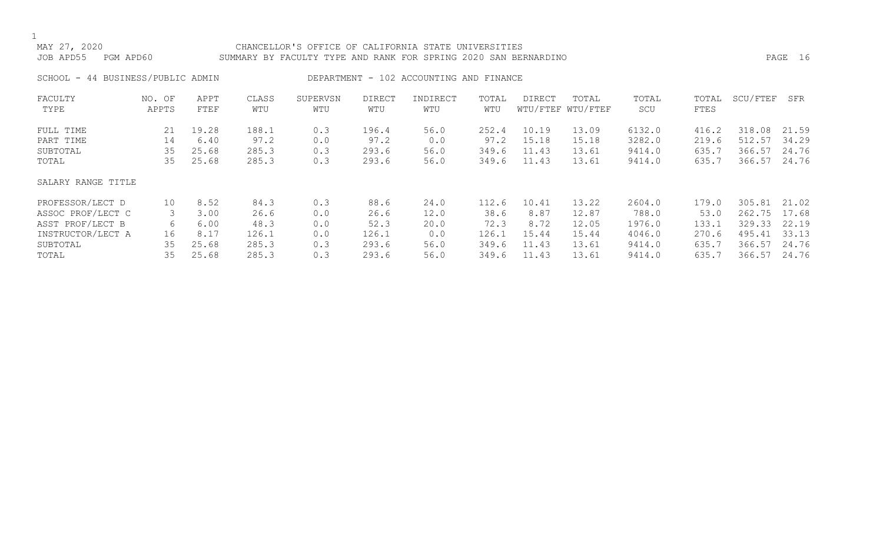## 1<br>MAY 27, 2020 CHANCELLOR'S OFFICE OF CALIFORNIA STATE UNIVERSITIES JOB APD55 PGM APD60 SUMMARY BY FACULTY TYPE AND RANK FOR SPRING 2020 SAN BERNARDINO PAGE 16 SCHOOL - 44 BUSINESS/PUBLIC ADMIN DEPARTMENT - 102 ACCOUNTING AND FINANCE FACULTY NO. OF APPT CLASS SUPERVSN DIRECT INDIRECT TOTAL DIRECT TOTAL TOTAL TOTAL SCU/FTEF SFR WTU WTU/FTEF WTU/FTEF

| FULL TIME          | 21 | 19.28 | 188.1 |     | 196.4 | 56.0 | 252.4 | 10.19 | 13.09 | 6132.0 | 416.2 | 318.08       | 21.59 |
|--------------------|----|-------|-------|-----|-------|------|-------|-------|-------|--------|-------|--------------|-------|
| PART TIME          | 14 | 6.40  | 97.2  | 0.0 | 97.2  | 0.0  | 97.2  | 15.18 | 15.18 | 3282.0 | 219.6 | 512.57       | 34.29 |
| SUBTOTAL           | 35 | 25.68 | 285.3 | 0.3 | 293.6 | 56.0 | 349.6 | 11.43 | 13.61 | 9414.0 | 635.7 | 366.57       | 24.76 |
| TOTAL              | 35 | 25.68 | 285.3 | 0.3 | 293.6 | 56.0 | 349.6 | 11.43 | 13.61 | 9414.0 | 635.7 | 366.57       | 24.76 |
| SALARY RANGE TITLE |    |       |       |     |       |      |       |       |       |        |       |              |       |
| PROFESSOR/LECT D   | 10 | 8.52  | 84.3  | 0.3 | 88.6  | 24.0 | 112.6 | 10.41 | 13.22 | 2604.0 | 179.0 | 305.81 21.02 |       |
| ASSOC PROF/LECT C  | 3  | 3.00  | 26.6  | 0.0 | 26.6  | 12.0 | 38.6  | 8.87  | 12.87 | 788.0  | 53.0  | 262.75 17.68 |       |
| ASST PROF/LECT B   | 6  | 6.00  | 48.3  | 0.0 | 52.3  | 20.0 | 72.3  | 8.72  | 12.05 | 1976.0 | 133.1 | 329.33       | 22.19 |
| INSTRUCTOR/LECT A  | 16 | 8.17  | 126.1 | 0.0 | 126.1 | 0.0  | 126.1 | 15.44 | 15.44 | 4046.0 | 270.6 | 495.41       | 33.13 |
| SUBTOTAL           | 35 | 25.68 | 285.3 | 0.3 | 293.6 | 56.0 | 349.6 | 11.43 | 13.61 | 9414.0 | 635.7 | 366.57       | 24.76 |
| TOTAL              | 35 | 25.68 | 285.3 | 0.3 | 293.6 | 56.0 | 349.6 | 11.43 | 13.61 | 9414.0 | 635.7 | 366.57       | 24.76 |
|                    |    |       |       |     |       |      |       |       |       |        |       |              |       |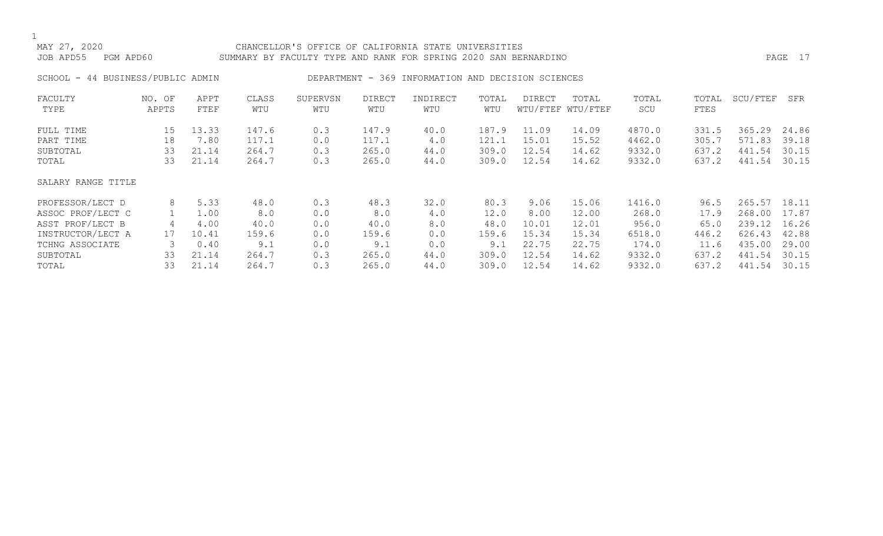### MAY 27, 2020 CHANCELLOR'S OFFICE OF CALIFORNIA STATE UNIVERSITIES JOB APD55 PGM APD60 SUMMARY BY FACULTY TYPE AND RANK FOR SPRING 2020 SAN BERNARDINO PAGE 17

SCHOOL - 44 BUSINESS/PUBLIC ADMIN DEPARTMENT - 369 INFORMATION AND DECISION SCIENCES

| FACULTY            | NO. OF | APPT  | CLASS | SUPERVSN | <b>DIRECT</b> | INDIRECT | TOTAL | <b>DIRECT</b> | TOTAL             | TOTAL  | TOTAL | SCU/FTEF | SFR   |
|--------------------|--------|-------|-------|----------|---------------|----------|-------|---------------|-------------------|--------|-------|----------|-------|
| TYPE               | APPTS  | FTEF  | WTU   | WTU      | WTU           | WTU      | WTU   |               | WTU/FTEF WTU/FTEF | SCU    | FTES  |          |       |
| FULL TIME          | 15     | 13.33 | 147.6 | 0.3      | 147.9         | 40.0     | 187.9 | 11.09         | 14.09             | 4870.0 | 331.5 | 365.29   | 24.86 |
| PART TIME          | 18     | 7.80  | 117.1 | 0.0      | 117.1         | 4.0      | 121.1 | 15.01         | 15.52             | 4462.0 | 305.7 | 571.83   | 39.18 |
| SUBTOTAL           | 33     | 21.14 | 264.7 | 0.3      | 265.0         | 44.0     | 309.0 | 12.54         | 14.62             | 9332.0 | 637.2 | 441.54   | 30.15 |
| TOTAL              | 33     | 21.14 | 264.7 | 0.3      | 265.0         | 44.0     | 309.0 | 12.54         | 14.62             | 9332.0 | 637.2 | 441.54   | 30.15 |
| SALARY RANGE TITLE |        |       |       |          |               |          |       |               |                   |        |       |          |       |
| PROFESSOR/LECT D   | 8      | 5.33  | 48.0  | 0.3      | 48.3          | 32.0     | 80.3  | 9.06          | 15.06             | 1416.0 | 96.5  | 265.57   | 18.11 |
| ASSOC PROF/LECT C  |        | 1.00  | 8.0   | 0.0      | 8.0           | 4.0      | 12.0  | 8.00          | 12.00             | 268.0  | 17.9  | 268.00   | 17.87 |
| ASST PROF/LECT B   | 4      | 4.00  | 40.0  | 0.0      | 40.0          | 8.0      | 48.0  | 10.01         | 12.01             | 956.0  | 65.0  | 239.12   | 16.26 |
| INSTRUCTOR/LECT A  | 17     | 10.41 | 159.6 | 0.0      | 159.6         | 0.0      | 159.6 | 15.34         | 15.34             | 6518.0 | 446.2 | 626.43   | 42.88 |
| TCHNG ASSOCIATE    | 3      | 0.40  | 9.1   | 0.0      | 9.1           | 0.0      | 9.1   | 22.75         | 22.75             | 174.0  | 11.6  | 435.00   | 29.00 |
| SUBTOTAL           | 33     | 21.14 | 264.7 | 0.3      | 265.0         | 44.0     | 309.0 | 12.54         | 14.62             | 9332.0 | 637.2 | 441.54   | 30.15 |
| TOTAL              | 33     | 21.14 | 264.7 | 0.3      | 265.0         | 44.0     | 309.0 | 12.54         | 14.62             | 9332.0 | 637.2 | 441.54   | 30.15 |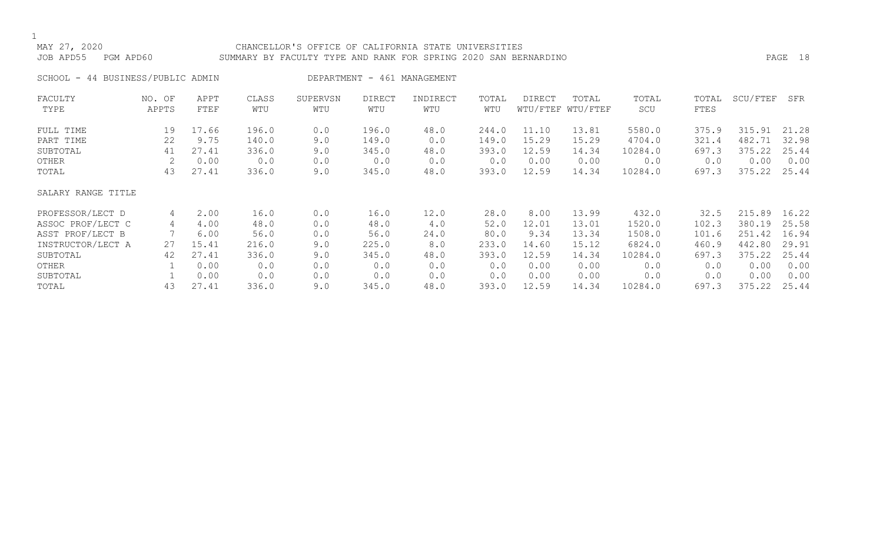### MAY 27, 2020 CHANCELLOR'S OFFICE OF CALIFORNIA STATE UNIVERSITIES JOB APD55 PGM APD60 SUMMARY BY FACULTY TYPE AND RANK FOR SPRING 2020 SAN BERNARDINO PAGE 18

SCHOOL - 44 BUSINESS/PUBLIC ADMIN DEPARTMENT - 461 MANAGEMENT

| FACULTY            | NO. OF | APPT  | CLASS | SUPERVSN | <b>DIRECT</b> | INDIRECT | TOTAL | DIRECT | TOTAL             | TOTAL   | TOTAL       | SCU/FTEF | SFR   |
|--------------------|--------|-------|-------|----------|---------------|----------|-------|--------|-------------------|---------|-------------|----------|-------|
| TYPE               | APPTS  | FTEF  | WTU   | WTU      | WTU           | WTU      | WTU   |        | WTU/FTEF WTU/FTEF | SCU     | <b>FTES</b> |          |       |
| FULL TIME          | 19     | 17.66 | 196.0 | 0.0      | 196.0         | 48.0     | 244.0 | 11.10  | 13.81             | 5580.0  | 375.9       | 315.91   | 21.28 |
| PART TIME          | 22     | 9.75  | 140.0 | 9.0      | 149.0         | 0.0      | 149.0 | 15.29  | 15.29             | 4704.0  | 321.4       | 482.71   | 32.98 |
| SUBTOTAL           | 41     | 27.41 | 336.0 | 9.0      | 345.0         | 48.0     | 393.0 | 12.59  | 14.34             | 10284.0 | 697.3       | 375.22   | 25.44 |
| OTHER              |        | 0.00  | 0.0   | 0.0      | 0.0           | 0.0      | 0.0   | 0.00   | 0.00              | 0.0     | 0.0         | 0.00     | 0.00  |
| TOTAL              | 43     | 27.41 | 336.0 | 9.0      | 345.0         | 48.0     | 393.0 | 12.59  | 14.34             | 10284.0 | 697.3       | 375.22   | 25.44 |
| SALARY RANGE TITLE |        |       |       |          |               |          |       |        |                   |         |             |          |       |
| PROFESSOR/LECT D   | 4      | 2.00  | 16.0  | 0.0      | 16.0          | 12.0     | 28.0  | 8.00   | 13.99             | 432.0   | 32.5        | 215.89   | 16.22 |
| ASSOC PROF/LECT C  | 4      | 4.00  | 48.0  | 0.0      | 48.0          | 4.0      | 52.0  | 12.01  | 13.01             | 1520.0  | 102.3       | 380.19   | 25.58 |
| ASST PROF/LECT B   |        | 6.00  | 56.0  | 0.0      | 56.0          | 24.0     | 80.0  | 9.34   | 13.34             | 1508.0  | 101.6       | 251.42   | 16.94 |
| INSTRUCTOR/LECT A  | 27     | 15.41 | 216.0 | 9.0      | 225.0         | 8.0      | 233.0 | 14.60  | 15.12             | 6824.0  | 460.9       | 442.80   | 29.91 |
| SUBTOTAL           | 42     | 27.41 | 336.0 | 9.0      | 345.0         | 48.0     | 393.0 | 12.59  | 14.34             | 10284.0 | 697.3       | 375.22   | 25.44 |
| OTHER              |        | 0.00  | 0.0   | 0.0      | 0.0           | 0.0      | 0.0   | 0.00   | 0.00              | 0.0     | 0.0         | 0.00     | 0.00  |
| SUBTOTAL           |        | 0.00  | 0.0   | 0.0      | 0.0           | 0.0      | 0.0   | 0.00   | 0.00              | 0.0     | 0.0         | 0.00     | 0.00  |
| TOTAL              | 43     | 27.41 | 336.0 | 9.0      | 345.0         | 48.0     | 393.0 | 12.59  | 14.34             | 10284.0 | 697.3       | 375.22   | 25.44 |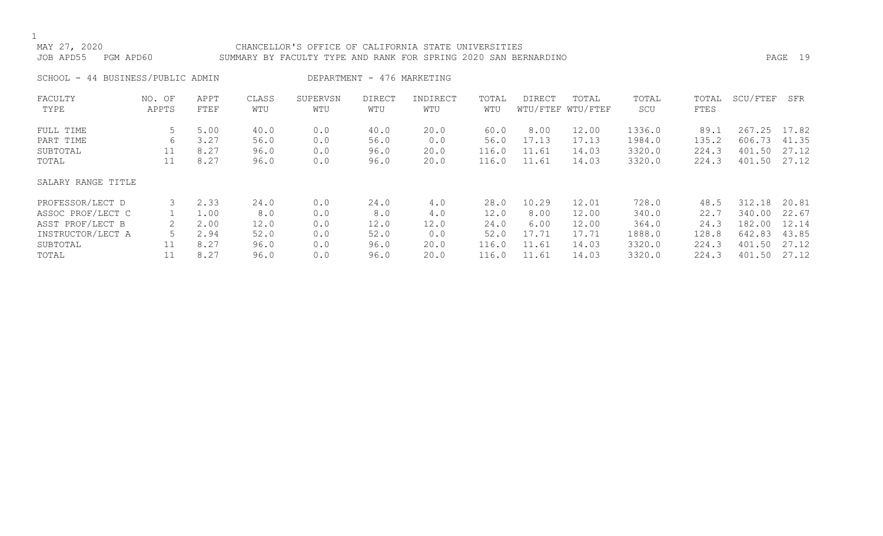### MAY 27, 2020 CHANCELLOR'S OFFICE OF CALIFORNIA STATE UNIVERSITIES JOB APD55 PGM APD60 SUMMARY BY FACULTY TYPE AND RANK FOR SPRING 2020 SAN BERNARDINO PAGE 19

SCHOOL - 44 BUSINESS/PUBLIC ADMIN DEPARTMENT - 476 MARKETING

| FACULTY<br>TYPE    | NO. OF<br>APPTS | APPT<br>FTEF | CLASS<br>WTU | SUPERVSN<br>WTU | <b>DIRECT</b><br>WTU | INDIRECT<br>WTU | TOTAL<br>WTU | <b>DIRECT</b> | TOTAL<br>WTU/FTEF WTU/FTEF | TOTAL<br>SCU | TOTAL<br>FTES | SCU/FTEF | SFR   |
|--------------------|-----------------|--------------|--------------|-----------------|----------------------|-----------------|--------------|---------------|----------------------------|--------------|---------------|----------|-------|
| FULL TIME          | 5               | 5.00         | 40.0         | 0.0             | 40.0                 | 20.0            | 60.0         | 8.00          | 12.00                      | 1336.0       | 89.1          | 267.25   | 17.82 |
| PART TIME          | 6               | 3.27         | 56.0         | 0.0             | 56.0                 | 0.0             | 56.0         | 17.13         | 17.13                      | 1984.0       | 135.2         | 606.73   | 41.35 |
| SUBTOTAL           | 11              | 8.27         | 96.0         | 0.0             | 96.0                 | 20.0            | 116.0        | 11.61         | 14.03                      | 3320.0       | 224.3         | 401.50   | 27.12 |
| TOTAL              | 11              | 8.27         | 96.0         | 0.0             | 96.0                 | 20.0            | 116.0        | 11.61         | 14.03                      | 3320.0       | 224.3         | 401.50   | 27.12 |
| SALARY RANGE TITLE |                 |              |              |                 |                      |                 |              |               |                            |              |               |          |       |
| PROFESSOR/LECT D   |                 | 2.33         | 24.0         | 0.0             | 24.0                 | 4.0             | 28.0         | 10.29         | 12.01                      | 728.0        | 48.5          | 312.18   | 20.81 |
| ASSOC PROF/LECT C  |                 | 1.00         | 8.0          | 0.0             | 8.0                  | 4.0             | 12.0         | 8.00          | 12.00                      | 340.0        | 22.7          | 340.00   | 22.67 |
| ASST PROF/LECT B   |                 | 2.00         | 12.0         | 0.0             | 12.0                 | 12.0            | 24.0         | 6.00          | 12.00                      | 364.0        | 24.3          | 182.00   | 12.14 |
| INSTRUCTOR/LECT A  |                 | 2.94         | 52.0         | 0.0             | 52.0                 | 0.0             | 52.0         | 17.71         | 17.71                      | 1888.0       | 128.8         | 642.83   | 43.85 |
| SUBTOTAL           |                 | 8.27         | 96.0         | 0.0             | 96.0                 | 20.0            | 116.0        | 11.61         | 14.03                      | 3320.0       | 224.3         | 401.50   | 27.12 |
| TOTAL              |                 | 8.27         | 96.0         | 0.0             | 96.0                 | 20.0            | 116.0        | 11.61         | 14.03                      | 3320.0       | 224.3         | 401.50   | 27.12 |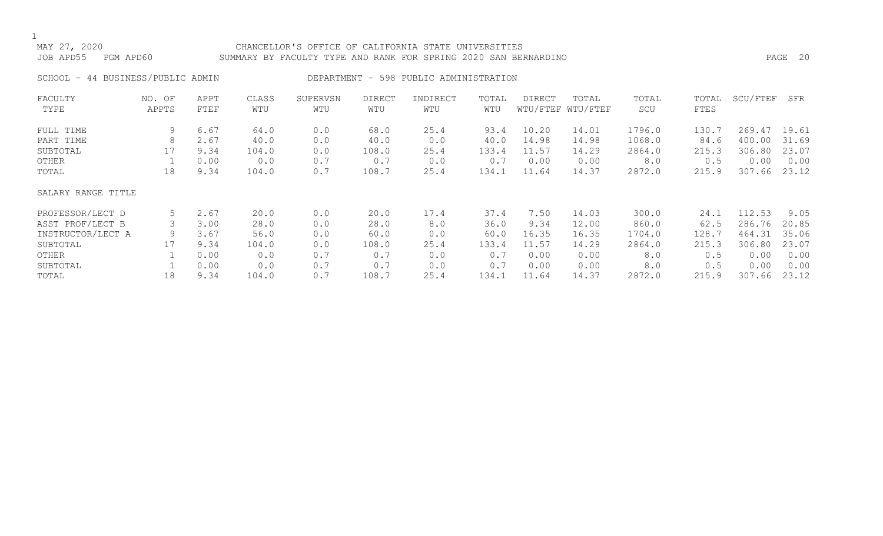### MAY 27, 2020 CHANCELLOR'S OFFICE OF CALIFORNIA STATE UNIVERSITIES JOB APD55 PGM APD60 SUMMARY BY FACULTY TYPE AND RANK FOR SPRING 2020 SAN BERNARDINO PAGE 20

SCHOOL - 44 BUSINESS/PUBLIC ADMIN DEPARTMENT - 598 PUBLIC ADMINISTRATION

| FACULTY            | NO. OF | APPT | CLASS | SUPERVSN | <b>DIRECT</b> | INDIRECT | TOTAL | DIRECT | TOTAL             | TOTAL  | TOTAL | SCU/FTEF | SFR   |
|--------------------|--------|------|-------|----------|---------------|----------|-------|--------|-------------------|--------|-------|----------|-------|
| TYPE               | APPTS  | FTEF | WTU   | WTU      | WTU           | WTU      | WTU   |        | WTU/FTEF WTU/FTEF | SCU    | FTES  |          |       |
| FULL TIME          | 9      | 6.67 | 64.0  | 0.0      | 68.0          | 25.4     | 93.4  | 10.20  | 14.01             | 1796.0 | 130.7 | 269.47   | 19.61 |
| PART TIME          | 8      | 2.67 | 40.0  | 0.0      | 40.0          | 0.0      | 40.0  | 14.98  | 14.98             | 1068.0 | 84.6  | 400.00   | 31.69 |
| SUBTOTAL           | 17     | 9.34 | 104.0 | 0.0      | 108.0         | 25.4     | 133.4 | 11.57  | 14.29             | 2864.0 | 215.3 | 306.80   | 23.07 |
| OTHER              |        | 0.00 | 0.0   | 0.7      | 0.7           | 0.0      | 0.7   | 0.00   | 0.00              | 8.0    | 0.5   | 0.00     | 0.00  |
| TOTAL              | 18     | 9.34 | 104.0 | 0.7      | 108.7         | 25.4     | 134.1 | 11.64  | 14.37             | 2872.0 | 215.9 | 307.66   | 23.12 |
| SALARY RANGE TITLE |        |      |       |          |               |          |       |        |                   |        |       |          |       |
| PROFESSOR/LECT D   | 5      | 2.67 | 20.0  | 0.0      | 20.0          | 17.4     | 37.4  | 7.50   | 14.03             | 300.0  | 24.1  | 112.53   | 9.05  |
| ASST PROF/LECT B   |        | 3.00 | 28.0  | 0.0      | 28.0          | 8.0      | 36.0  | 9.34   | 12.00             | 860.0  | 62.5  | 286.76   | 20.85 |
| INSTRUCTOR/LECT A  | 9      | 3.67 | 56.0  | 0.0      | 60.0          | 0.0      | 60.0  | 16.35  | 16.35             | 1704.0 | 128.7 | 464.31   | 35.06 |
| SUBTOTAL           | 17     | 9.34 | 104.0 | 0.0      | 108.0         | 25.4     | 133.4 | 11.57  | 14.29             | 2864.0 | 215.3 | 306.80   | 23.07 |
| OTHER              |        | 0.00 | 0.0   | 0.7      | 0.7           | 0.0      | 0.7   | 0.00   | 0.00              | 8.0    | 0.5   | 0.00     | 0.00  |
| SUBTOTAL           |        | 0.00 | 0.0   | 0.7      | 0.7           | 0.0      | 0.7   | 0.00   | 0.00              | 8.0    | 0.5   | 0.00     | 0.00  |
| TOTAL              | 18     | 9.34 | 104.0 | 0.7      | 108.7         | 25.4     | 134.1 | 11.64  | 14.37             | 2872.0 | 215.9 | 307.66   | 23.12 |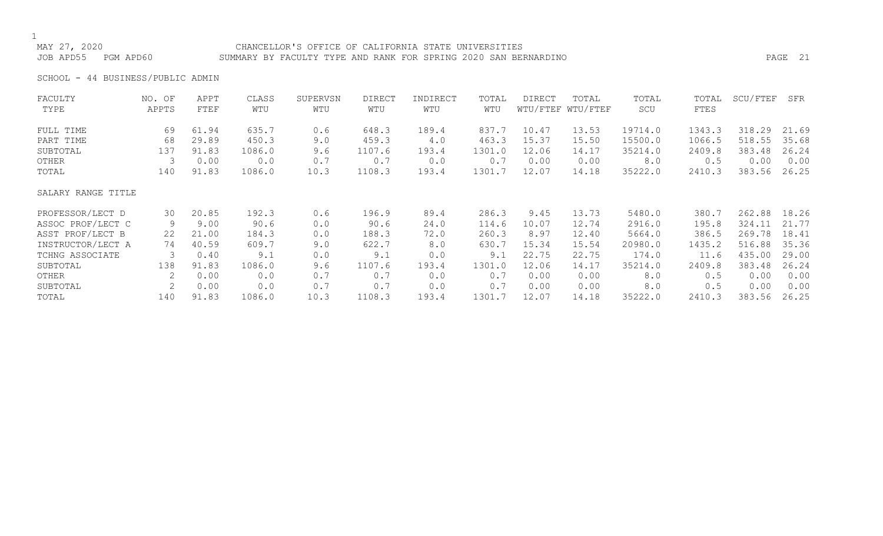### MAY 27, 2020 CHANCELLOR'S OFFICE OF CALIFORNIA STATE UNIVERSITIES JOB APD55 PGM APD60 SUMMARY BY FACULTY TYPE AND RANK FOR SPRING 2020 SAN BERNARDINO PAGE 21

SCHOOL - 44 BUSINESS/PUBLIC ADMIN

| FACULTY            | NO. OF | APPT  | CLASS  | SUPERVSN | DIRECT | INDIRECT | TOTAL  | <b>DIRECT</b> | TOTAL             | TOTAL   | TOTAL  | SCU/FTEF | SFR   |
|--------------------|--------|-------|--------|----------|--------|----------|--------|---------------|-------------------|---------|--------|----------|-------|
| TYPE               | APPTS  | FTEF  | WTU    | WTU      | WTU    | WTU      | WTU    |               | WTU/FTEF WTU/FTEF | SCU     | FTES   |          |       |
| FULL TIME          | 69     | 61.94 | 635.7  | 0.6      | 648.3  | 189.4    | 837.7  | 10.47         | 13.53             | 19714.0 | 1343.3 | 318.29   | 21.69 |
| PART TIME          | 68     | 29.89 | 450.3  | 9.0      | 459.3  | 4.0      | 463.3  | 15.37         | 15.50             | 15500.0 | 1066.5 | 518.55   | 35.68 |
| SUBTOTAL           | 137    | 91.83 | 1086.0 | 9.6      | 1107.6 | 193.4    | 1301.0 | 12.06         | 14.17             | 35214.0 | 2409.8 | 383.48   | 26.24 |
| OTHER              | 3      | 0.00  | 0.0    | 0.7      | 0.7    | 0.0      | 0.7    | 0.00          | 0.00              | 8.0     | 0.5    | 0.00     | 0.00  |
| TOTAL              | 140    | 91.83 | 1086.0 | 10.3     | 1108.3 | 193.4    | 1301.7 | 12.07         | 14.18             | 35222.0 | 2410.3 | 383.56   | 26.25 |
| SALARY RANGE TITLE |        |       |        |          |        |          |        |               |                   |         |        |          |       |
| PROFESSOR/LECT D   | 30     | 20.85 | 192.3  | 0.6      | 196.9  | 89.4     | 286.3  | 9.45          | 13.73             | 5480.0  | 380.7  | 262.88   | 18.26 |
| ASSOC PROF/LECT C  | 9      | 9.00  | 90.6   | 0.0      | 90.6   | 24.0     | 114.6  | 10.07         | 12.74             | 2916.0  | 195.8  | 324.11   | 21.77 |
| ASST PROF/LECT B   | 22     | 21.00 | 184.3  | 0.0      | 188.3  | 72.0     | 260.3  | 8.97          | 12.40             | 5664.0  | 386.5  | 269.78   | 18.41 |
| INSTRUCTOR/LECT A  | 74     | 40.59 | 609.7  | 9.0      | 622.7  | 8.0      | 630.7  | 15.34         | 15.54             | 20980.0 | 1435.2 | 516.88   | 35.36 |
| TCHNG ASSOCIATE    | 3      | 0.40  | 9.1    | 0.0      | 9.1    | 0.0      | 9.1    | 22.75         | 22.75             | 174.0   | 11.6   | 435.00   | 29.00 |
| SUBTOTAL           | 138    | 91.83 | 1086.0 | 9.6      | 1107.6 | 193.4    | 1301.0 | 12.06         | 14.17             | 35214.0 | 2409.8 | 383.48   | 26.24 |
| OTHER              | 2      | 0.00  | 0.0    | 0.7      | 0.7    | 0.0      | 0.7    | 0.00          | 0.00              | 8.0     | 0.5    | 0.00     | 0.00  |
| SUBTOTAL           | 2      | 0.00  | 0.0    | 0.7      | 0.7    | 0.0      | 0.7    | 0.00          | 0.00              | 8.0     | 0.5    | 0.00     | 0.00  |
| TOTAL              | 140    | 91.83 | 1086.0 | 10.3     | 1108.3 | 193.4    | 1301.7 | 12.07         | 14.18             | 35222.0 | 2410.3 | 383.56   | 26.25 |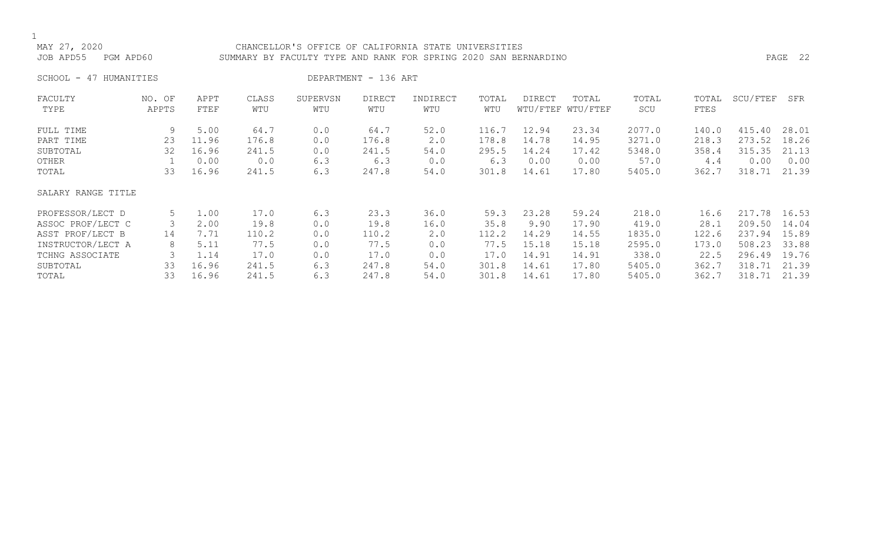### CHANCELLOR'S OFFICE OF CALIFORNIA STATE UNIVERSITIES JOB APD55 PGM APD60 SUMMARY BY FACULTY TYPE AND RANK FOR SPRING 2020 SAN BERNARDINO PAGE 22

SCHOOL - 47 HUMANITIES DEPARTMENT - 136 ART

| FACULTY            | NO. OF | APPT  | CLASS | SUPERVSN | <b>DIRECT</b> | INDIRECT | TOTAL | <b>DIRECT</b> | TOTAL             | TOTAL  | TOTAL | SCU/FTEF | SFR   |
|--------------------|--------|-------|-------|----------|---------------|----------|-------|---------------|-------------------|--------|-------|----------|-------|
| TYPE               | APPTS  | FTEF  | WTU   | WTU      | WTU           | WTU      | WTU   |               | WTU/FTEF WTU/FTEF | SCU    | FTES  |          |       |
| FULL TIME          | 9      | 5.00  | 64.7  | 0.0      | 64.7          | 52.0     | 116.7 | 12.94         | 23.34             | 2077.0 | 140.0 | 415.40   | 28.01 |
| PART TIME          | 23     | 11.96 | 176.8 | 0.0      | 176.8         | 2.0      | 178.8 | 14.78         | 14.95             | 3271.0 | 218.3 | 273.52   | 18.26 |
| SUBTOTAL           | 32     | 16.96 | 241.5 | 0.0      | 241.5         | 54.0     | 295.5 | 14.24         | 17.42             | 5348.0 | 358.4 | 315.35   | 21.13 |
| OTHER              |        | 0.00  | 0.0   | 6.3      | 6.3           | 0.0      | 6.3   | 0.00          | 0.00              | 57.0   | 4.4   | 0.00     | 0.00  |
| TOTAL              | 33     | 16.96 | 241.5 | 6.3      | 247.8         | 54.0     | 301.8 | 14.61         | 17.80             | 5405.0 | 362.7 | 318.71   | 21.39 |
| SALARY RANGE TITLE |        |       |       |          |               |          |       |               |                   |        |       |          |       |
| PROFESSOR/LECT D   | 5      | 1.00  | 17.0  | 6.3      | 23.3          | 36.0     | 59.3  | 23.28         | 59.24             | 218.0  | 16.6  | 217.78   | 16.53 |
| ASSOC PROF/LECT C  | 3      | 2.00  | 19.8  | 0.0      | 19.8          | 16.0     | 35.8  | 9.90          | 17.90             | 419.0  | 28.1  | 209.50   | 14.04 |
| ASST PROF/LECT B   | 14     | 7.71  | 110.2 | 0.0      | 110.2         | 2.0      | 112.2 | 14.29         | 14.55             | 1835.0 | 122.6 | 237.94   | 15.89 |
| INSTRUCTOR/LECT A  | 8      | 5.11  | 77.5  | 0.0      | 77.5          | 0.0      | 77.5  | 15.18         | 15.18             | 2595.0 | 173.0 | 508.23   | 33.88 |
| TCHNG ASSOCIATE    | 3      | 1.14  | 17.0  | 0.0      | 17.0          | 0.0      | 17.0  | 14.91         | 14.91             | 338.0  | 22.5  | 296.49   | 19.76 |
| SUBTOTAL           | 33     | 16.96 | 241.5 | 6.3      | 247.8         | 54.0     | 301.8 | 14.61         | 17.80             | 5405.0 | 362.7 | 318.71   | 21.39 |
| TOTAL              | 33     | 16.96 | 241.5 | 6.3      | 247.8         | 54.0     | 301.8 | 14.61         | 17.80             | 5405.0 | 362.7 | 318.71   | 21.39 |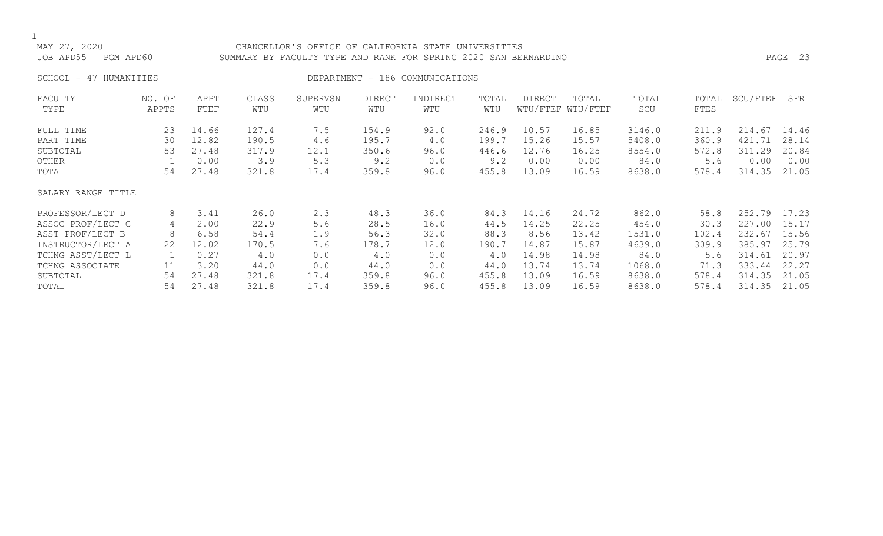### CHANCELLOR'S OFFICE OF CALIFORNIA STATE UNIVERSITIES JOB APD55 PGM APD60 SUMMARY BY FACULTY TYPE AND RANK FOR SPRING 2020 SAN BERNARDINO PAGE 23

SCHOOL - 47 HUMANITIES SERIES DEPARTMENT - 186 COMMUNICATIONS

| FACULTY            | NO. OF | APPT  | CLASS | SUPERVSN | DIRECT | INDIRECT | TOTAL | DIRECT | TOTAL             | TOTAL  | TOTAL       | SCU/FTEF | SFR   |
|--------------------|--------|-------|-------|----------|--------|----------|-------|--------|-------------------|--------|-------------|----------|-------|
| TYPE               | APPTS  | FTEF  | WTU   | WTU      | WTU    | WTU      | WTU   |        | WTU/FTEF WTU/FTEF | SCU    | <b>FTES</b> |          |       |
| FULL TIME          | 23     | 14.66 | 127.4 | 7.5      | 154.9  | 92.0     | 246.9 | 10.57  | 16.85             | 3146.0 | 211.9       | 214.67   | 14.46 |
| PART TIME          | 30     | 12.82 | 190.5 | 4.6      | 195.7  | 4.0      | 199.7 | 15.26  | 15.57             | 5408.0 | 360.9       | 421.71   | 28.14 |
| SUBTOTAL           | 53     | 27.48 | 317.9 | 12.1     | 350.6  | 96.0     | 446.6 | 12.76  | 16.25             | 8554.0 | 572.8       | 311.29   | 20.84 |
| OTHER              |        | 0.00  | 3.9   | 5.3      | 9.2    | 0.0      | 9.2   | 0.00   | 0.00              | 84.0   | 5.6         | 0.00     | 0.00  |
| TOTAL              | 54     | 27.48 | 321.8 | 17.4     | 359.8  | 96.0     | 455.8 | 13.09  | 16.59             | 8638.0 | 578.4       | 314.35   | 21.05 |
| SALARY RANGE TITLE |        |       |       |          |        |          |       |        |                   |        |             |          |       |
| PROFESSOR/LECT D   | 8      | 3.41  | 26.0  | 2.3      | 48.3   | 36.0     | 84.3  | 14.16  | 24.72             | 862.0  | 58.8        | 252.79   | 17.23 |
| ASSOC PROF/LECT C  | 4      | 2.00  | 22.9  | 5.6      | 28.5   | 16.0     | 44.5  | 14.25  | 22.25             | 454.0  | 30.3        | 227.00   | 15.17 |
| ASST PROF/LECT B   | 8      | 6.58  | 54.4  | 1.9      | 56.3   | 32.0     | 88.3  | 8.56   | 13.42             | 1531.0 | 102.4       | 232.67   | 15.56 |
| INSTRUCTOR/LECT A  | 22     | 12.02 | 170.5 | 7.6      | 178.7  | 12.0     | 190.7 | 14.87  | 15.87             | 4639.0 | 309.9       | 385.97   | 25.79 |
| TCHNG ASST/LECT L  |        | 0.27  | 4.0   | 0.0      | 4.0    | 0.0      | 4.0   | 14.98  | 14.98             | 84.0   | 5.6         | 314.61   | 20.97 |
| TCHNG ASSOCIATE    | 11     | 3.20  | 44.0  | 0.0      | 44.0   | 0.0      | 44.0  | 13.74  | 13.74             | 1068.0 | 71.3        | 333.44   | 22.27 |
| SUBTOTAL           | 54     | 27.48 | 321.8 | 17.4     | 359.8  | 96.0     | 455.8 | 13.09  | 16.59             | 8638.0 | 578.4       | 314.35   | 21.05 |
| TOTAL              | 54     | 27.48 | 321.8 | 17.4     | 359.8  | 96.0     | 455.8 | 13.09  | 16.59             | 8638.0 | 578.4       | 314.35   | 21.05 |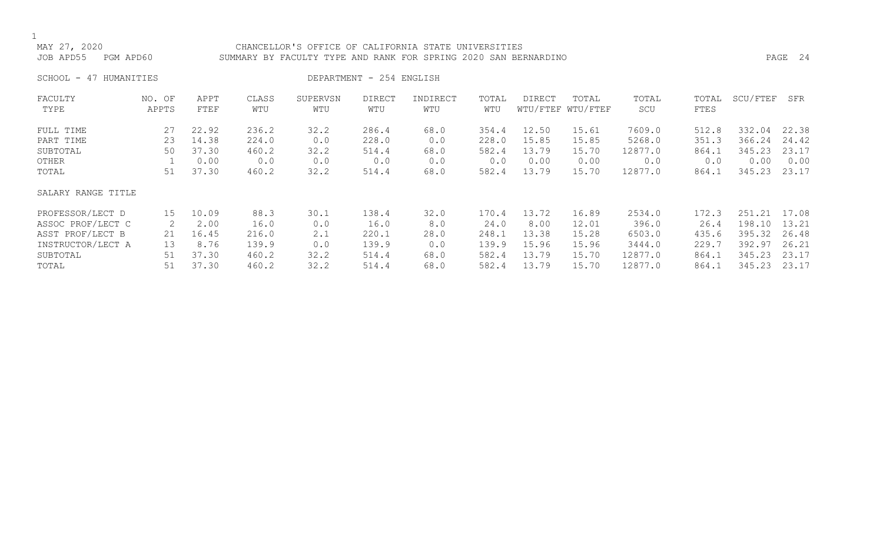### CHANCELLOR'S OFFICE OF CALIFORNIA STATE UNIVERSITIES JOB APD55 PGM APD60 SUMMARY BY FACULTY TYPE AND RANK FOR SPRING 2020 SAN BERNARDINO PAGE 24

SCHOOL - 47 HUMANITIES DEPARTMENT - 254 ENGLISH

| FACULTY            | NO. OF | APPT  | CLASS | SUPERVSN | <b>DIRECT</b> | INDIRECT | TOTAL | <b>DIRECT</b> | TOTAL             | TOTAL   | TOTAL | SCU/FTEF | SFR   |
|--------------------|--------|-------|-------|----------|---------------|----------|-------|---------------|-------------------|---------|-------|----------|-------|
| TYPE               | APPTS  | FTEF  | WTU   | WTU      | WTU           | WTU      | WTU   |               | WTU/FTEF WTU/FTEF | SCU     | FTES  |          |       |
| FULL TIME          | 27     | 22.92 | 236.2 | 32.2     | 286.4         | 68.0     | 354.4 | 12.50         | 15.61             | 7609.0  | 512.8 | 332.04   | 22.38 |
| PART TIME          | 23     | 14.38 | 224.0 | 0.0      | 228.0         | 0.0      | 228.0 | 15.85         | 15.85             | 5268.0  | 351.3 | 366.24   | 24.42 |
| SUBTOTAL           | 50     | 37.30 | 460.2 | 32.2     | 514.4         | 68.0     | 582.4 | 13.79         | 15.70             | 12877.0 | 864.1 | 345.23   | 23.17 |
| OTHER              |        | 0.00  | 0.0   | 0.0      | 0.0           | 0.0      | 0.0   | 0.00          | 0.00              | 0.0     | 0.0   | 0.00     | 0.00  |
| TOTAL              | 51     | 37.30 | 460.2 | 32.2     | 514.4         | 68.0     | 582.4 | 13.79         | 15.70             | 12877.0 | 864.1 | 345.23   | 23.17 |
| SALARY RANGE TITLE |        |       |       |          |               |          |       |               |                   |         |       |          |       |
| PROFESSOR/LECT D   | 15     | 10.09 | 88.3  | 30.1     | 138.4         | 32.0     | 170.4 | 13.72         | 16.89             | 2534.0  | 172.3 | 251.21   | 17.08 |
| ASSOC PROF/LECT C  | 2      | 2.00  | 16.0  | 0.0      | 16.0          | 8.0      | 24.0  | 8.00          | 12.01             | 396.0   | 26.4  | 198.10   | 13.21 |
| ASST PROF/LECT B   | 21     | 16.45 | 216.0 | 2.1      | 220.1         | 28.0     | 248.1 | 13.38         | 15.28             | 6503.0  | 435.6 | 395.32   | 26.48 |
| INSTRUCTOR/LECT A  | 13     | 8.76  | 139.9 | 0.0      | 139.9         | 0.0      | 139.9 | 15.96         | 15.96             | 3444.0  | 229.7 | 392.97   | 26.21 |
| SUBTOTAL           | 51     | 37.30 | 460.2 | 32.2     | 514.4         | 68.0     | 582.4 | 13.79         | 15.70             | 12877.0 | 864.1 | 345.23   | 23.17 |
| TOTAL              | 51     | 37.30 | 460.2 | 32.2     | 514.4         | 68.0     | 582.4 | 13.79         | 15.70             | 12877.0 | 864.1 | 345.23   | 23.17 |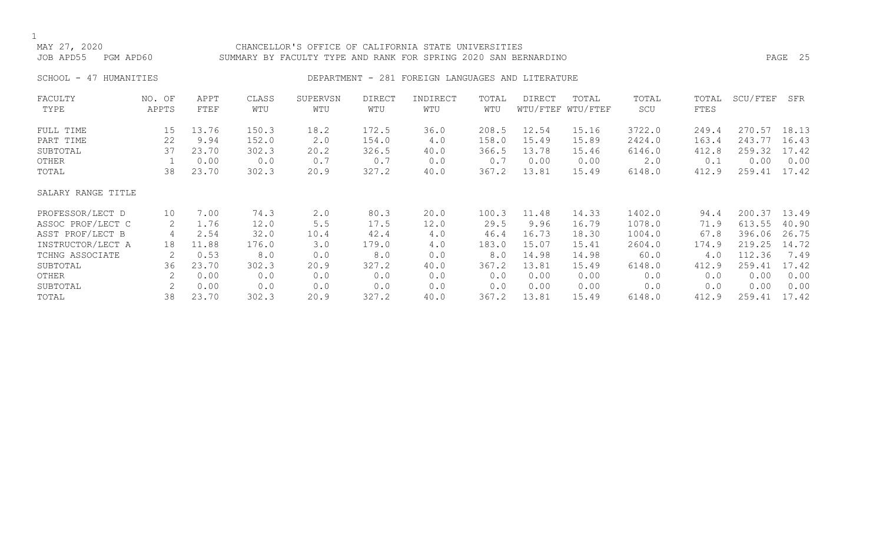### CHANCELLOR'S OFFICE OF CALIFORNIA STATE UNIVERSITIES JOB APD55 PGM APD60 SUMMARY BY FACULTY TYPE AND RANK FOR SPRING 2020 SAN BERNARDINO PAGE 25

### SCHOOL - 47 HUMANITIES SERVICES DEPARTMENT - 281 FOREIGN LANGUAGES AND LITERATURE

| FACULTY            | NO. OF | APPT  | CLASS | SUPERVSN | <b>DIRECT</b> | INDIRECT | TOTAL | <b>DIRECT</b> | TOTAL             | TOTAL  | TOTAL | SCU/FTEF | SFR   |
|--------------------|--------|-------|-------|----------|---------------|----------|-------|---------------|-------------------|--------|-------|----------|-------|
| TYPE               | APPTS  | FTEF  | WTU   | WTU      | WTU           | WTU      | WTU   |               | WTU/FTEF WTU/FTEF | SCU    | FTES  |          |       |
| FULL TIME          | 15     | 13.76 | 150.3 | 18.2     | 172.5         | 36.0     | 208.5 | 12.54         | 15.16             | 3722.0 | 249.4 | 270.57   | 18.13 |
| PART TIME          | 22     | 9.94  | 152.0 | 2.0      | 154.0         | 4.0      | 158.0 | 15.49         | 15.89             | 2424.0 | 163.4 | 243.77   | 16.43 |
| SUBTOTAL           | 37     | 23.70 | 302.3 | 20.2     | 326.5         | 40.0     | 366.5 | 13.78         | 15.46             | 6146.0 | 412.8 | 259.32   | 17.42 |
| OTHER              |        | 0.00  | 0.0   | 0.7      | 0.7           | 0.0      | 0.7   | 0.00          | 0.00              | 2.0    | 0.1   | 0.00     | 0.00  |
| TOTAL              | 38     | 23.70 | 302.3 | 20.9     | 327.2         | 40.0     | 367.2 | 13.81         | 15.49             | 6148.0 | 412.9 | 259.41   | 17.42 |
| SALARY RANGE TITLE |        |       |       |          |               |          |       |               |                   |        |       |          |       |
| PROFESSOR/LECT D   | 10     | 7.00  | 74.3  | 2.0      | 80.3          | 20.0     | 100.3 | 11.48         | 14.33             | 1402.0 | 94.4  | 200.37   | 13.49 |
| ASSOC PROF/LECT C  | 2      | 1.76  | 12.0  | 5.5      | 17.5          | 12.0     | 29.5  | 9.96          | 16.79             | 1078.0 | 71.9  | 613.55   | 40.90 |
| ASST PROF/LECT B   | 4      | 2.54  | 32.0  | 10.4     | 42.4          | 4.0      | 46.4  | 16.73         | 18.30             | 1004.0 | 67.8  | 396.06   | 26.75 |
| INSTRUCTOR/LECT A  | 18     | 11.88 | 176.0 | 3.0      | 179.0         | 4.0      | 183.0 | 15.07         | 15.41             | 2604.0 | 174.9 | 219.25   | 14.72 |
| TCHNG ASSOCIATE    | 2      | 0.53  | 8.0   | 0.0      | 8.0           | 0.0      | 8.0   | 14.98         | 14.98             | 60.0   | 4.0   | 112.36   | 7.49  |
| SUBTOTAL           | 36     | 23.70 | 302.3 | 20.9     | 327.2         | 40.0     | 367.2 | 13.81         | 15.49             | 6148.0 | 412.9 | 259.41   | 17.42 |
| OTHER              | 2      | 0.00  | 0.0   | 0.0      | 0.0           | 0.0      | 0.0   | 0.00          | 0.00              | 0.0    | 0.0   | 0.00     | 0.00  |
| SUBTOTAL           | 2      | 0.00  | 0.0   | 0.0      | 0.0           | 0.0      | 0.0   | 0.00          | 0.00              | 0.0    | 0.0   | 0.00     | 0.00  |
| TOTAL              | 38     | 23.70 | 302.3 | 20.9     | 327.2         | 40.0     | 367.2 | 13.81         | 15.49             | 6148.0 | 412.9 | 259.41   | 17.42 |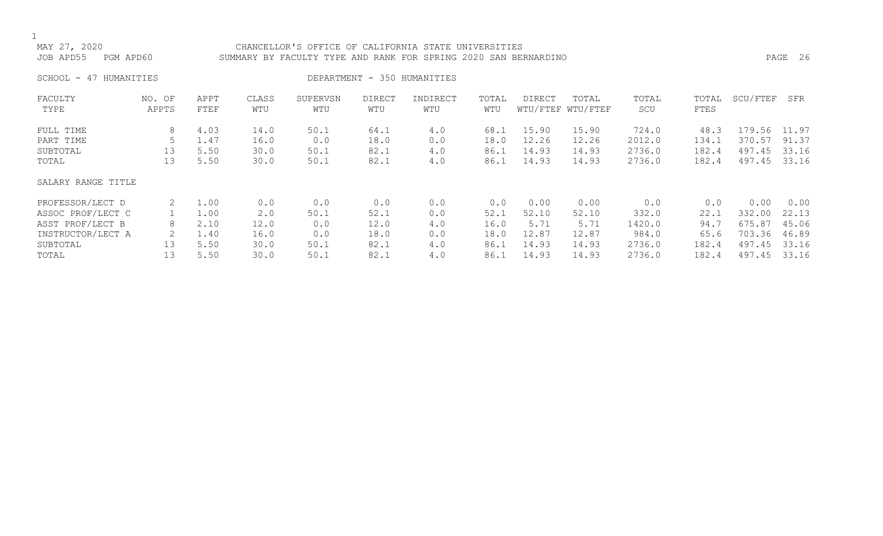### CHANCELLOR'S OFFICE OF CALIFORNIA STATE UNIVERSITIES JOB APD55 PGM APD60 SUMMARY BY FACULTY TYPE AND RANK FOR SPRING 2020 SAN BERNARDINO PAGE 26

SCHOOL - 47 HUMANITIES SCHOOL - 47 HUMANITIES

| FACULTY<br>TYPE    | NO. OF<br>APPTS | APPT<br><b>FTEF</b> | CLASS<br>WTU | SUPERVSN<br>WTU | DIRECT<br>WTU | INDIRECT<br>WTU | TOTAL<br>WTU | DIRECT | TOTAL<br>WTU/FTEF WTU/FTEF | TOTAL<br>SCU | TOTAL<br>FTES | SCU/FTEF | SFR   |
|--------------------|-----------------|---------------------|--------------|-----------------|---------------|-----------------|--------------|--------|----------------------------|--------------|---------------|----------|-------|
| FULL TIME          | 8               | 4.03                | 14.0         | 50.1            | 64.1          | 4.0             | 68.1         | 15.90  | 15.90                      | 724.0        | 48.3          | 179.56   | 11.97 |
| PART TIME          | 5               | 1.47                | 16.0         | 0.0             | 18.0          | 0.0             | 18.0         | 12.26  | 12.26                      | 2012.0       | 134.1         | 370.57   | 91.37 |
| SUBTOTAL           | 13              | 5.50                | 30.0         | 50.1            | 82.1          | 4.0             | 86.1         | 14.93  | 14.93                      | 2736.0       | 182.4         | 497.45   | 33.16 |
| TOTAL              | 13              | 5.50                | 30.0         | 50.1            | 82.1          | 4.0             | 86.1         | 14.93  | 14.93                      | 2736.0       | 182.4         | 497.45   | 33.16 |
| SALARY RANGE TITLE |                 |                     |              |                 |               |                 |              |        |                            |              |               |          |       |
| PROFESSOR/LECT D   | 2               | 1.00                | 0.0          | 0.0             | 0.0           | 0.0             | 0.0          | 0.00   | 0.00                       | 0.0          | 0.0           | 0.00     | 0.00  |
| ASSOC PROF/LECT C  |                 | 1.00                | 2.0          | 50.1            | 52.1          | 0.0             | 52.1         | 52.10  | 52.10                      | 332.0        | 22.1          | 332.00   | 22.13 |
| ASST PROF/LECT B   | 8               | 2.10                | 12.0         | 0.0             | 12.0          | 4.0             | 16.0         | 5.71   | 5.71                       | 1420.0       | 94.7          | 675.87   | 45.06 |
| INSTRUCTOR/LECT A  | 2               | 1.40                | 16.0         | 0.0             | 18.0          | 0.0             | 18.0         | 12.87  | 12.87                      | 984.0        | 65.6          | 703.36   | 46.89 |
| SUBTOTAL           | 13              | 5.50                | 30.0         | 50.1            | 82.1          | 4.0             | 86.1         | 14.93  | 14.93                      | 2736.0       | 182.4         | 497.45   | 33.16 |
| TOTAL              | 13              | 5.50                | 30.0         | 50.1            | 82.1          | 4.0             | 86.1         | 14.93  | 14.93                      | 2736.0       | 182.4         | 497.45   | 33.16 |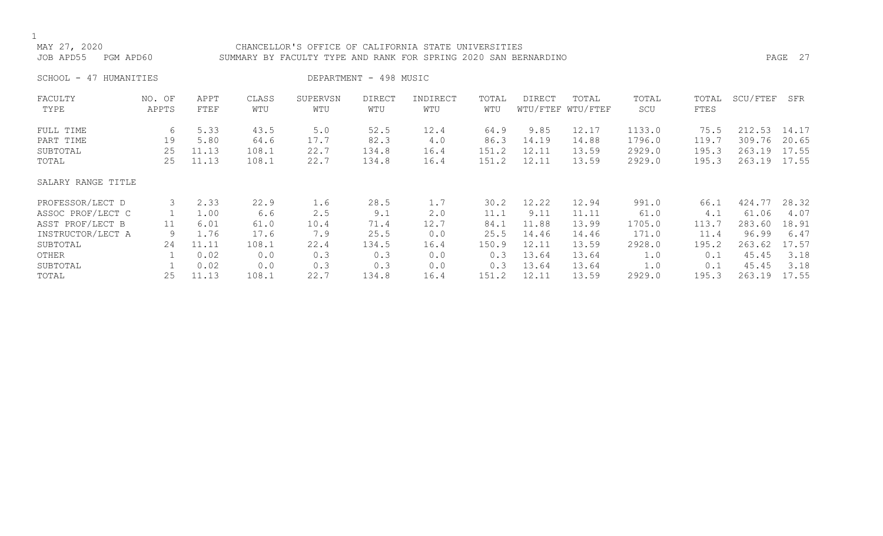## 1<br>MAY 27, 2020 CHANCELLOR'S OFFICE OF CALIFORNIA STATE UNIVERSITIES JOB APD55 PGM APD60 SUMMARY BY FACULTY TYPE AND RANK FOR SPRING 2020 SAN BERNARDINO PAGE 27 SCHOOL - 47 HUMANITIES **DEPARTMENT - 498 MUSIC** FACULTY NO. OF APPT CLASS SUPERVSN DIRECT INDIRECT TOTAL DIRECT TOTAL TOTAL TOTAL SCU/FTEF SFR WTU/FTEF WTU/FTEF FULL TIME 6 5.33 43.5 5.0 52.5 12.4 64.9 9.85 12.17 1133.0 75.5 212.53 14.17<br>PART TIME 19 5.80 64.6 17.7 82.3 4.0 86.3 14.19 14.88 1796.0 119.7 309.76 20.65 PART TIME 19 5.80 64.6 17.7 82.3 4.0 86.3 14.19 14.88 1796.0 119.7 309.76 20.65 SUBTOTAL 25 11.13 108.1 22.7 134.8 16.4 151.2 12.11 13.59 2929.0 195.3 263.19 17.55 195.3 263.19 17.55 SALARY RANGE TITLE PROFESSOR/LECT D 3 2.33 22.9 1.6 28.5 1.7 30.2 12.22 12.94 991.0 66.1 424.77 28.32 ASSOC PROF/LECT C 1 1.00 6.6 2.5 9.1 2.0 11.1 9.11 11.11 61.0 4.1 61.06 4.07 ASST PROF/LECT B 11 6.01 61.0 10.4 71.4 12.7 84.1 11.88 13.99 1705.0 113.7 283.60 18.91<br>INSTRUCTOR/LECT A 9 1.76 17.6 7.9 25.5 0.0 25.5 14.46 14.46 171.0 11.4 96.99 6.47 INSTRUCTOR/LECT A 9 1.76 17.6 7.9 25.5 0.0 25.5 14.46 14.46 171.0 11.4 96.99 6.47

SUBTOTAL 24 11.11 108.1 22.4 134.5 16.4 150.9 12.11 13.59 2928.0 195.2 263.62 17.57 OTHER 1 0.02 0.0 0.3 0.3 0.0 0.3 13.64 13.64 1.0 0.1 45.45 3.18 SUBTOTAL 1 0.02 0.0 0.3 0.3 0.0 0.3 13.64 13.64 1.0 0.1 45.45 3.18 TOTAL 25 11.13 108.1 22.7 134.8 16.4 151.2 12.11 13.59 2929.0 195.3 263.19 17.55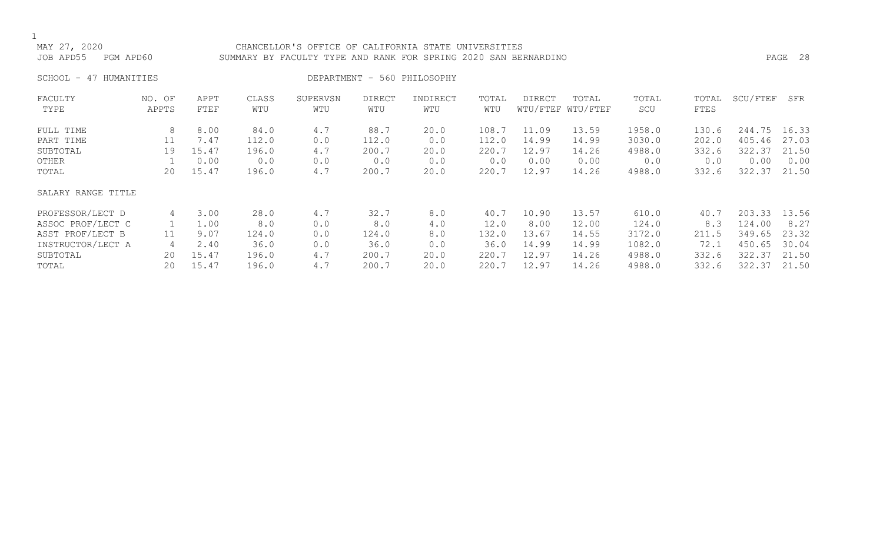CHANCELLOR'S OFFICE OF CALIFORNIA STATE UNIVERSITIES JOB APD55 PGM APD60 SUMMARY BY FACULTY TYPE AND RANK FOR SPRING 2020 SAN BERNARDINO PAGE 28

SCHOOL - 47 HUMANITIES DEPARTMENT - 560 PHILOSOPHY

| FACULTY            | NO. OF | APPT  | CLASS | SUPERVSN | <b>DIRECT</b> | INDIRECT | TOTAL | <b>DIRECT</b> | TOTAL             | TOTAL  | TOTAL | SCU/FTEF | SFR   |
|--------------------|--------|-------|-------|----------|---------------|----------|-------|---------------|-------------------|--------|-------|----------|-------|
| TYPE               | APPTS  | FTEF  | WTU   | WTU      | WTU           | WTU      | WTU   |               | WTU/FTEF WTU/FTEF | SCU    | FTES  |          |       |
| FULL TIME          | 8      | 8.00  | 84.0  | 4.7      | 88.7          | 20.0     | 108.7 | 11.09         | 13.59             | 1958.0 | 130.6 | 244.75   | 16.33 |
| PART TIME          | 11     | 7.47  | 112.0 | 0.0      | 112.0         | 0.0      | 112.0 | 14.99         | 14.99             | 3030.0 | 202.0 | 405.46   | 27.03 |
| SUBTOTAL           | 19     | 15.47 | 196.0 | 4.7      | 200.7         | 20.0     | 220.7 | 12.97         | 14.26             | 4988.0 | 332.6 | 322.37   | 21.50 |
| OTHER              |        | 0.00  | 0.0   | 0.0      | 0.0           | 0.0      | 0.0   | 0.00          | 0.00              | 0.0    | 0.0   | 0.00     | 0.00  |
| TOTAL              | 20     | 15.47 | 196.0 | 4.7      | 200.7         | 20.0     | 220.7 | 12.97         | 14.26             | 4988.0 | 332.6 | 322.37   | 21.50 |
| SALARY RANGE TITLE |        |       |       |          |               |          |       |               |                   |        |       |          |       |
| PROFESSOR/LECT D   | 4      | 3.00  | 28.0  | 4.7      | 32.7          | 8.0      | 40.7  | 10.90         | 13.57             | 610.0  | 40.7  | 203.33   | 13.56 |
| ASSOC PROF/LECT C  |        | 1.00  | 8.0   | 0.0      | 8.0           | 4.0      | 12.0  | 8.00          | 12.00             | 124.0  | 8.3   | 124.00   | 8.27  |
| ASST PROF/LECT B   | 11     | 9.07  | 124.0 | 0.0      | 124.0         | 8.0      | 132.0 | 13.67         | 14.55             | 3172.0 | 211.5 | 349.65   | 23.32 |
| INSTRUCTOR/LECT A  | 4      | 2.40  | 36.0  | 0.0      | 36.0          | 0.0      | 36.0  | 14.99         | 14.99             | 1082.0 | 72.1  | 450.65   | 30.04 |
| SUBTOTAL           | 20     | 15.47 | 196.0 | 4.7      | 200.7         | 20.0     | 220.7 | 12.97         | 14.26             | 4988.0 | 332.6 | 322.37   | 21.50 |
| TOTAL              | 20     | 15.47 | 196.0 | 4.7      | 200.7         | 20.0     | 220.7 | 12.97         | 14.26             | 4988.0 | 332.6 | 322.37   | 21.50 |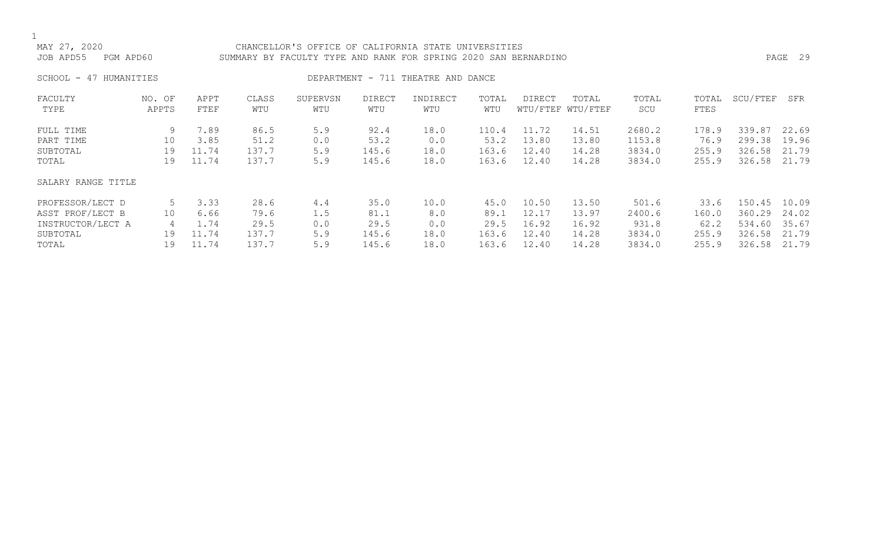$\frac{1}{M}$ 

| MAY 27, 2020<br>JOB APD55                   | PGM APD60           |                                |                                | CHANCELLOR'S OFFICE OF CALIFORNIA STATE UNIVERSITIES<br>SUMMARY BY FACULTY TYPE AND RANK FOR SPRING 2020 SAN BERNARDINO |                                |                                    |                                 |                                  |                                  |                                      |                                 |                                            | PAGE 29                 |
|---------------------------------------------|---------------------|--------------------------------|--------------------------------|-------------------------------------------------------------------------------------------------------------------------|--------------------------------|------------------------------------|---------------------------------|----------------------------------|----------------------------------|--------------------------------------|---------------------------------|--------------------------------------------|-------------------------|
| SCHOOL - 47 HUMANITIES                      |                     |                                |                                |                                                                                                                         |                                | DEPARTMENT - 711 THEATRE AND DANCE |                                 |                                  |                                  |                                      |                                 |                                            |                         |
| FACULTY<br>TYPE                             | NO. OF<br>APPTS     | APPT<br>FTEF                   | CLASS<br>WTU                   | SUPERVSN<br>WTU                                                                                                         | DIRECT<br>WTU                  | INDIRECT<br>WTU                    | TOTAL<br>WTU                    | <b>DIRECT</b>                    | TOTAL<br>WTU/FTEF WTU/FTEF       | TOTAL<br>SCU                         | TOTAL<br>FTES                   | SCU/FTEF                                   | SFR                     |
| FULL TIME<br>PART TIME<br>SUBTOTAL<br>TOTAL | 9<br>10<br>19<br>19 | 7.89<br>3.85<br>11.74<br>11.74 | 86.5<br>51.2<br>137.7<br>137.7 | 5.9<br>0.0<br>5.9<br>5.9                                                                                                | 92.4<br>53.2<br>145.6<br>145.6 | 18.0<br>0.0<br>18.0<br>18.0        | 110.4<br>53.2<br>163.6<br>163.6 | 11.72<br>13.80<br>12.40<br>12.40 | 14.51<br>13.80<br>14.28<br>14.28 | 2680.2<br>1153.8<br>3834.0<br>3834.0 | 178.9<br>76.9<br>255.9<br>255.9 | 339.87<br>299.38<br>326.58 21.79<br>326.58 | 22.69<br>19.96<br>21.79 |

### SALARY RANGE TITLE

| PROFESSOR/LECT D  |          | 3.33             | 28.6  | 4.4 | 35.0  | 10.0 | 45.0  | 10.50 | 13.50 | 501.6  | 33.6  | 150.45 | 10.09 |
|-------------------|----------|------------------|-------|-----|-------|------|-------|-------|-------|--------|-------|--------|-------|
| ASST PROF/LECT B  |          | 6.66             | 79.6  | l.J | 81.1  |      | 89.1  | 12.17 | 13.97 | 2400.6 | 160.0 | 360.29 | 24.02 |
| INSTRUCTOR/LECT A |          | <sub>4</sub> .74 | 29.5  | 0.0 | 29.5  |      | 29.5  | 16.92 | 16.92 | 931.8  | 62.2  | 534.60 | 35.67 |
| SUBTOTAL          | <b>Q</b> | 11.74            | 137.7 | 5.9 | 145.6 | 18.0 | 163.6 | 12.40 | 14.28 | 3834.0 | 255.9 | 326.58 | 21.79 |
| TOTAL             | Q        | 11.74            | .37.7 | 59  | 145.6 | 18.0 | 163.6 | 12.40 | 14.28 | 3834.0 | 255.9 | 326.58 | 21.79 |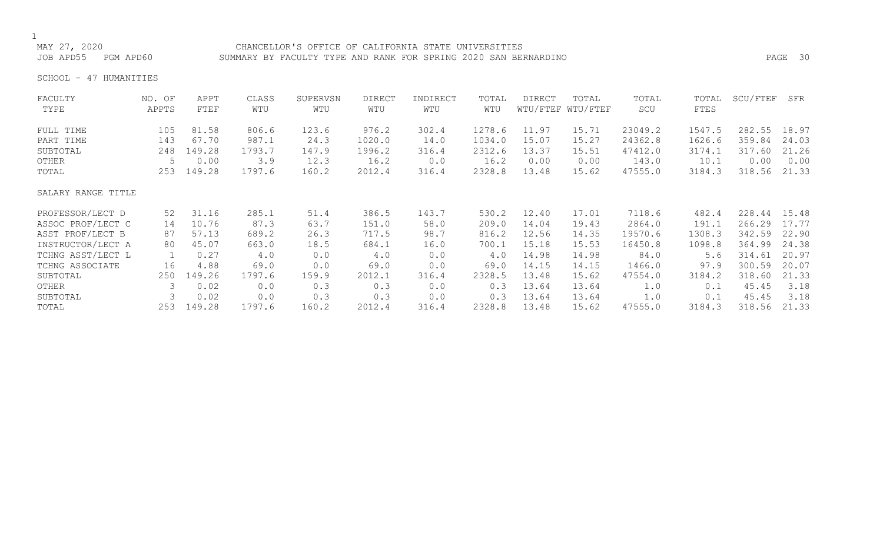### CHANCELLOR'S OFFICE OF CALIFORNIA STATE UNIVERSITIES JOB APD55 PGM APD60 SUMMARY BY FACULTY TYPE AND RANK FOR SPRING 2020 SAN BERNARDINO PAGE 30

SCHOOL - 47 HUMANITIES

| FACULTY            | NO. OF | APPT   | CLASS  | SUPERVSN | <b>DIRECT</b> | INDIRECT | TOTAL  | DIRECT | TOTAL             | TOTAL   | TOTAL  | SCU/FTEF | SFR   |
|--------------------|--------|--------|--------|----------|---------------|----------|--------|--------|-------------------|---------|--------|----------|-------|
| TYPE               | APPTS  | FTEF   | WTU    | WTU      | WTU           | WTU      | WTU    |        | WTU/FTEF WTU/FTEF | SCU     | FTES   |          |       |
| FULL TIME          | 105    | 81.58  | 806.6  | 123.6    | 976.2         | 302.4    | 1278.6 | 11.97  | 15.71             | 23049.2 | 1547.5 | 282.55   | 18.97 |
| PART TIME          | 143    | 67.70  | 987.1  | 24.3     | 1020.0        | 14.0     | 1034.0 | 15.07  | 15.27             | 24362.8 | 1626.6 | 359.84   | 24.03 |
| SUBTOTAL           | 248    | 149.28 | 1793.7 | 147.9    | 1996.2        | 316.4    | 2312.6 | 13.37  | 15.51             | 47412.0 | 3174.1 | 317.60   | 21.26 |
| OTHER              |        | 0.00   | 3.9    | 12.3     | 16.2          | 0.0      | 16.2   | 0.00   | 0.00              | 143.0   | 10.1   | 0.00     | 0.00  |
| TOTAL              | 253    | 149.28 | 1797.6 | 160.2    | 2012.4        | 316.4    | 2328.8 | 13.48  | 15.62             | 47555.0 | 3184.3 | 318.56   | 21.33 |
| SALARY RANGE TITLE |        |        |        |          |               |          |        |        |                   |         |        |          |       |
| PROFESSOR/LECT D   | 52     | 31.16  | 285.1  | 51.4     | 386.5         | 143.7    | 530.2  | 12.40  | 17.01             | 7118.6  | 482.4  | 228.44   | 15.48 |
| ASSOC PROF/LECT C  | 14     | 10.76  | 87.3   | 63.7     | 151.0         | 58.0     | 209.0  | 14.04  | 19.43             | 2864.0  | 191.1  | 266.29   | 17.77 |
| ASST PROF/LECT B   | 87     | 57.13  | 689.2  | 26.3     | 717.5         | 98.7     | 816.2  | 12.56  | 14.35             | 19570.6 | 1308.3 | 342.59   | 22.90 |
| INSTRUCTOR/LECT A  | 80     | 45.07  | 663.0  | 18.5     | 684.1         | 16.0     | 700.1  | 15.18  | 15.53             | 16450.8 | 1098.8 | 364.99   | 24.38 |
| TCHNG ASST/LECT L  |        | 0.27   | 4.0    | 0.0      | 4.0           | 0.0      | 4.0    | 14.98  | 14.98             | 84.0    | 5.6    | 314.61   | 20.97 |
| TCHNG ASSOCIATE    | 16     | 4.88   | 69.0   | 0.0      | 69.0          | 0.0      | 69.0   | 14.15  | 14.15             | 1466.0  | 97.9   | 300.59   | 20.07 |
| SUBTOTAL           | 250    | 149.26 | 1797.6 | 159.9    | 2012.1        | 316.4    | 2328.5 | 13.48  | 15.62             | 47554.0 | 3184.2 | 318.60   | 21.33 |
| OTHER              | 3      | 0.02   | 0.0    | 0.3      | 0.3           | 0.0      | 0.3    | 13.64  | 13.64             | 1.0     | 0.1    | 45.45    | 3.18  |
| SUBTOTAL           |        | 0.02   | 0.0    | 0.3      | 0.3           | 0.0      | 0.3    | 13.64  | 13.64             | 1.0     | 0.1    | 45.45    | 3.18  |
| TOTAL              | 253    | 149.28 | 1797.6 | 160.2    | 2012.4        | 316.4    | 2328.8 | 13.48  | 15.62             | 47555.0 | 3184.3 | 318.56   | 21.33 |
|                    |        |        |        |          |               |          |        |        |                   |         |        |          |       |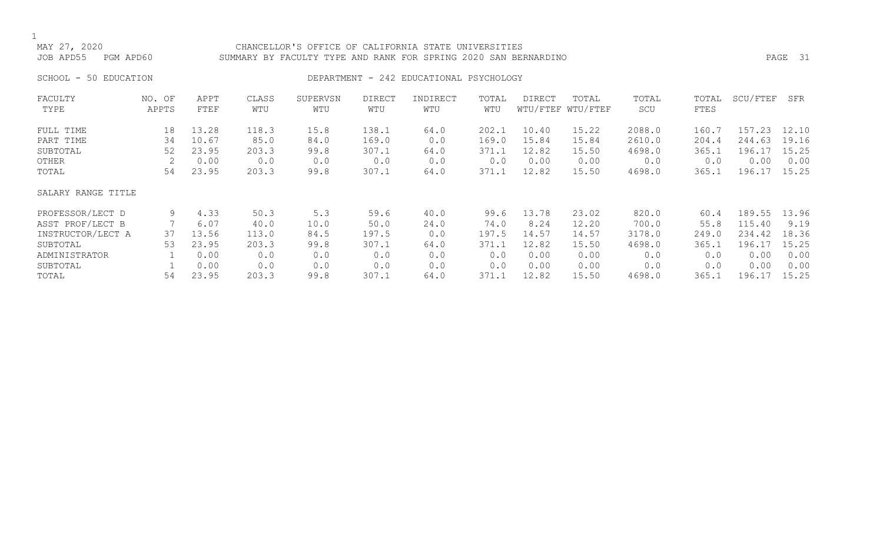### CHANCELLOR'S OFFICE OF CALIFORNIA STATE UNIVERSITIES JOB APD55 PGM APD60 SUMMARY BY FACULTY TYPE AND RANK FOR SPRING 2020 SAN BERNARDINO PAGE 31

### SCHOOL - 50 EDUCATION **DEPARTMENT - 242 EDUCATIONAL PSYCHOLOGY**

| FACULTY            | NO. OF | APPT  | CLASS | SUPERVSN | <b>DIRECT</b> | INDIRECT | TOTAL | DIRECT | TOTAL             | TOTAL  | TOTAL | SCU/FTEF | SFR   |
|--------------------|--------|-------|-------|----------|---------------|----------|-------|--------|-------------------|--------|-------|----------|-------|
| TYPE               | APPTS  | FTEF  | WTU   | WTU      | WTU           | WTU      | WTU   |        | WTU/FTEF WTU/FTEF | SCU    | FTES  |          |       |
| FULL TIME          | 18     | 13.28 | 118.3 | 15.8     | 138.1         | 64.0     | 202.1 | 10.40  | 15.22             | 2088.0 | 160.7 | 157.23   | 12.10 |
| PART TIME          | 34     | 10.67 | 85.0  | 84.0     | 169.0         | 0.0      | 169.0 | 15.84  | 15.84             | 2610.0 | 204.4 | 244.63   | 19.16 |
| SUBTOTAL           | 52     | 23.95 | 203.3 | 99.8     | 307.1         | 64.0     | 371.1 | 12.82  | 15.50             | 4698.0 | 365.1 | 196.17   | 15.25 |
| <b>OTHER</b>       |        | 0.00  | 0.0   | 0.0      | 0.0           | 0.0      | 0.0   | 0.00   | 0.00              | 0.0    | 0.0   | 0.00     | 0.00  |
| TOTAL              | 54     | 23.95 | 203.3 | 99.8     | 307.1         | 64.0     | 371.1 | 12.82  | 15.50             | 4698.0 | 365.1 | 196.17   | 15.25 |
| SALARY RANGE TITLE |        |       |       |          |               |          |       |        |                   |        |       |          |       |
| PROFESSOR/LECT D   | 9      | 4.33  | 50.3  | 5.3      | 59.6          | 40.0     | 99.6  | 13.78  | 23.02             | 820.0  | 60.4  | 189.55   | 13.96 |
| ASST PROF/LECT B   |        | 6.07  | 40.0  | 10.0     | 50.0          | 24.0     | 74.0  | 8.24   | 12.20             | 700.0  | 55.8  | 115.40   | 9.19  |
| INSTRUCTOR/LECT A  | 37     | 13.56 | 113.0 | 84.5     | 197.5         | 0.0      | 197.5 | 14.57  | 14.57             | 3178.0 | 249.0 | 234.42   | 18.36 |
| SUBTOTAL           | 53     | 23.95 | 203.3 | 99.8     | 307.1         | 64.0     | 371.1 | 12.82  | 15.50             | 4698.0 | 365.1 | 196.17   | 15.25 |
| ADMINISTRATOR      |        | 0.00  | 0.0   | 0.0      | 0.0           | 0.0      | 0.0   | 0.00   | 0.00              | 0.0    | 0.0   | 0.00     | 0.00  |
| SUBTOTAL           |        | 0.00  | 0.0   | 0.0      | 0.0           | 0.0      | 0.0   | 0.00   | 0.00              | 0.0    | 0.0   | 0.00     | 0.00  |
| TOTAL              | 54     | 23.95 | 203.3 | 99.8     | 307.1         | 64.0     | 371.1 | 12.82  | 15.50             | 4698.0 | 365.1 | 196.17   | 15.25 |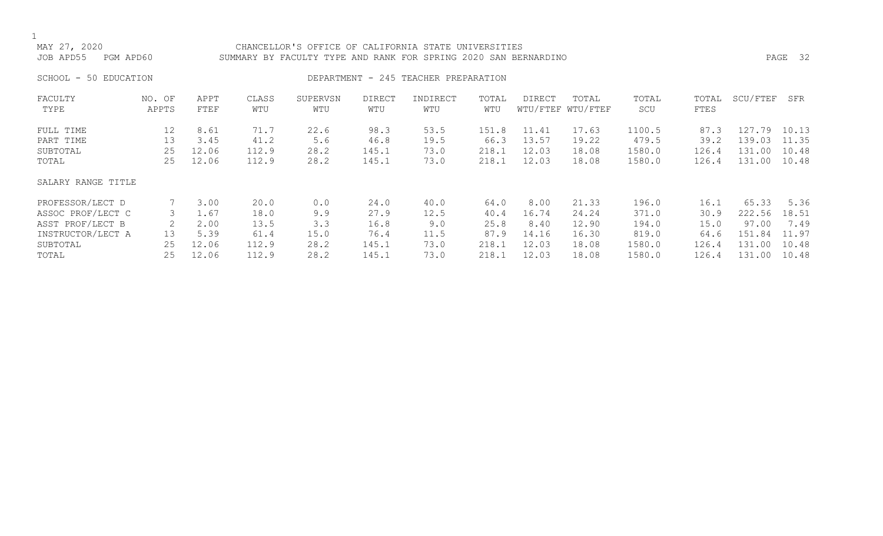## 1<br>MAY 27, 2020 CHANCELLOR'S OFFICE OF CALIFORNIA STATE UNIVERSITIES JOB APD55 PGM APD60 SUMMARY BY FACULTY TYPE AND RANK FOR SPRING 2020 SAN BERNARDINO PAGE 32 SCHOOL - 50 EDUCATION **DEPARTMENT - 245 TEACHER PREPARATION**

| FACULTY<br>TYPE                                                                                     | NO. OF<br>APPTS          | APPT<br>FTEF                                   | CLASS<br>WTU                                   | SUPERVSN<br>WTU                           | <b>DIRECT</b><br>WTU                           | INDIRECT<br>WTU                             | TOTAL<br>WTU                                   | DIRECT                                           | TOTAL<br>WTU/FTEF WTU/FTEF                         | TOTAL<br>SCU                                         | TOTAL<br>FTES                                  | SCU/FTEF                                               | SFR                                              |
|-----------------------------------------------------------------------------------------------------|--------------------------|------------------------------------------------|------------------------------------------------|-------------------------------------------|------------------------------------------------|---------------------------------------------|------------------------------------------------|--------------------------------------------------|----------------------------------------------------|------------------------------------------------------|------------------------------------------------|--------------------------------------------------------|--------------------------------------------------|
| FULL TIME<br>PART TIME<br>SUBTOTAL<br>TOTAL                                                         | 12<br>13<br>25<br>25     | 8.61<br>3.45<br>12.06<br>12.06                 | 71.7<br>41.2<br>112.9<br>112.9                 | 22.6<br>5.6<br>28.2<br>28.2               | 98.3<br>46.8<br>145.1<br>145.1                 | 53.5<br>19.5<br>73.0<br>73.0                | 151.8<br>66.3<br>218.1<br>218.1                | 11.41<br>13.57<br>12.03<br>12.03                 | 17.63<br>19.22<br>18.08<br>18.08                   | 1100.5<br>479.5<br>1580.0<br>1580.0                  | 87.3<br>39.2<br>126.4<br>126.4                 | .79<br>127<br>139.03<br>131.00<br>131.00               | 10.13<br>11.35<br>10.48<br>10.48                 |
| SALARY RANGE TITLE                                                                                  |                          |                                                |                                                |                                           |                                                |                                             |                                                |                                                  |                                                    |                                                      |                                                |                                                        |                                                  |
| PROFESSOR/LECT D<br>ASSOC PROF/LECT C<br>ASST PROF/LECT B<br>INSTRUCTOR/LECT A<br>SUBTOTAL<br>TOTAL | 3<br>2<br>13<br>25<br>25 | 3.00<br>1.67<br>2.00<br>5.39<br>12.06<br>12.06 | 20.0<br>18.0<br>13.5<br>61.4<br>112.9<br>112.9 | 0.0<br>9.9<br>3.3<br>15.0<br>28.2<br>28.2 | 24.0<br>27.9<br>16.8<br>76.4<br>145.1<br>145.1 | 40.0<br>12.5<br>9.0<br>11.5<br>73.0<br>73.0 | 64.0<br>40.4<br>25.8<br>87.9<br>218.1<br>218.1 | 8.00<br>16.74<br>8.40<br>14.16<br>12.03<br>12.03 | 21.33<br>24.24<br>12.90<br>16.30<br>18.08<br>18.08 | 196.0<br>371.0<br>194.0<br>819.0<br>1580.0<br>1580.0 | 16.1<br>30.9<br>15.0<br>64.6<br>126.4<br>126.4 | 65.33<br>222.56<br>97.00<br>151.84<br>131.00<br>131.00 | 5.36<br>18.51<br>7.49<br>11.97<br>10.48<br>10.48 |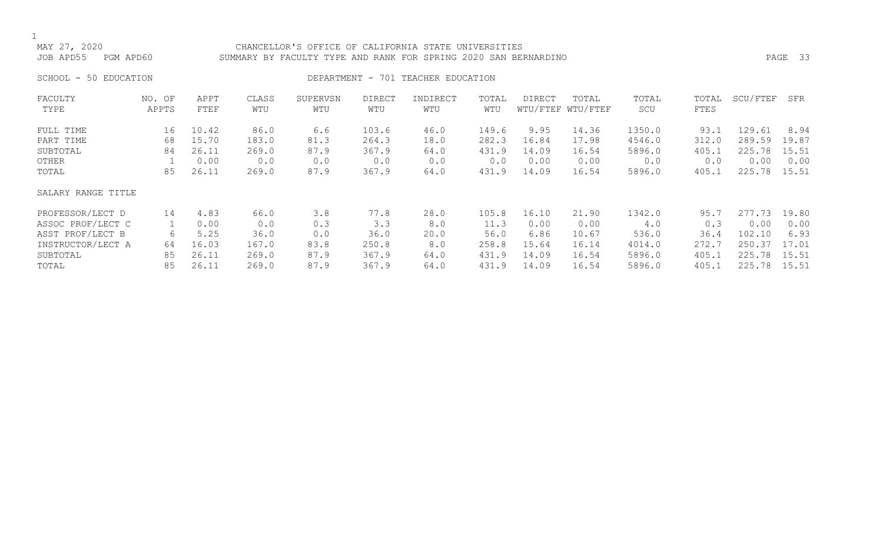### CHANCELLOR'S OFFICE OF CALIFORNIA STATE UNIVERSITIES JOB APD55 PGM APD60 SUMMARY BY FACULTY TYPE AND RANK FOR SPRING 2020 SAN BERNARDINO PAGE 33

SCHOOL - 50 EDUCATION **DEPARTMENT - 701 TEACHER EDUCATION** 

| FACULTY<br>TYPE    | NO. OF<br>APPTS | APPT<br>FTEF | CLASS<br>WTU | SUPERVSN<br>WTU | <b>DIRECT</b><br>WTU | INDIRECT<br>WTU | TOTAL<br>WTU | <b>DIRECT</b> | TOTAL<br>WTU/FTEF WTU/FTEF | TOTAL<br>SCU | TOTAL<br><b>FTES</b> | SCU/FTEF | SFR   |
|--------------------|-----------------|--------------|--------------|-----------------|----------------------|-----------------|--------------|---------------|----------------------------|--------------|----------------------|----------|-------|
| FULL TIME          | 16              | 10.42        | 86.0         | 6.6             | 103.6                | 46.0            | 149.6        | 9.95          | 14.36                      | 1350.0       | 93.1                 | 129.61   | 8.94  |
| PART TIME          | 68              | 15.70        | 183.0        | 81.3            | 264.3                | 18.0            | 282.3        | 16.84         | 17.98                      | 4546.0       | 312.0                | 289.59   | 19.87 |
| SUBTOTAL           | 84              | 26.11        | 269.0        | 87.9            | 367.9                | 64.0            | 431.9        | 14.09         | 16.54                      | 5896.0       | 405.1                | 225.78   | 15.51 |
| OTHER              |                 | 0.00         | 0.0          | 0.0             | 0.0                  | 0.0             | 0.0          | 0.00          | 0.00                       | 0.0          | 0.0                  | 0.00     | 0.00  |
| TOTAL              | 85              | 26.11        | 269.0        | 87.9            | 367.9                | 64.0            | 431.9        | 14.09         | 16.54                      | 5896.0       | 405.1                | 225.78   | 15.51 |
| SALARY RANGE TITLE |                 |              |              |                 |                      |                 |              |               |                            |              |                      |          |       |
| PROFESSOR/LECT D   | 14              | 4.83         | 66.0         | 3.8             | 77.8                 | 28.0            | 105.8        | 16.10         | 21.90                      | 1342.0       | 95.7                 | 277.73   | 19.80 |
| ASSOC PROF/LECT C  |                 | 0.00         | 0.0          | 0.3             | 3.3                  | 8.0             | 11.3         | 0.00          | 0.00                       | 4.0          | 0.3                  | 0.00     | 0.00  |
| ASST PROF/LECT B   | 6               | 5.25         | 36.0         | 0.0             | 36.0                 | 20.0            | 56.0         | 6.86          | 10.67                      | 536.0        | 36.4                 | 102.10   | 6.93  |
| INSTRUCTOR/LECT A  | 64              | 16.03        | 167.0        | 83.8            | 250.8                | 8.0             | 258.8        | 15.64         | 16.14                      | 4014.0       | 272.7                | 250.37   | 17.01 |
| SUBTOTAL           | 85              | 26.11        | 269.0        | 87.9            | 367.9                | 64.0            | 431.9        | 14.09         | 16.54                      | 5896.0       | 405.1                | 225.78   | 15.51 |
| TOTAL              | 85              | 26.11        | 269.0        | 87.9            | 367.9                | 64.0            | 431.9        | 14.09         | 16.54                      | 5896.0       | 405.1                | 225.78   | 15.51 |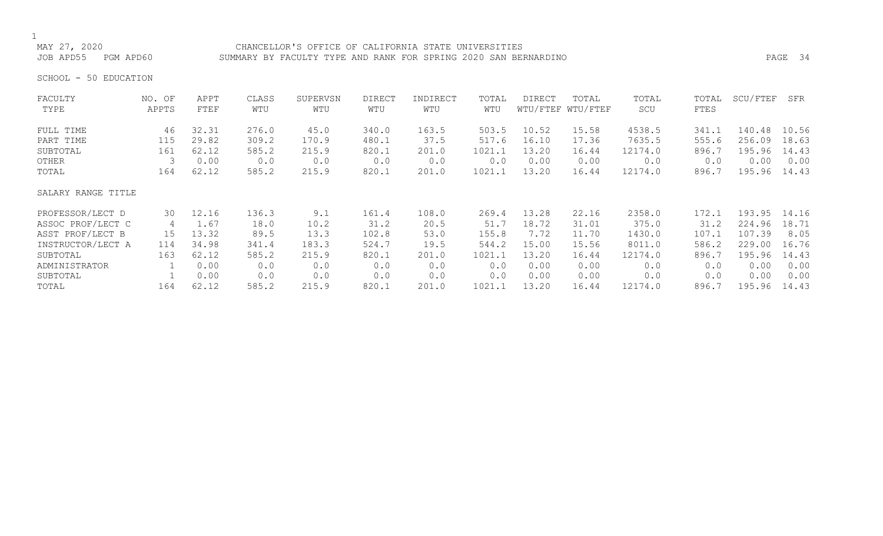CHANCELLOR'S OFFICE OF CALIFORNIA STATE UNIVERSITIES JOB APD55 PGM APD60 SUMMARY BY FACULTY TYPE AND RANK FOR SPRING 2020 SAN BERNARDINO PAGE 34

SCHOOL - 50 EDUCATION

| FACULTY            | NO. OF | APPT  | CLASS | SUPERVSN | <b>DIRECT</b> | INDIRECT | TOTAL  | <b>DIRECT</b> | TOTAL             | TOTAL   | TOTAL | SCU/FTEF | SFR   |
|--------------------|--------|-------|-------|----------|---------------|----------|--------|---------------|-------------------|---------|-------|----------|-------|
| TYPE               | APPTS  | FTEF  | WTU   | WTU      | WTU           | WTU      | WTU    |               | WTU/FTEF WTU/FTEF | SCU     | FTES  |          |       |
| FULL TIME          | 46     | 32.31 | 276.0 | 45.0     | 340.0         | 163.5    | 503.5  | 10.52         | 15.58             | 4538.5  | 341.1 | 140.48   | 10.56 |
| PART TIME          | 115    | 29.82 | 309.2 | 170.9    | 480.1         | 37.5     | 517.6  | 16.10         | 17.36             | 7635.5  | 555.6 | 256.09   | 18.63 |
| SUBTOTAL           | 161    | 62.12 | 585.2 | 215.9    | 820.1         | 201.0    | 1021.1 | 13.20         | 16.44             | 12174.0 | 896.7 | 195.96   | 14.43 |
| OTHER              | 3      | 0.00  | 0.0   | 0.0      | 0.0           | 0.0      | 0.0    | 0.00          | 0.00              | 0.0     | 0.0   | 0.00     | 0.00  |
| TOTAL              | 164    | 62.12 | 585.2 | 215.9    | 820.1         | 201.0    | 1021.1 | 13.20         | 16.44             | 12174.0 | 896.7 | 195.96   | 14.43 |
| SALARY RANGE TITLE |        |       |       |          |               |          |        |               |                   |         |       |          |       |
| PROFESSOR/LECT D   | 30     | 12.16 | 136.3 | 9.1      | 161.4         | 108.0    | 269.4  | 13.28         | 22.16             | 2358.0  | 172.1 | 193.95   | 14.16 |
| ASSOC PROF/LECT C  | 4      | 1.67  | 18.0  | 10.2     | 31.2          | 20.5     | 51.7   | 18.72         | 31.01             | 375.0   | 31.2  | 224.96   | 18.71 |
| ASST PROF/LECT B   | 15     | 13.32 | 89.5  | 13.3     | 102.8         | 53.0     | 155.8  | 7.72          | 11.70             | 1430.0  | 107.1 | 107.39   | 8.05  |
| INSTRUCTOR/LECT A  | 114    | 34.98 | 341.4 | 183.3    | 524.7         | 19.5     | 544.2  | 15.00         | 15.56             | 8011.0  | 586.2 | 229.00   | 16.76 |
| SUBTOTAL           | 163    | 62.12 | 585.2 | 215.9    | 820.1         | 201.0    | 1021.1 | 13.20         | 16.44             | 12174.0 | 896.7 | 195.96   | 14.43 |
| ADMINISTRATOR      |        | 0.00  | 0.0   | 0.0      | 0.0           | 0.0      | 0.0    | 0.00          | 0.00              | 0.0     | 0.0   | 0.00     | 0.00  |
| SUBTOTAL           |        | 0.00  | 0.0   | 0.0      | 0.0           | 0.0      | 0.0    | 0.00          | 0.00              | 0.0     | 0.0   | 0.00     | 0.00  |
| TOTAL              | 164    | 62.12 | 585.2 | 215.9    | 820.1         | 201.0    | 1021.1 | 13.20         | 16.44             | 12174.0 | 896.7 | 195.96   | 14.43 |
|                    |        |       |       |          |               |          |        |               |                   |         |       |          |       |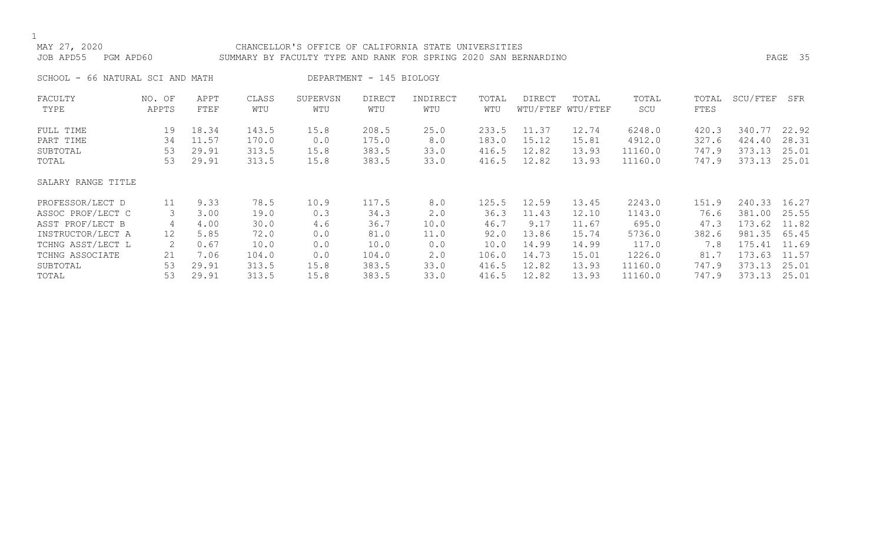### 1<br>MAY 27, 2020 CHANCELLOR'S OFFICE OF CALIFORNIA STATE UNIVERSITIES JOB APD55 PGM APD60 SUMMARY BY FACULTY TYPE AND RANK FOR SPRING 2020 SAN BERNARDINO PAGE 35

SCHOOL - 66 NATURAL SCI AND MATH DEPARTMENT - 145 BIOLOGY

| FACULTY<br>TYPE    | NO. OF<br>APPTS | APPT<br>FTEF | CLASS<br>WTU | SUPERVSN<br>WTU | <b>DIRECT</b><br>WTU | INDIRECT<br>WTU | TOTAL<br>WTU | DIRECT | TOTAL<br>WTU/FTEF WTU/FTEF | TOTAL<br>SCU | TOTAL<br><b>FTES</b> | SCU/FTEF | SFR   |
|--------------------|-----------------|--------------|--------------|-----------------|----------------------|-----------------|--------------|--------|----------------------------|--------------|----------------------|----------|-------|
| FULL TIME          | 19              | 18.34        | 143.5        | 15.8            | 208.5                | 25.0            | 233.5        | 11.37  | 12.74                      | 6248.0       | 420.3                | 340.77   | 22.92 |
| PART TIME          | 34              | 11.57        | 170.0        | 0.0             | 175.0                | 8.0             | 183.0        | 15.12  | 15.81                      | 4912.0       | 327.6                | 424.40   | 28.31 |
| SUBTOTAL           | 53              | 29.91        | 313.5        | 15.8            | 383.5                | 33.0            | 416.5        | 12.82  | 13.93                      | 11160.0      | 747.9                | 373.13   | 25.01 |
| TOTAL              | 53              | 29.91        | 313.5        | 15.8            | 383.5                | 33.0            | 416.5        | 12.82  | 13.93                      | 11160.0      | 747.9                | 373.13   | 25.01 |
| SALARY RANGE TITLE |                 |              |              |                 |                      |                 |              |        |                            |              |                      |          |       |
| PROFESSOR/LECT D   | 11              | 9.33         | 78.5         | 10.9            | 117.5                | 8.0             | 125.5        | 12.59  | 13.45                      | 2243.0       | 151.9                | 240.33   | 16.27 |
| ASSOC PROF/LECT C  | 3               | 3.00         | 19.0         | 0.3             | 34.3                 | 2.0             | 36.3         | 11.43  | 12.10                      | 1143.0       | 76.6                 | 381.00   | 25.55 |
| ASST PROF/LECT B   | 4               | 4.00         | 30.0         | 4.6             | 36.7                 | 10.0            | 46.7         | 9.17   | 11.67                      | 695.0        | 47.3                 | 173.62   | 11.82 |
| INSTRUCTOR/LECT A  | 12              | 5.85         | 72.0         | 0.0             | 81.0                 | 11.0            | 92.0         | 13.86  | 15.74                      | 5736.0       | 382.6                | 981.35   | 65.45 |
| TCHNG ASST/LECT L  | 2               | 0.67         | 10.0         | 0.0             | 10.0                 | 0.0             | 10.0         | 14.99  | 14.99                      | 117.0        | 7.8                  | 175.41   | 11.69 |
| TCHNG ASSOCIATE    | 21              | 7.06         | 104.0        | 0.0             | 104.0                | 2.0             | 106.0        | 14.73  | 15.01                      | 1226.0       | 81.7                 | 173.63   | 11.57 |
| SUBTOTAL           | 53              | 29.91        | 313.5        | 15.8            | 383.5                | 33.0            | 416.5        | 12.82  | 13.93                      | 11160.0      | 747.9                | 373.13   | 25.01 |
| TOTAL              | 53              | 29.91        | 313.5        | 15.8            | 383.5                | 33.0            | 416.5        | 12.82  | 13.93                      | 11160.0      | 747.9                | 373.13   | 25.01 |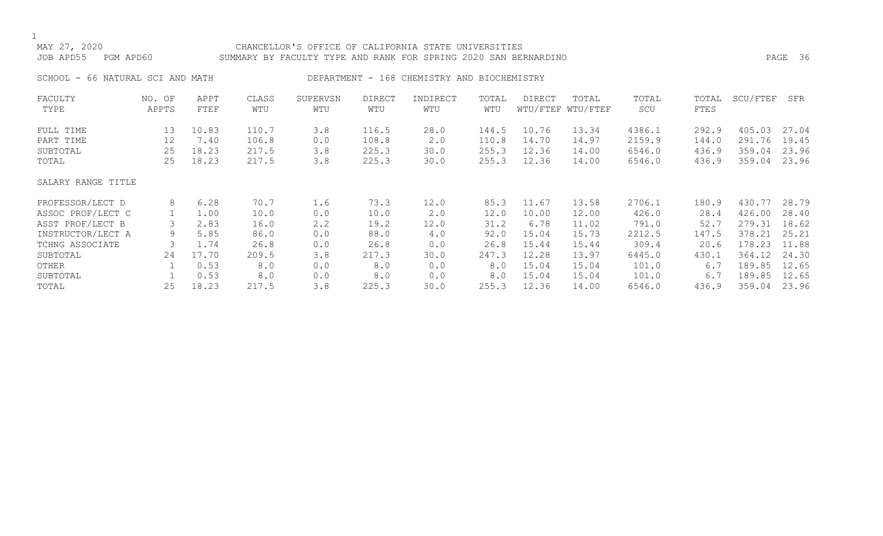## 1<br>MAY 27, 2020 CHANCELLOR'S OFFICE OF CALIFORNIA STATE UNIVERSITIES JOB APD55 PGM APD60 SUMMARY BY FACULTY TYPE AND RANK FOR SPRING 2020 SAN BERNARDINO PAGE 36 SCHOOL - 66 NATURAL SCI AND MATH DEPARTMENT - 168 CHEMISTRY AND BIOCHEMISTRY FACULTY NO. OF APPT CLASS SUPERVSN DIRECT INDIRECT TOTAL DIRECT TOTAL TOTAL TOTAL SCU/FTEF SFR WTU/FTEF WTU/FTEF FULL TIME 13 10.83 110.7 3.8 116.5 28.0 144.5 10.76 13.34 4386.1 292.9 405.03 27.04 PART TIME 12 7.40 106.8 0.0 108.8 2.0 110.8 14.70 14.97 2159.9 144.0 291.76 19.45 SUBTOTAL 25 18.23 217.5 3.8 225.3 30.0 255.3 12.36 14.00 6546.0 436.9 359.04 23.96 TOTAL 25 18.23 217.5 3.8 225.3 30.0 255.3 12.36 14.00 6546.0 436.9 359.04 23.96 SALARY RANGE TITLE PROFESSOR/LECT D 8 6.28 70.7 1.6 73.3 12.0 85.3 11.67 13.58 2706.1 180.9 430.77 28.79<br>ASSOC PROF/LECT C 1 1.00 10.0 0.0 10.0 2.0 12.0 10.00 12.00 426.0 28.4 426.00 28.40 ASSOC PROF/LECT C 1 1.00 10.0 0.0 10.0 2.0 12.0 10.00 12.00 426.0 28.4 426.00 28.40<br>ASST PROF/LECT B 3 2.83 16.0 2.2 19.2 12.0 31.2 6.78 11.02 791.0 52.7 279.31 18.62

ASST PROF/LECT B 3 2.83 16.0 2.2 19.2 12.0 31.2 6.78 11.02 791.0 52.7 279.31 18.62 INSTRUCTOR/LECT A 9 5.85 86.0 0.0 88.0 4.0 92.0 15.04 15.73 2212.5 147.5 378.21 25.21<br>TCHNG ASSOCIATE 3 1.74 26.8 0.0 26.8 0.0 26.8 15.44 15.44 309.4 20.6 178.23 11.88 TCHNG ASSOCIATE 3 1.74 26.8 0.0 26.8 0.0 26.8 15.44 15.44 309.4 20.6 178.23 11.88 SUBTOTAL 24 17.70 209.5 3.8 217.3 30.0 247.3 12.28 13.97 6445.0 430.1 364.12 24.30 OTHER 1 0.53 8.0 0.0 8.0 0.0 8.0 15.04 15.04 101.0 6.7 189.85 12.65 SUBTOTAL 1 0.53 8.0 0.0 8.0 0.0 8.0 15.04 15.04 101.0 6.7 189.85 12.65

436.9 359.04 23.96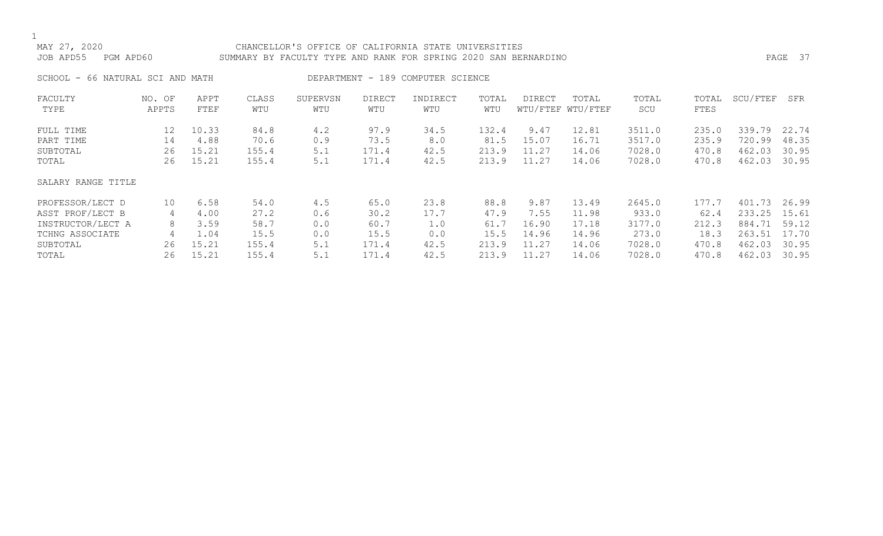## 1<br>MAY 27, 2020 CHANCELLOR'S OFFICE OF CALIFORNIA STATE UNIVERSITIES JOB APD55 PGM APD60 SUMMARY BY FACULTY TYPE AND RANK FOR SPRING 2020 SAN BERNARDINO PAGE 37 SCHOOL - 66 NATURAL SCI AND MATH DEPARTMENT - 189 COMPUTER SCIENCE FACULTY NO. OF APPT CLASS SUPERVSN DIRECT INDIRECT TOTAL DIRECT TOTAL TOTAL TOTAL SCU/FTEF SFR WTU WTU/FTEF WTU/FTEF

| FULL TIME          | 12     | 10.33 | 84.8  | 4.2 | 97.9  | 34.5 | 132.4 | 9.47  | 12.81 | 3511.0 | 235.0 | 339.79 | 22.74 |
|--------------------|--------|-------|-------|-----|-------|------|-------|-------|-------|--------|-------|--------|-------|
| PART TIME          | 14     | 4.88  | 70.6  | 0.9 | 73.5  | 8.0  | 81.5  | 15.07 | 16.71 | 3517.0 | 235.9 | 720.99 | 48.35 |
| SUBTOTAL           | 26     | 15.21 | 155.4 | 5.1 | 171.4 | 42.5 | 213.9 | 11.27 | 14.06 | 7028.0 | 470.8 | 462.03 | 30.95 |
| TOTAL              | 26     | 15.21 | 155.4 | 5.1 | 171.4 | 42.5 | 213.9 | 11.27 | 14.06 | 7028.0 | 470.8 | 462.03 | 30.95 |
| SALARY RANGE TITLE |        |       |       |     |       |      |       |       |       |        |       |        |       |
| PROFESSOR/LECT D   | 10     | 6.58  | 54.0  | 4.5 | 65.0  | 23.8 | 88.8  | 9.87  | 13.49 | 2645.0 | 177.7 | 401.73 | 26.99 |
| ASST PROF/LECT B   |        | 4.00  | 27.2  | 0.6 | 30.2  | 17.7 | 47.9  | 7.55  | 11.98 | 933.0  | 62.4  | 233.25 | 15.61 |
| INSTRUCTOR/LECT A  | 4<br>8 | 3.59  | 58.7  | 0.0 | 60.7  | 1.0  | 61.7  | 16.90 | 17.18 | 3177.0 | 212.3 | 884.71 | 59.12 |
| TCHNG ASSOCIATE    | 4      | 1.04  | 15.5  | 0.0 | 15.5  | 0.0  | 15.5  | 14.96 | 14.96 | 273.0  | 18.3  | 263.51 | 17.70 |
| SUBTOTAL           | 26     | 15.21 | 155.4 | 5.1 | 171.4 | 42.5 | 213.9 | 11.27 | 14.06 | 7028.0 | 470.8 | 462.03 | 30.95 |
| TOTAL              | 26     | 15.21 | 155.4 | 5.1 | 171.4 | 42.5 | 213.9 | 11.27 | 14.06 | 7028.0 | 470.8 | 462.03 | 30.95 |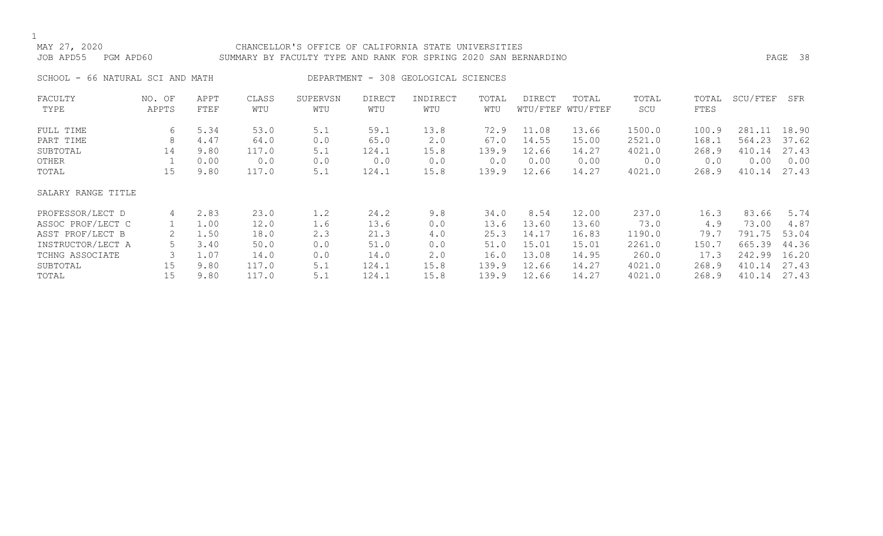### MAY 27, 2020 CHANCELLOR'S OFFICE OF CALIFORNIA STATE UNIVERSITIES JOB APD55 PGM APD60 SUMMARY BY FACULTY TYPE AND RANK FOR SPRING 2020 SAN BERNARDINO PAGE 38

SCHOOL - 66 NATURAL SCI AND MATH DEPARTMENT - 308 GEOLOGICAL SCIENCES

| FACULTY            | NO. OF | APPT | CLASS | SUPERVSN | DIRECT | INDIRECT | TOTAL | <b>DIRECT</b> | TOTAL             | TOTAL  | TOTAL | SCU/FTEF | SFR   |
|--------------------|--------|------|-------|----------|--------|----------|-------|---------------|-------------------|--------|-------|----------|-------|
| TYPE               | APPTS  | FTEF | WTU   | WTU      | WTU    | WTU      | WTU   |               | WTU/FTEF WTU/FTEF | SCU    | FTES  |          |       |
| FULL TIME          | 6      | 5.34 | 53.0  | 5.1      | 59.1   | 13.8     | 72.9  | 11.08         | 13.66             | 1500.0 | 100.9 | 281.11   | 18.90 |
| PART TIME          | 8      | 4.47 | 64.0  | 0.0      | 65.0   | 2.0      | 67.0  | 14.55         | 15.00             | 2521.0 | 168.1 | 564.23   | 37.62 |
| SUBTOTAL           | 14     | 9.80 | 117.0 | 5.1      | 124.1  | 15.8     | 139.9 | 12.66         | 14.27             | 4021.0 | 268.9 | 410.14   | 27.43 |
| OTHER              |        | 0.00 | 0.0   | 0.0      | 0.0    | 0.0      | 0.0   | 0.00          | 0.00              | 0.0    | 0.0   | 0.00     | 0.00  |
| TOTAL              | 15     | 9.80 | 117.0 | 5.1      | 124.1  | 15.8     | 139.9 | 12.66         | 14.27             | 4021.0 | 268.9 | 410.14   | 27.43 |
| SALARY RANGE TITLE |        |      |       |          |        |          |       |               |                   |        |       |          |       |
| PROFESSOR/LECT D   | 4      | 2.83 | 23.0  | 1.2      | 24.2   | 9.8      | 34.0  | 8.54          | 12.00             | 237.0  | 16.3  | 83.66    | 5.74  |
| ASSOC PROF/LECT C  |        | 1.00 | 12.0  | 1.6      | 13.6   | 0.0      | 13.6  | 13.60         | 13.60             | 73.0   | 4.9   | 73.00    | 4.87  |
| ASST PROF/LECT B   |        | 1.50 | 18.0  | 2.3      | 21.3   | 4.0      | 25.3  | 14.17         | 16.83             | 1190.0 | 79.7  | 791.75   | 53.04 |
| INSTRUCTOR/LECT A  | 5      | 3.40 | 50.0  | 0.0      | 51.0   | 0.0      | 51.0  | 15.01         | 15.01             | 2261.0 | 150.7 | 665.39   | 44.36 |
| TCHNG ASSOCIATE    | 3      | 1.07 | 14.0  | 0.0      | 14.0   | 2.0      | 16.0  | 13.08         | 14.95             | 260.0  | 17.3  | 242.99   | 16.20 |
| SUBTOTAL           | 15     | 9.80 | 117.0 | 5.1      | 124.1  | 15.8     | 139.9 | 12.66         | 14.27             | 4021.0 | 268.9 | 410.14   | 27.43 |
| TOTAL              | 15     | 9.80 | 117.0 | 5.1      | 124.1  | 15.8     | 139.9 | 12.66         | 14.27             | 4021.0 | 268.9 | 410.14   | 27.43 |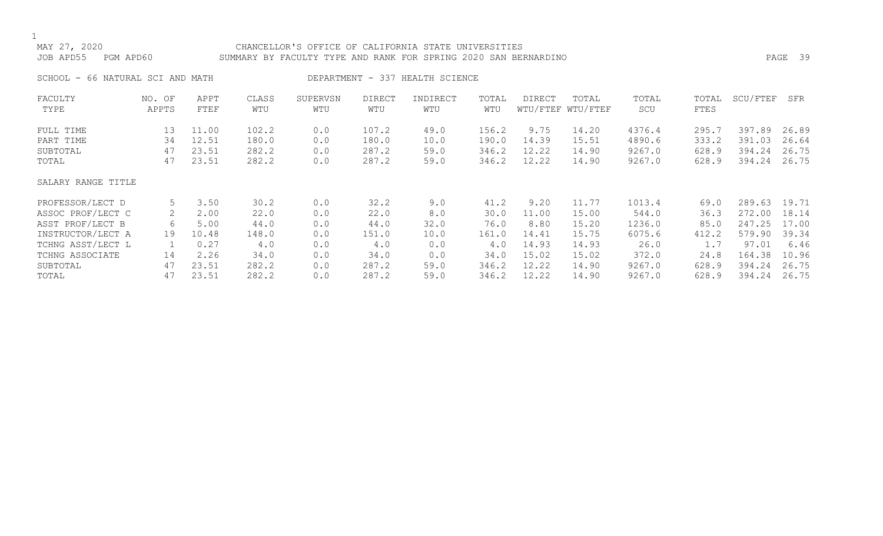## 1<br>MAY 27, 2020 CHANCELLOR'S OFFICE OF CALIFORNIA STATE UNIVERSITIES JOB APD55 PGM APD60 SUMMARY BY FACULTY TYPE AND RANK FOR SPRING 2020 SAN BERNARDINO PAGE 39 SCHOOL - 66 NATURAL SCI AND MATH DEPARTMENT - 337 HEALTH SCIENCE FACULTY NO. OF APPT CLASS SUPERVSN DIRECT INDIRECT TOTAL DIRECT TOTAL TOTAL TOTAL SCU/FTEF SFR WTU/FTEF WTU/FTEF FULL TIME 13 11.00 102.2 0.0 107.2 49.0 156.2 9.75 14.20 4376.4 295.7 397.89 26.89<br>PART TIME 34 12.51 180.0

| SALARY RANGE TITLE |    |       |       |     |       |      |       |       |       |        |       |              |       |
|--------------------|----|-------|-------|-----|-------|------|-------|-------|-------|--------|-------|--------------|-------|
|                    |    |       |       |     |       |      |       |       |       |        |       |              |       |
| PROFESSOR/LECT D   | 5  | 3.50  | 30.2  | 0.0 | 32.2  | 9.0  | 41.2  | 9.20  | 11.77 | 1013.4 | 69.0  | 289.63 19.71 |       |
| ASSOC PROF/LECT C  | 2  | 2.00  | 22.0  | 0.0 | 22.0  | 8.0  | 30.0  | 11.00 | 15.00 | 544.0  | 36.3  | 272.00       | 18.14 |
| ASST PROF/LECT B   | 6  | 5.00  | 44.0  | 0.0 | 44.0  | 32.0 | 76.0  | 8.80  | 15.20 | 1236.0 | 85.0  | 247.25 17.00 |       |
| INSTRUCTOR/LECT A  | 19 | 10.48 | 148.0 | 0.0 | 151.0 | 10.0 | 161.0 | 14.41 | 15.75 | 6075.6 | 412.2 | 579.90 39.34 |       |
| TCHNG ASST/LECT L  |    | 0.27  | 4.0   | 0.0 | 4.0   | 0.0  | 4.0   | 14.93 | 14.93 | 26.0   | 1.7   | 97.01        | 6.46  |
| TCHNG ASSOCIATE    | 14 | 2.26  | 34.0  | 0.0 | 34.0  | 0.0  | 34.0  | 15.02 | 15.02 | 372.0  | 24.8  | 164.38 10.96 |       |
| SUBTOTAL           | 47 | 23.51 | 282.2 | 0.0 | 287.2 | 59.0 | 346.2 | 12.22 | 14.90 | 9267.0 | 628.9 | 394.24       | 26.75 |
| TOTAL              | 47 | 23.51 | 282.2 | 0.0 | 287.2 | 59.0 | 346.2 | 12.22 | 14.90 | 9267.0 | 628.9 | 394.24       | 26.75 |
|                    |    |       |       |     |       |      |       |       |       |        |       |              |       |

PART TIME 34 12.51 180.0 0.0 180.0 10.0 190.0 14.39 15.51 4890.6 333.2 391.03 26.64 SUBTOTAL 47 23.51 282.2 0.0 287.2 59.0 346.2 12.22 14.90 9267.0 628.9 394.24 26.75

628.9 394.24 26.75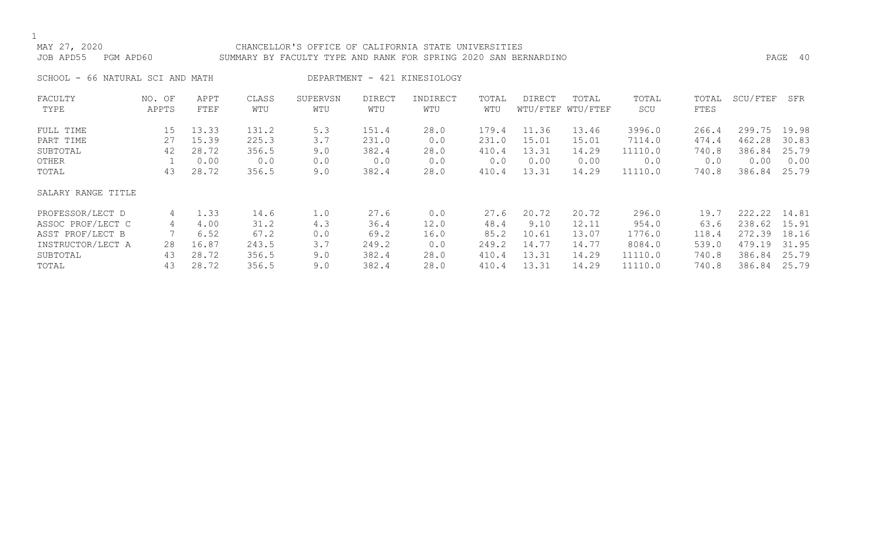### MAY 27, 2020 CHANCELLOR'S OFFICE OF CALIFORNIA STATE UNIVERSITIES JOB APD55 PGM APD60 SUMMARY BY FACULTY TYPE AND RANK FOR SPRING 2020 SAN BERNARDINO PAGE 40

SCHOOL - 66 NATURAL SCI AND MATH DEPARTMENT - 421 KINESIOLOGY

| FACULTY            | NO. OF | APPT  | CLASS | SUPERVSN | <b>DIRECT</b> | INDIRECT | TOTAL | <b>DIRECT</b> | TOTAL             | TOTAL   | TOTAL | SCU/FTEF | SFR   |
|--------------------|--------|-------|-------|----------|---------------|----------|-------|---------------|-------------------|---------|-------|----------|-------|
| TYPE               | APPTS  | FTEF  | WTU   | WTU      | WTU           | WTU      | WTU   |               | WTU/FTEF WTU/FTEF | SCU     | FTES  |          |       |
| FULL TIME          | 15     | 13.33 | 131.2 | 5.3      | 151.4         | 28.0     | 179.4 | 11.36         | 13.46             | 3996.0  | 266.4 | 299.75   | 19.98 |
| PART TIME          | 27     | 15.39 | 225.3 | 3.7      | 231.0         | 0.0      | 231.0 | 15.01         | 15.01             | 7114.0  | 474.4 | 462.28   | 30.83 |
| SUBTOTAL           | 42     | 28.72 | 356.5 | 9.0      | 382.4         | 28.0     | 410.4 | 13.31         | 14.29             | 11110.0 | 740.8 | 386.84   | 25.79 |
| OTHER              |        | 0.00  | 0.0   | 0.0      | 0.0           | 0.0      | 0.0   | 0.00          | 0.00              | 0.0     | 0.0   | 0.00     | 0.00  |
| TOTAL              | 43     | 28.72 | 356.5 | 9.0      | 382.4         | 28.0     | 410.4 | 13.31         | 14.29             | 11110.0 | 740.8 | 386.84   | 25.79 |
| SALARY RANGE TITLE |        |       |       |          |               |          |       |               |                   |         |       |          |       |
| PROFESSOR/LECT D   | 4      | 1.33  | 14.6  | 1.0      | 27.6          | 0.0      | 27.6  | 20.72         | 20.72             | 296.0   | 19.7  | 222.22   | 14.81 |
| ASSOC PROF/LECT C  | 4      | 4.00  | 31.2  | 4.3      | 36.4          | 12.0     | 48.4  | 9.10          | 12.11             | 954.0   | 63.6  | 238.62   | 15.91 |
| ASST PROF/LECT B   |        | 6.52  | 67.2  | 0.0      | 69.2          | 16.0     | 85.2  | 10.61         | 13.07             | 1776.0  | 118.4 | 272.39   | 18.16 |
| INSTRUCTOR/LECT A  | 28     | 16.87 | 243.5 | 3.7      | 249.2         | 0.0      | 249.2 | 14.77         | 14.77             | 8084.0  | 539.0 | 479.19   | 31.95 |
| SUBTOTAL           | 43     | 28.72 | 356.5 | 9.0      | 382.4         | 28.0     | 410.4 | 13.31         | 14.29             | 11110.0 | 740.8 | 386.84   | 25.79 |
| TOTAL              | 43     | 28.72 | 356.5 | 9.0      | 382.4         | 28.0     | 410.4 | 13.31         | 14.29             | 11110.0 | 740.8 | 386.84   | 25.79 |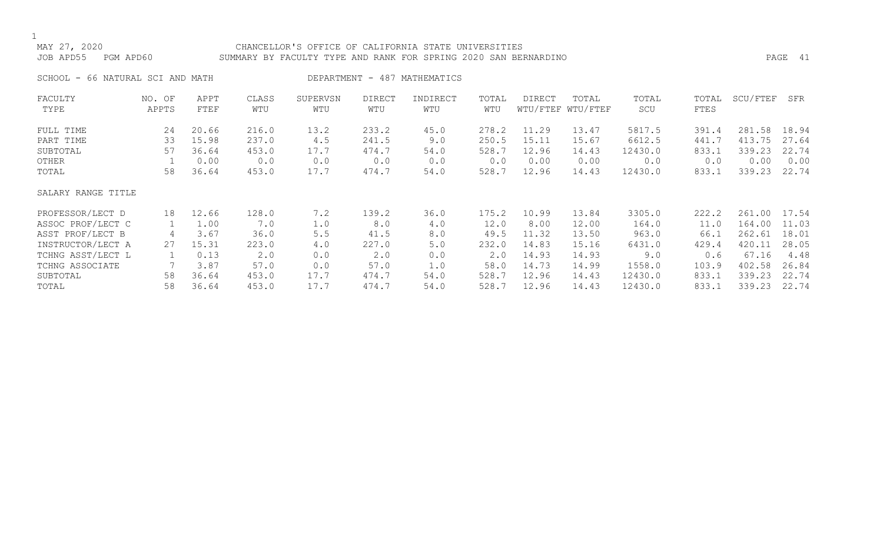### MAY 27, 2020 CHANCELLOR'S OFFICE OF CALIFORNIA STATE UNIVERSITIES JOB APD55 PGM APD60 SUMMARY BY FACULTY TYPE AND RANK FOR SPRING 2020 SAN BERNARDINO PAGE 41

SCHOOL - 66 NATURAL SCI AND MATH DEPARTMENT - 487 MATHEMATICS

| FACULTY            | NO. OF | APPT  | CLASS | SUPERVSN | DIRECT | INDIRECT | TOTAL | DIRECT | TOTAL             | TOTAL   | TOTAL | SCU/FTEF | SFR   |
|--------------------|--------|-------|-------|----------|--------|----------|-------|--------|-------------------|---------|-------|----------|-------|
| TYPE               | APPTS  | FTEF  | WTU   | WTU      | WTU    | WTU      | WTU   |        | WTU/FTEF WTU/FTEF | SCU     | FTES  |          |       |
| FULL TIME          | 24     | 20.66 | 216.0 | 13.2     | 233.2  | 45.0     | 278.2 | 11.29  | 13.47             | 5817.5  | 391.4 | 281.58   | 18.94 |
| PART TIME          | 33     | 15.98 | 237.0 | 4.5      | 241.5  | 9.0      | 250.5 | 15.11  | 15.67             | 6612.5  | 441.7 | 413.75   | 27.64 |
| SUBTOTAL           | 57     | 36.64 | 453.0 | 17.7     | 474.7  | 54.0     | 528.7 | 12.96  | 14.43             | 12430.0 | 833.1 | 339.23   | 22.74 |
| OTHER              |        | 0.00  | 0.0   | 0.0      | 0.0    | 0.0      | 0.0   | 0.00   | 0.00              | 0.0     | 0.0   | 0.00     | 0.00  |
| TOTAL              | 58     | 36.64 | 453.0 | 17.7     | 474.7  | 54.0     | 528.7 | 12.96  | 14.43             | 12430.0 | 833.1 | 339.23   | 22.74 |
| SALARY RANGE TITLE |        |       |       |          |        |          |       |        |                   |         |       |          |       |
| PROFESSOR/LECT D   | 18     | 12.66 | 128.0 | 7.2      | 139.2  | 36.0     | 175.2 | 10.99  | 13.84             | 3305.0  | 222.2 | 261.00   | 17.54 |
| ASSOC PROF/LECT C  |        | 1.00  | 7.0   | 1.0      | 8.0    | 4.0      | 12.0  | 8.00   | 12.00             | 164.0   | 11.0  | 164.00   | 11.03 |
| ASST PROF/LECT B   | 4      | 3.67  | 36.0  | 5.5      | 41.5   | 8.0      | 49.5  | 11.32  | 13.50             | 963.0   | 66.1  | 262.61   | 18.01 |
| INSTRUCTOR/LECT A  | 27     | 15.31 | 223.0 | 4.0      | 227.0  | 5.0      | 232.0 | 14.83  | 15.16             | 6431.0  | 429.4 | 420.11   | 28.05 |
| TCHNG ASST/LECT L  |        | 0.13  | 2.0   | 0.0      | 2.0    | 0.0      | 2.0   | 14.93  | 14.93             | 9.0     | 0.6   | 67.16    | 4.48  |
| TCHNG ASSOCIATE    |        | 3.87  | 57.0  | 0.0      | 57.0   | 1.0      | 58.0  | 14.73  | 14.99             | 1558.0  | 103.9 | 402.58   | 26.84 |
| SUBTOTAL           | 58     | 36.64 | 453.0 | 17.7     | 474.7  | 54.0     | 528.7 | 12.96  | 14.43             | 12430.0 | 833.1 | 339.23   | 22.74 |
| TOTAL              | 58     | 36.64 | 453.0 | 17.7     | 474.7  | 54.0     | 528.7 | 12.96  | 14.43             | 12430.0 | 833.1 | 339.23   | 22.74 |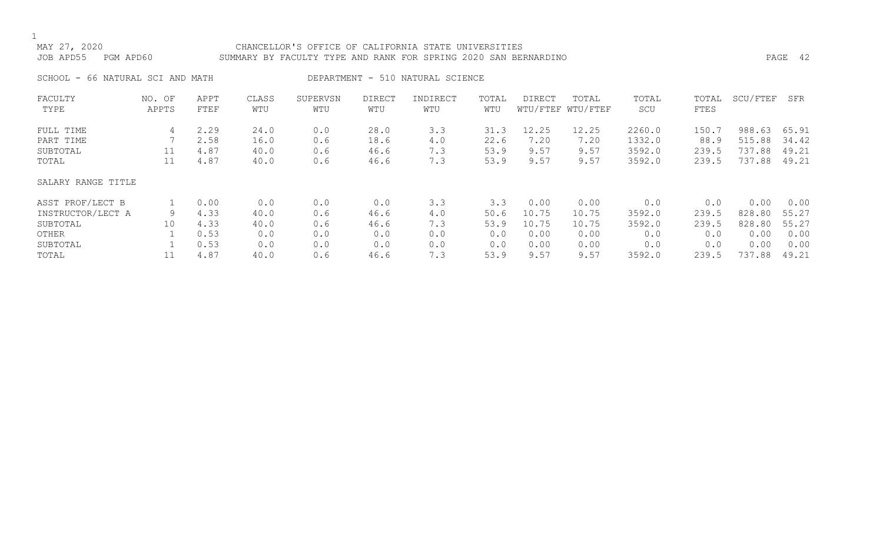### MAY 27, 2020 CHANCELLOR'S OFFICE OF CALIFORNIA STATE UNIVERSITIES JOB APD55 PGM APD60 SUMMARY BY FACULTY TYPE AND RANK FOR SPRING 2020 SAN BERNARDINO PAGE 42

SCHOOL - 66 NATURAL SCI AND MATH DEPARTMENT - 510 NATURAL SCIENCE

| FACULTY            | NO. OF | APPT | CLASS | SUPERVSN | <b>DIRECT</b> | INDIRECT | TOTAL | DIRECT | TOTAL             | TOTAL  | TOTAL       | SCU/FTEF | SFR   |
|--------------------|--------|------|-------|----------|---------------|----------|-------|--------|-------------------|--------|-------------|----------|-------|
| TYPE               | APPTS  | FTEF | WTU   | WTU      | WTU           | WTU      | WTU   |        | WTU/FTEF WTU/FTEF | SCU    | <b>FTES</b> |          |       |
| FULL TIME          | 4      | 2.29 | 24.0  | 0.0      | 28.0          | 3.3      | 31.3  | 12.25  | 12.25             | 2260.0 | 150.7       | 988.63   | 65.91 |
| PART TIME          |        | 2.58 | 16.0  | 0.6      | 18.6          | 4.0      | 22.6  | 7.20   | 7.20              | 1332.0 | 88.9        | 515.88   | 34.42 |
| SUBTOTAL           | 11     | 4.87 | 40.0  | 0.6      | 46.6          | 7.3      | 53.9  | 9.57   | 9.57              | 3592.0 | 239.5       | 737.88   | 49.21 |
| TOTAL              | 11     | 4.87 | 40.0  | 0.6      | 46.6          | 7.3      | 53.9  | 9.57   | 9.57              | 3592.0 | 239.5       | 737.88   | 49.21 |
| SALARY RANGE TITLE |        |      |       |          |               |          |       |        |                   |        |             |          |       |
| ASST PROF/LECT B   |        | 0.00 | 0.0   | 0.0      | 0.0           | 3.3      | 3.3   | 0.00   | 0.00              | 0.0    | 0.0         | 0.00     | 0.00  |
| INSTRUCTOR/LECT A  | 9      | 4.33 | 40.0  | 0.6      | 46.6          | 4.0      | 50.6  | 10.75  | 10.75             | 3592.0 | 239.5       | 828.80   | 55.27 |
| SUBTOTAL           | 10     | 4.33 | 40.0  | 0.6      | 46.6          | 7.3      | 53.9  | 10.75  | 10.75             | 3592.0 | 239.5       | 828.80   | 55.27 |
| OTHER              |        | 0.53 | 0.0   | 0.0      | 0.0           | 0.0      | 0.0   | 0.00   | 0.00              | 0.0    | 0.0         | 0.00     | 0.00  |
| SUBTOTAL           |        | 0.53 | 0.0   | 0.0      | 0.0           | 0.0      | 0.0   | 0.00   | 0.00              | 0.0    | 0.0         | 0.00     | 0.00  |
| TOTAL              | 11     | 4.87 | 40.0  | 0.6      | 46.6          | 7.3      | 53.9  | 9.57   | 9.57              | 3592.0 | 239.5       | 737.88   | 49.21 |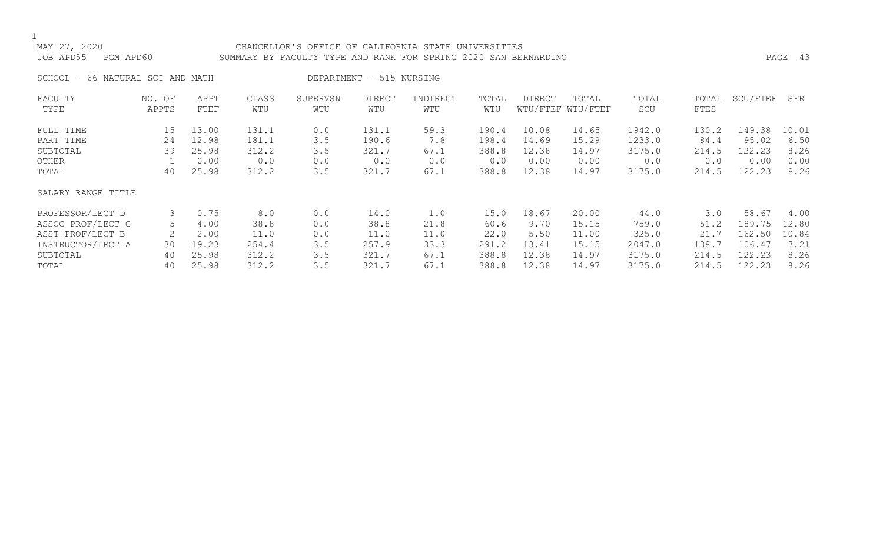### MAY 27, 2020 CHANCELLOR'S OFFICE OF CALIFORNIA STATE UNIVERSITIES JOB APD55 PGM APD60 SUMMARY BY FACULTY TYPE AND RANK FOR SPRING 2020 SAN BERNARDINO PAGE 43

SCHOOL - 66 NATURAL SCI AND MATH DEPARTMENT - 515 NURSING

| FACULTY<br>TYPE    | NO. OF<br>APPTS | APPT<br>FTEF | CLASS<br>WTU | SUPERVSN<br>WTU | <b>DIRECT</b><br>WTU | INDIRECT<br>WTU | TOTAL<br>WTU | DIRECT | TOTAL<br>WTU/FTEF WTU/FTEF | TOTAL<br>SCU | TOTAL<br>FTES | SCU/FTEF | SFR   |
|--------------------|-----------------|--------------|--------------|-----------------|----------------------|-----------------|--------------|--------|----------------------------|--------------|---------------|----------|-------|
|                    |                 |              |              |                 |                      |                 |              |        |                            |              |               |          |       |
| FULL TIME          | 15              | 13.00        | 131.1        | 0.0             | 131.1                | 59.3            | 190.4        | 10.08  | 14.65                      | 1942.0       | 130.2         | 149.38   | 10.01 |
| PART TIME          | 24              | 12.98        | 181.1        | 3.5             | 190.6                | 7.8             | 198.4        | 14.69  | 15.29                      | 1233.0       | 84.4          | 95.02    | 6.50  |
| SUBTOTAL           | 39              | 25.98        | 312.2        | 3.5             | 321.7                | 67.1            | 388.8        | 12.38  | 14.97                      | 3175.0       | 214.5         | 122.23   | 8.26  |
| OTHER              |                 | 0.00         | 0.0          | 0.0             | 0.0                  | 0.0             | 0.0          | 0.00   | 0.00                       | 0.0          | 0.0           | 0.00     | 0.00  |
| TOTAL              | 40              | 25.98        | 312.2        | 3.5             | 321.7                | 67.1            | 388.8        | 12.38  | 14.97                      | 3175.0       | 214.5         | 122.23   | 8.26  |
| SALARY RANGE TITLE |                 |              |              |                 |                      |                 |              |        |                            |              |               |          |       |
| PROFESSOR/LECT D   | 3               | 0.75         | 8.0          | 0.0             | 14.0                 | 1.0             | 15.0         | 18.67  | 20.00                      | 44.0         | 3.0           | 58.67    | 4.00  |
| ASSOC PROF/LECT C  | 5               | 4.00         | 38.8         | 0.0             | 38.8                 | 21.8            | 60.6         | 9.70   | 15.15                      | 759.0        | 51.2          | 189.75   | 12.80 |
| ASST PROF/LECT B   |                 | 2.00         | 11.0         | 0.0             | 11.0                 | 11.0            | 22.0         | 5.50   | 11.00                      | 325.0        | 21.7          | 162.50   | 10.84 |
| INSTRUCTOR/LECT A  | 30              | 19.23        | 254.4        | 3.5             | 257.9                | 33.3            | 291.2        | 13.41  | 15.15                      | 2047.0       | 138.7         | 106.47   | 7.21  |
| SUBTOTAL           | 40              | 25.98        | 312.2        | 3.5             | 321.7                | 67.1            | 388.8        | 12.38  | 14.97                      | 3175.0       | 214.5         | 122.23   | 8.26  |
| TOTAL              | 40              | 25.98        | 312.2        | 3.5             | 321.7                | 67.1            | 388.8        | 12.38  | 14.97                      | 3175.0       | 214.5         | 122.23   | 8.26  |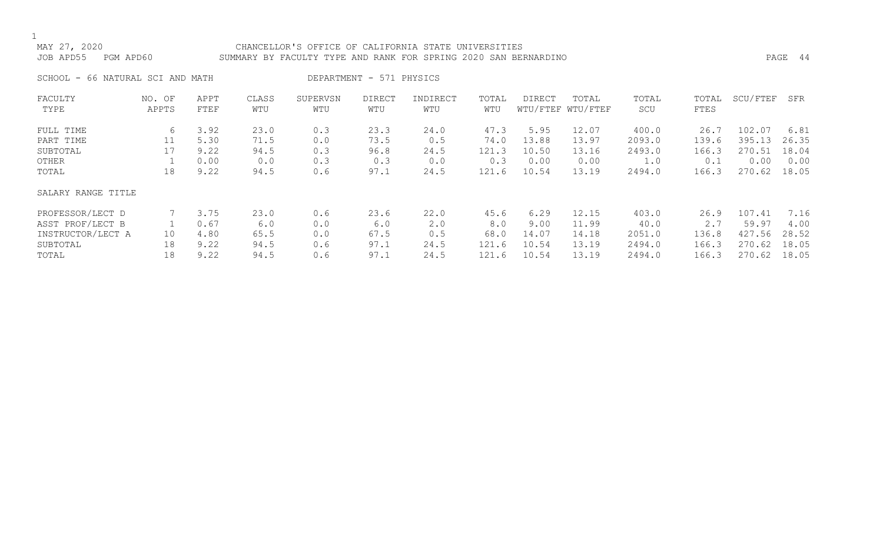### MAY 27, 2020 CHANCELLOR'S OFFICE OF CALIFORNIA STATE UNIVERSITIES JOB APD55 PGM APD60 SUMMARY BY FACULTY TYPE AND RANK FOR SPRING 2020 SAN BERNARDINO PAGE 44

SCHOOL - 66 NATURAL SCI AND MATH DEPARTMENT - 571 PHYSICS

| FACULTY            | NO. OF | APPT        | CLASS | SUPERVSN | <b>DIRECT</b> | INDIRECT | TOTAL | DIRECT | TOTAL             | TOTAL  | TOTAL       | SCU/FTEF | SFR   |
|--------------------|--------|-------------|-------|----------|---------------|----------|-------|--------|-------------------|--------|-------------|----------|-------|
| TYPE               | APPTS  | <b>FTEF</b> | WTU   | WTU      | WTU           | WTU      | WTU   |        | WTU/FTEF WTU/FTEF | SCU    | <b>FTES</b> |          |       |
| FULL TIME          | 6      | 3.92        | 23.0  | 0.3      | 23.3          | 24.0     | 47.3  | 5.95   | 12.07             | 400.0  | 26.7        | 102.07   | 6.81  |
| PART TIME          | 11     | 5.30        | 71.5  | 0.0      | 73.5          | 0.5      | 74.0  | 13.88  | 13.97             | 2093.0 | 139.6       | 395.13   | 26.35 |
| SUBTOTAL           | 17     | 9.22        | 94.5  | 0.3      | 96.8          | 24.5     | 121.3 | 10.50  | 13.16             | 2493.0 | 166.3       | 270.51   | 18.04 |
| OTHER              |        | 0.00        | 0.0   | 0.3      | 0.3           | 0.0      | 0.3   | 0.00   | 0.00              | 1.0    | 0.1         | 0.00     | 0.00  |
| TOTAL              | 18     | 9.22        | 94.5  | 0.6      | 97.1          | 24.5     | 121.6 | 10.54  | 13.19             | 2494.0 | 166.3       | 270.62   | 18.05 |
| SALARY RANGE TITLE |        |             |       |          |               |          |       |        |                   |        |             |          |       |
| PROFESSOR/LECT D   |        | 3.75        | 23.0  | 0.6      | 23.6          | 22.0     | 45.6  | 6.29   | 12.15             | 403.0  | 26.9        | 107.41   | 7.16  |
| ASST PROF/LECT B   |        | 0.67        | 6.0   | 0.0      | 6.0           | 2.0      | 8.0   | 9.00   | 11.99             | 40.0   | 2.7         | 59.97    | 4.00  |
| INSTRUCTOR/LECT A  | 10     | 4.80        | 65.5  | 0.0      | 67.5          | 0.5      | 68.0  | 14.07  | 14.18             | 2051.0 | 136.8       | 427.56   | 28.52 |
| SUBTOTAL           | 18     | 9.22        | 94.5  | 0.6      | 97.1          | 24.5     | 121.6 | 10.54  | 13.19             | 2494.0 | 166.3       | 270.62   | 18.05 |
| TOTAL              | 18     | 9.22        | 94.5  | 0.6      | 97.1          | 24.5     | 121.6 | 10.54  | 13.19             | 2494.0 | 166.3       | 270.62   | 18.05 |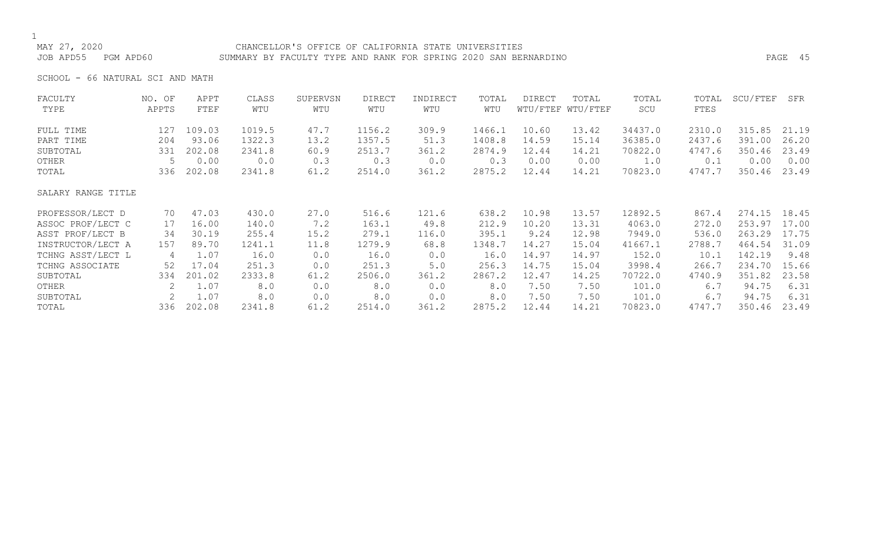### MAY 27, 2020 CHANCELLOR'S OFFICE OF CALIFORNIA STATE UNIVERSITIES JOB APD55 PGM APD60 SUMMARY BY FACULTY TYPE AND RANK FOR SPRING 2020 SAN BERNARDINO PAGE 45

SCHOOL - 66 NATURAL SCI AND MATH

| FACULTY            | NO. OF | APPT   | CLASS  | SUPERVSN | <b>DIRECT</b> | INDIRECT | TOTAL  | DIRECT | TOTAL             | TOTAL   | TOTAL  | SCU/FTEF | SFR   |
|--------------------|--------|--------|--------|----------|---------------|----------|--------|--------|-------------------|---------|--------|----------|-------|
| TYPE               | APPTS  | FTEF   | WTU    | WTU      | WTU           | WTU      | WTU    |        | WTU/FTEF WTU/FTEF | SCU     | FTES   |          |       |
| FULL TIME          | 127    | 109.03 | 1019.5 | 47.7     | 1156.2        | 309.9    | 1466.1 | 10.60  | 13.42             | 34437.0 | 2310.0 | 315.85   | 21.19 |
| PART TIME          | 204    | 93.06  | 1322.3 | 13.2     | 1357.5        | 51.3     | 1408.8 | 14.59  | 15.14             | 36385.0 | 2437.6 | 391.00   | 26.20 |
| SUBTOTAL           | 331    | 202.08 | 2341.8 | 60.9     | 2513.7        | 361.2    | 2874.9 | 12.44  | 14.21             | 70822.0 | 4747.6 | 350.46   | 23.49 |
| OTHER              |        | 0.00   | 0.0    | 0.3      | 0.3           | 0.0      | 0.3    | 0.00   | 0.00              | 1.0     | 0.1    | 0.00     | 0.00  |
| TOTAL              | 336    | 202.08 | 2341.8 | 61.2     | 2514.0        | 361.2    | 2875.2 | 12.44  | 14.21             | 70823.0 | 4747.7 | 350.46   | 23.49 |
| SALARY RANGE TITLE |        |        |        |          |               |          |        |        |                   |         |        |          |       |
| PROFESSOR/LECT D   | 70     | 47.03  | 430.0  | 27.0     | 516.6         | 121.6    | 638.2  | 10.98  | 13.57             | 12892.5 | 867.4  | 274.15   | 18.45 |
| ASSOC PROF/LECT C  | 17     | 16.00  | 140.0  | 7.2      | 163.1         | 49.8     | 212.9  | 10.20  | 13.31             | 4063.0  | 272.0  | 253.97   | 17.00 |
| ASST PROF/LECT B   | 34     | 30.19  | 255.4  | 15.2     | 279.1         | 116.0    | 395.1  | 9.24   | 12.98             | 7949.0  | 536.0  | 263.29   | 17.75 |
| INSTRUCTOR/LECT A  | 157    | 89.70  | 1241.1 | 11.8     | 1279.9        | 68.8     | 1348.7 | 14.27  | 15.04             | 41667.1 | 2788.7 | 464.54   | 31.09 |
| TCHNG ASST/LECT L  | 4      | 1.07   | 16.0   | 0.0      | 16.0          | 0.0      | 16.0   | 14.97  | 14.97             | 152.0   | 10.1   | 142.19   | 9.48  |
| TCHNG ASSOCIATE    | 52     | 17.04  | 251.3  | 0.0      | 251.3         | 5.0      | 256.3  | 14.75  | 15.04             | 3998.4  | 266.7  | 234.70   | 15.66 |
| SUBTOTAL           | 334    | 201.02 | 2333.8 | 61.2     | 2506.0        | 361.2    | 2867.2 | 12.47  | 14.25             | 70722.0 | 4740.9 | 351.82   | 23.58 |
| OTHER              | 2      | 1.07   | 8.0    | 0.0      | 8.0           | 0.0      | 8.0    | 7.50   | 7.50              | 101.0   | 6.7    | 94.75    | 6.31  |
| SUBTOTAL           |        | 1.07   | 8.0    | 0.0      | 8.0           | 0.0      | 8.0    | 7.50   | 7.50              | 101.0   | 6.7    | 94.75    | 6.31  |
| TOTAL              | 336    | 202.08 | 2341.8 | 61.2     | 2514.0        | 361.2    | 2875.2 | 12.44  | 14.21             | 70823.0 | 4747.7 | 350.46   | 23.49 |
|                    |        |        |        |          |               |          |        |        |                   |         |        |          |       |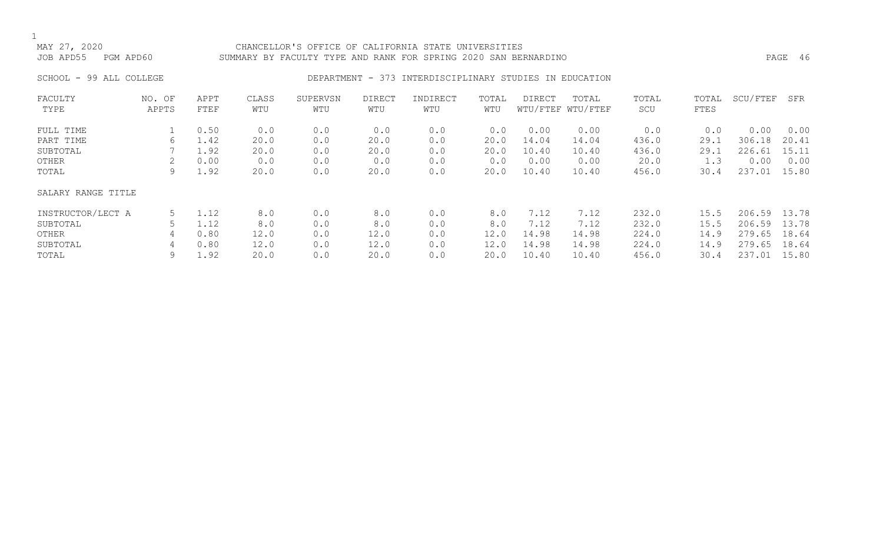### CHANCELLOR'S OFFICE OF CALIFORNIA STATE UNIVERSITIES JOB APD55 PGM APD60 SUMMARY BY FACULTY TYPE AND RANK FOR SPRING 2020 SAN BERNARDINO PAGE 46

### SCHOOL - 99 ALL COLLEGE COLLEGE DEPARTMENT - 373 INTERDISCIPLINARY STUDIES IN EDUCATION

| FACULTY            | NO. OF | APPT | CLASS | SUPERVSN | <b>DIRECT</b> | INDIRECT | TOTAL | DIRECT | TOTAL             | TOTAL | TOTAL       | SCU/FTEF | SFR   |
|--------------------|--------|------|-------|----------|---------------|----------|-------|--------|-------------------|-------|-------------|----------|-------|
| TYPE               | APPTS  | FTEF | WTU   | WTU      | WTU           | WTU      | WTU   |        | WTU/FTEF WTU/FTEF | SCU   | <b>FTES</b> |          |       |
| FULL TIME          |        | 0.50 | 0.0   | 0.0      | 0.0           | 0.0      | 0.0   | 0.00   | 0.00              | 0.0   | 0.0         | 0.00     | 0.00  |
| PART TIME          | b      | 1.42 | 20.0  | 0.0      | 20.0          | 0.0      | 20.0  | 14.04  | 14.04             | 436.0 | 29.1        | 306.18   | 20.41 |
| SUBTOTAL           |        | 1.92 | 20.0  | 0.0      | 20.0          | 0.0      | 20.0  | 10.40  | 10.40             | 436.0 | 29.1        | 226.61   | 15.11 |
| OTHER              |        | 0.00 | 0.0   | 0.0      | 0.0           | 0.0      | 0.0   | 0.00   | 0.00              | 20.0  | 1.3         | 0.00     | 0.00  |
| TOTAL              | 9      | 1.92 | 20.0  | 0.0      | 20.0          | 0.0      | 20.0  | 10.40  | 10.40             | 456.0 | 30.4        | 237.01   | 15.80 |
| SALARY RANGE TITLE |        |      |       |          |               |          |       |        |                   |       |             |          |       |
| INSTRUCTOR/LECT A  | 5      | 1.12 | 8.0   | 0.0      | 8.0           | 0.0      | 8.0   | 7.12   | 7.12              | 232.0 | 15.5        | 206.59   | 13.78 |
| SUBTOTAL           |        | 1.12 | 8.0   | 0.0      | 8.0           | 0.0      | 8.0   | 7.12   | 7.12              | 232.0 | 15.5        | 206.59   | 13.78 |
| OTHER              | 4      | 0.80 | 12.0  | 0.0      | 12.0          | 0.0      | 12.0  | 14.98  | 14.98             | 224.0 | 14.9        | 279.65   | 18.64 |
| SUBTOTAL           | 4      | 0.80 | 12.0  | 0.0      | 12.0          | 0.0      | 12.0  | 14.98  | 14.98             | 224.0 | 14.9        | 279.65   | 18.64 |
| TOTAL              | 9      | 1.92 | 20.0  | 0.0      | 20.0          | 0.0      | 20.0  | 10.40  | 10.40             | 456.0 | 30.4        | 237.01   | 15.80 |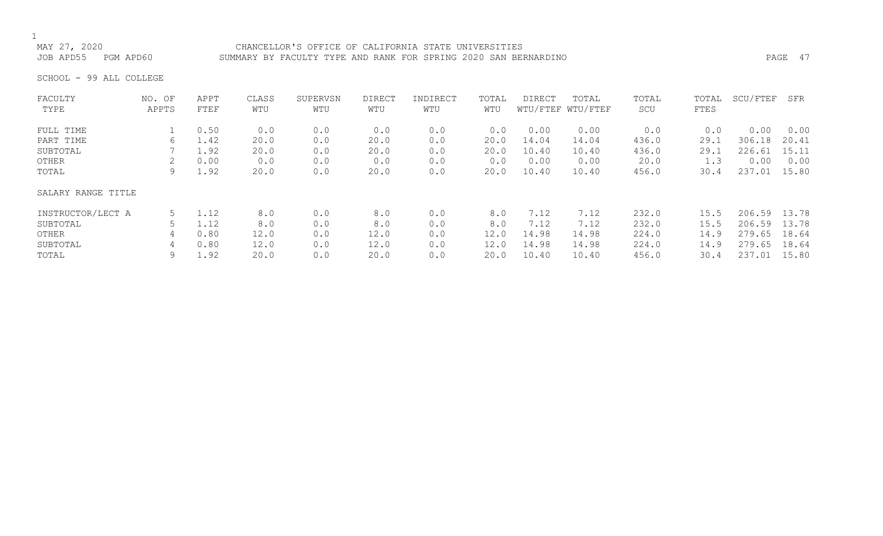MAY 27, 2020<br>JOB APD55 PGM APD60 SUMMARY BY FACULTY TYPE AND RANK FOR SPRING 2020 SAN BEI SUMMARY BY FACULTY TYPE AND RANK FOR SPRING 2020 SAN BERNARDINO **PAGE 47** 

SCHOOL - 99 ALL COLLEGE

| FACULTY            | NO. OF | APPT | CLASS | SUPERVSN | <b>DIRECT</b> | INDIRECT | TOTAL | <b>DIRECT</b> | TOTAL             | TOTAL | TOTAL | SCU/FTEF | SFR   |
|--------------------|--------|------|-------|----------|---------------|----------|-------|---------------|-------------------|-------|-------|----------|-------|
| TYPE               | APPTS  | FTEF | WTU   | WTU      | WTU           | WTU      | WTU   |               | WTU/FTEF WTU/FTEF | SCU   | FTES  |          |       |
| FULL TIME          |        | 0.50 | 0.0   | 0.0      | 0.0           | 0.0      | 0.0   | 0.00          | 0.00              | 0.0   | 0.0   | 0.00     | 0.00  |
| PART TIME          | 6      | 1.42 | 20.0  | 0.0      | 20.0          | 0.0      | 20.0  | 14.04         | 14.04             | 436.0 | 29.1  | 306.18   | 20.41 |
| SUBTOTAL           |        | 1.92 | 20.0  | 0.0      | 20.0          | 0.0      | 20.0  | 10.40         | 10.40             | 436.0 | 29.1  | 226.61   | 15.11 |
| OTHER              |        | 0.00 | 0.0   | 0.0      | 0.0           | 0.0      | 0.0   | 0.00          | 0.00              | 20.0  | 1.3   | 0.00     | 0.00  |
| TOTAL              | 9      | 1.92 | 20.0  | 0.0      | 20.0          | 0.0      | 20.0  | 10.40         | 10.40             | 456.0 | 30.4  | 237.01   | 15.80 |
| SALARY RANGE TITLE |        |      |       |          |               |          |       |               |                   |       |       |          |       |
| INSTRUCTOR/LECT A  | 5      | 1.12 | 8.0   | 0.0      | 8.0           | 0.0      | 8.0   | 7.12          | 7.12              | 232.0 | 15.5  | 206.59   | 13.78 |
| SUBTOTAL           |        | 1.12 | 8.0   | 0.0      | 8.0           | 0.0      | 8.0   | 7.12          | 7.12              | 232.0 | 15.5  | 206.59   | 13.78 |
| OTHER              | 4      | 0.80 | 12.0  | 0.0      | 12.0          | 0.0      | 12.0  | 14.98         | 14.98             | 224.0 | 14.9  | 279.65   | 18.64 |
| SUBTOTAL           | 4      | 0.80 | 12.0  | 0.0      | 12.0          | 0.0      | 12.0  | 14.98         | 14.98             | 224.0 | 14.9  | 279.65   | 18.64 |
| TOTAL              | 9      | 1.92 | 20.0  | 0.0      | 20.0          | 0.0      | 20.0  | 10.40         | 10.40             | 456.0 | 30.4  | 237.01   | 15.80 |
|                    |        |      |       |          |               |          |       |               |                   |       |       |          |       |